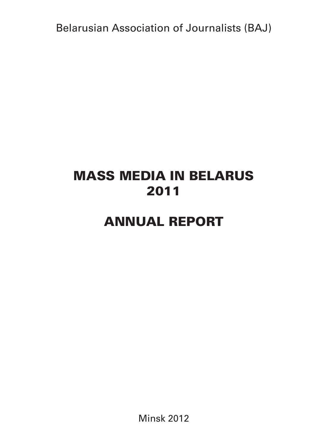Belarusian Association of Journalists (BAJ)

# MASS MEDIA IN BELARUS 2011

## ANNUAL REPORT

Minsk 2012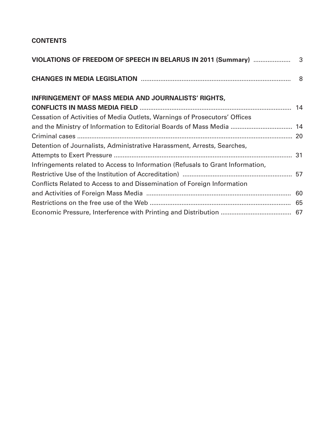## **CONTENTS**

| <b>INFRINGEMENT OF MASS MEDIA AND JOURNALISTS' RIGHTS,</b>                     |  |
|--------------------------------------------------------------------------------|--|
|                                                                                |  |
| Cessation of Activities of Media Outlets, Warnings of Prosecutors' Offices     |  |
| and the Ministry of Information to Editorial Boards of Mass Media  14          |  |
|                                                                                |  |
| Detention of Journalists, Administrative Harassment, Arrests, Searches,        |  |
|                                                                                |  |
| Infringements related to Access to Information (Refusals to Grant Information, |  |
|                                                                                |  |
| Conflicts Related to Access to and Dissemination of Foreign Information        |  |
|                                                                                |  |
|                                                                                |  |
|                                                                                |  |
|                                                                                |  |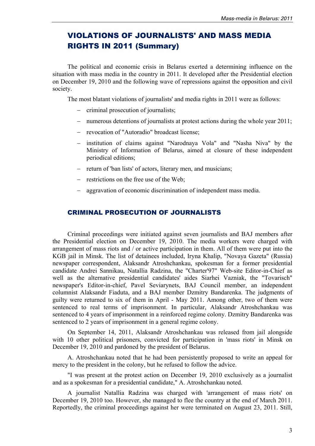## VIOLATIONS OF JOURNALISTS' AND MASS MEDIA RIGHTS IN 2011 (Summary)

The political and economic crisis in Belarus exerted a determining influence on the situation with mass media in the country in 2011. It developed after the Presidential election on December 19, 2010 and the following wave of repressions against the opposition and civil society.

The most blatant violations of journalists' and media rights in 2011 were as follows:

- criminal prosecution of journalists;
- numerous detentions of journalists at protest actions during the whole year 2011;
- revocation of "Autoradio" broadcast license;
- institution of claims against "Narodnaya Vola" and "Nasha Niva" by the Ministry of Information of Belarus, aimed at closure of these independent periodical editions;
- return of 'ban lists' of actors, literary men, and musicians;
- $-$  restrictions on the free use of the Web;
- aggravation of economic discrimination of independent mass media.

#### CRIMINAL PROSECUTION OF JOURNALISTS

Criminal proceedings were initiated against seven journalists and BAJ members after the Presidential election on December 19, 2010. The media workers were charged with arrangement of mass riots and / or active participation in them. All of them were put into the KGB jail in Minsk. The list of detainees included, Iryna Khalip, "Novaya Gazeta" (Russia) newspaper correspondent, Alaksandr Atroshchankau, spokesman for a former presidential candidate Andrei Sannikau, Natallia Radzina, the "Charter'97" Web-site Editor-in-Chief as well as the alternative presidential candidates' aides Siarhei Vazniak, the "Tovarisch" newspaper's Editor-in-chief, Pavel Seviarynets, BAJ Council member, an independent columnist Alaksandr Fiaduta, and a BAJ member Dzmitry Bandarenka. The judgments of guilty were returned to six of them in April - May 2011. Among other, two of them were sentenced to real terms of imprisonment. In particular, Alaksandr Atroshchankau was sentenced to 4 years of imprisonment in a reinforced regime colony. Dzmitry Bandarenka was sentenced to 2 years of imprisonment in a general regime colony.

On September 14, 2011, Alaksandr Atroshchankau was released from jail alongside with 10 other political prisoners, convicted for participation in 'mass riots' in Minsk on December 19, 2010 and pardoned by the president of Belarus.

A. Atroshchankau noted that he had been persistently proposed to write an appeal for mercy to the president in the colony, but he refused to follow the advice.

"I was present at the protest action on December 19, 2010 exclusively as a journalist and as a spokesman for a presidential candidate," A. Atroshchankau noted.

A journalist Natallia Radzina was charged with 'arrangement of mass riots' on December 19, 2010 too. However, she managed to flee the country at the end of March 2011. Reportedly, the criminal proceedings against her were terminated on August 23, 2011. Still,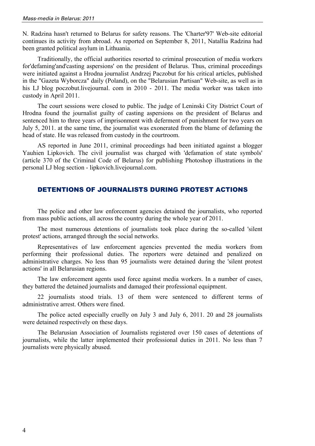N. Radzina hasn't returned to Belarus for safety reasons. The 'Charter'97' Web-site editorial continues its activity from abroad. As reported on September 8, 2011, Natallia Radzina had been granted political asylum in Lithuania.

Traditionally, the official authorities resorted to criminal prosecution of media workers for'defaming'and'casting aspersions' on the president of Belarus. Thus, criminal proceedings were initiated against a Hrodna journalist Andrzej Paczobut for his critical articles, published in the "Gazeta Wyborcza" daily (Poland), on the "Belarusian Partisan" Web-site, as well as in his LJ blog poczobut.livejournal. com in 2010 - 2011. The media worker was taken into custody in April 2011.

The court sessions were closed to public. The judge of Leninski City District Court of Hrodna found the journalist guilty of casting aspersions on the president of Belarus and sentenced him to three years of imprisonment with deferment of punishment for two years on July 5, 2011. at the same time, the journalist was exonerated from the blame of defaming the head of state. He was released from custody in the courtroom.

AS reported in June 2011, criminal proceedings had been initiated against a blogger Yauhien Lipkovich. The civil journalist was charged with 'defamation of state symbols' (article 370 of the Criminal Code of Belarus) for publishing Photoshop illustrations in the personal LJ blog section - lipkovich.livejournal.com.

#### DETENTIONS OF JOURNALISTS DURING PROTEST ACTIONS

The police and other law enforcement agencies detained the journalists, who reported from mass public actions, all across the country during the whole year of 2011.

The most numerous detentions of journalists took place during the so-called 'silent protest' actions, arranged through the social networks.

Representatives of law enforcement agencies prevented the media workers from performing their professional duties. The reporters were detained and penalized on administrative charges. No less than 95 journalists were detained during the 'silent protest actions' in all Belarusian regions.

The law enforcement agents used force against media workers. In a number of cases, they battered the detained journalists and damaged their professional equipment.

22 journalists stood trials. 13 of them were sentenced to different terms of administrative arrest. Others were fined.

The police acted especially cruelly on July 3 and July 6, 2011. 20 and 28 journalists were detained respectively on these days.

The Belarusian Association of Journalists registered over 150 cases of detentions of journalists, while the latter implemented their professional duties in 2011. No less than 7 journalists were physically abused.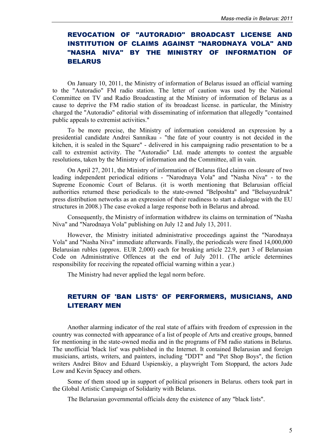## REVOCATION OF "AUTORADIO" BROADCAST LICENSE AND INSTITUTION OF CLAIMS AGAINST "NARODNAYA VOLA" AND "NASHA NIVA" BY THE MINISTRY OF INFORMATION OF BELARUS

On January 10, 2011, the Ministry of information of Belarus issued an official warning to the "Autoradio" FM radio station. The letter of caution was used by the National Committee on TV and Radio Broadcasting at the Ministry of information of Belarus as a cause to deprive the FM radio station of its broadcast license. in particular, the Ministry charged the "Autoradio" editorial with disseminating of information that allegedly "contained public appeals to extremist activities."

To be more precise, the Ministry of information considered an expression by a presidential candidate Andrei Sannikau - "the fate of your country is not decided in the kitchen, it is sealed in the Square" - delivered in his campaigning radio presentation to be a call to extremist activity. The "Autoradio" Ltd. made attempts to contest the arguable resolutions, taken by the Ministry of information and the Committee, all in vain.

On April 27, 2011, the Ministry of information of Belarus filed claims on closure of two leading independent periodical editions - "Narodnaya Vola" and "Nasha Niva" - to the Supreme Economic Court of Belarus. (it is worth mentioning that Belarusian official authorities returned these periodicals to the state-owned "Belposhta" and "Belsayuzdruk" press distribution networks as an expression of their readiness to start a dialogue with the EU structures in 2008.) The case evoked a large response both in Belarus and abroad.

Consequently, the Ministry of information withdrew its claims on termination of "Nasha Niva" and "Narodnaya Vola" publishing on July 12 and July 13, 2011.

However, the Ministry initiated administrative proceedings against the "Narodnaya Vola" and "Nasha Niva" immediate afterwards. Finally, the periodicals were fined 14,000,000 Belarusian rubles (approx. EUR 2,000) each for breaking article 22.9, part 3 of Belarusian Code on Administrative Offences at the end of July 2011. (The article determines responsibility for receiving the repeated official warning within a year.)

The Ministry had never applied the legal norm before.

### RETURN OF 'BAN LISTS' OF PERFORMERS, MUSICIANS, AND LITERARY MEN

Another alarming indicator of the real state of affairs with freedom of expression in the country was connected with appearance of a list of people of Arts and creative groups, banned for mentioning in the state-owned media and in the programs of FM radio stations in Belarus. The unofficial 'black list' was published in the Internet. It contained Belarusian and foreign musicians, artists, writers, and painters, including "DDT" and "Pet Shop Boys", the fiction writers Andrei Bitov and Eduard Uspienskiy, a playwright Tom Stoppard, the actors Jude Low and Kevin Spacey and others.

Some of them stood up in support of political prisoners in Belarus. others took part in the Global Artistic Campaign of Solidarity with Belarus.

The Belarusian governmental officials deny the existence of any "black lists".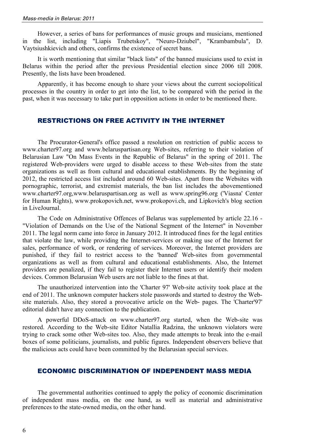However, a series of bans for performances of music groups and musicians, mentioned in the list, including "Liapis Trubetskoy", "Neuro-Dziubel", "Krambambula", D. Vaytsiushkievich and others, confirms the existence of secret bans.

It is worth mentioning that similar "black lists" of the banned musicians used to exist in Belarus within the period after the previous Presidential election since 2006 till 2008. Presently, the lists have been broadened.

Apparently, it has become enough to share your views about the current sociopolitical processes in the country in order to get into the list, to be compared with the period in the past, when it was necessary to take part in opposition actions in order to be mentioned there.

#### RESTRICTIONS ON FREE ACTIVITY IN THE INTERNET

The Procurator-General's office passed a resolution on restriction of public access to www.charter97.org and www.belaruspartisan.org Web-sites, referring to their violation of Belarusian Law "On Mass Events in the Republic of Belarus" in the spring of 2011. The registered Web-providers were urged to disable access to these Web-sites from the state organizations as well as from cultural and educational establishments. By the beginning of 2012, the restricted access list included around 60 Web-sites. Apart from the Websites with pornographic, terrorist, and extremist materials, the ban list includes the abovementioned www.charter97.org,www.belaruspartisan.org as well as www.spring96.org ('Viasna' Center for Human Rights), www.prokopovich.net, www.prokopovi.ch, and Lipkovich's blog section in LiveJournal.

The Code on Administrative Offences of Belarus was supplemented by article 22.16 - "Violation of Demands on the Use of the National Segment of the Internet" in November 2011. The legal norm came into force in January 2012. It introduced fines for the legal entities that violate the law, while providing the Internet-services or making use of the Internet for sales, performance of work, or rendering of services. Moreover, the Internet providers are punished, if they fail to restrict access to the 'banned' Web-sites from governmental organizations as well as from cultural and educational establishments. Also, the Internet providers are penalized, if they fail to register their Internet users or identify their modem devices. Common Belarusian Web users are not liable to the fines at that.

The unauthorized intervention into the 'Charter 97' Web-site activity took place at the end of 2011. The unknown computer hackers stole passwords and started to destroy the Website materials. Also, they stored a provocative article on the Web- pages. The 'Charter'97' editorial didn't have any connection to the publication.

A powerful DDoS-attack on www.charter97.org started, when the Web-site was restored. According to the Web-site Editor Natallia Radzina, the unknown violators were trying to crack some other Web-sites too. Also, they made attempts to break into the e-mail boxes of some politicians, journalists, and public figures. Independent observers believe that the malicious acts could have been committed by the Belarusian special services.

#### ECONOMIC DISCRIMINATION OF INDEPENDENT MASS MEDIA

The governmental authorities continued to apply the policy of economic discrimination of independent mass media, on the one hand, as well as material and administrative preferences to the state-owned media, on the other hand.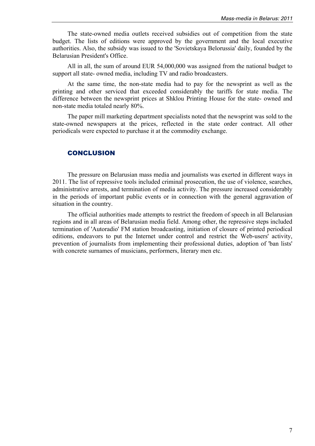The state-owned media outlets received subsidies out of competition from the state budget. The lists of editions were approved by the government and the local executive authorities. Also, the subsidy was issued to the 'Sovietskaya Belorussia' daily, founded by the Belarusian President's Office.

All in all, the sum of around EUR 54,000,000 was assigned from the national budget to support all state- owned media, including TV and radio broadcasters.

At the same time, the non-state media had to pay for the newsprint as well as the printing and other serviced that exceeded considerably the tariffs for state media. The difference between the newsprint prices at Shklou Printing House for the state- owned and non-state media totaled nearly 80%.

The paper mill marketing department specialists noted that the newsprint was sold to the state-owned newspapers at the prices, reflected in the state order contract. All other periodicals were expected to purchase it at the commodity exchange.

#### **CONCLUSION**

The pressure on Belarusian mass media and journalists was exerted in different ways in 2011. The list of repressive tools included criminal prosecution, the use of violence, searches, administrative arrests, and termination of media activity. The pressure increased considerably in the periods of important public events or in connection with the general aggravation of situation in the country.

The official authorities made attempts to restrict the freedom of speech in all Belarusian regions and in all areas of Belarusian media field. Among other, the repressive steps included termination of 'Autoradio' FM station broadcasting, initiation of closure of printed periodical editions, endeavors to put the Internet under control and restrict the Web-users' activity, prevention of journalists from implementing their professional duties, adoption of 'ban lists' with concrete surnames of musicians, performers, literary men etc.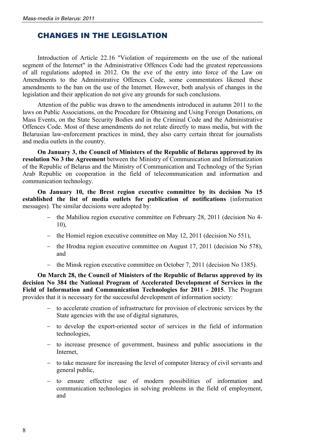## CHANGES IN THE LEGISLATION

Introduction of Article 22.16 "Violation of requirements on the use of the national segment of the Internet" in the Administrative Offences Code had the greatest repercussions of all regulations adopted in 2012. On the eve of the entry into force of the Law on Amendments to the Administrative Offences Code, some commentators likened these amendments to the ban on the use of the Internet. However, both analysis of changes in the legislation and their application do not give any grounds for such conclusions.

Attention of the public was drawn to the amendments introduced in autumn 2011 to the laws on Public Associations, on the Procedure for Obtaining and Using Foreign Donations, on Mass Events, on the State Security Bodies and in the Criminal Code and the Administrative Offences Code. Most of these amendments do not relate directly to mass media, but with the Belarusian law-enforcement practices in mind, they also carry certain threat for journalists and media outlets in the country.

**On January 3, the Council of Ministers of the Republic of Belarus approved by its resolution No 3 the Agreement** between the Ministry of Communication and Informatization of the Republic of Belarus and the Ministry of Communication and Technology of the Syrian Arab Republic on cooperation in the field of telecommunication and information and communication technology.

**On January 10, the Brest region executive committee by its decision No 15 established the list of media outlets for publication of notifications** (information messages). The similar decisions were adopted by:

- the Mahiliou region executive committee on February 28, 2011 (decision No 4-10),
- the Homiel region executive committee on May 12, 2011 (decision No 551),
- $\text{-}$  the Hrodna region executive committee on August 17, 2011 (decision No 578), and
- the Minsk region executive committee on October 7, 2011 (decision No 1385).

**On March 28, the Council of Ministers of the Republic of Belarus approved by its decision No 384 the National Program of Accelerated Development of Services in the Field of Information and Communication Technologies for 2011 - 2015**. The Program provides that it is necessary for the successful development of information society:

- to accelerate creation of infrastructure for provision of electronic services by the State agencies with the use of digital signatures,
- to develop the export-oriented sector of services in the field of information technologies,
- to increase presence of government, business and public associations in the Internet,
- to take measure for increasing the level of computer literacy of civil servants and general public,
- to ensure effective use of modern possibilities of information and communication technologies in solving problems in the field of employment, and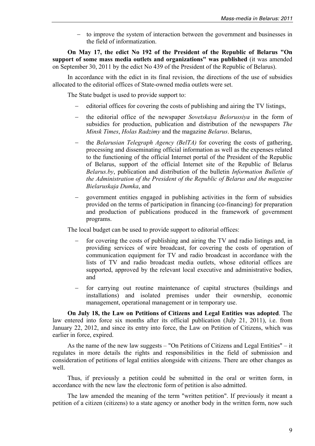to improve the system of interaction between the government and businesses in the field of informatization.

**On May 17, the edict No 192 of the President of the Republic of Belarus "On support of some mass media outlets and organizations" was published** (it was amended on September 30, 2011 by the edict No 439 of the President of the Republic of Belarus).

In accordance with the edict in its final revision, the directions of the use of subsidies allocated to the editorial offices of State-owned media outlets were set.

The State budget is used to provide support to:

- editorial offices for covering the costs of publishing and airing the TV listings,
- the editorial office of the newspaper *Sovetskaya Belorussiya* in the form of subsidies for production, publication and distribution of the newspapers *The Minsk Times*, *Holas Radzimy* and the magazine *Belarus*. Belarus,
- the *Belarusian Telegraph Agency (BelTA)* for covering the costs of gathering, processing and disseminating official information as well as the expenses related to the functioning of the official Internet portal of the President of the Republic of Belarus, support of the official Internet site of the Republic of Belarus *Belarus.by*, publication and distribution of the bulletin *Information Bulletin of the Administration of the President of the Republic of Belarus and the magazine Bielaruskaja Dumka*, and
- government entities engaged in publishing activities in the form of subsidies provided on the terms of participation in financing (co-financing) for preparation and production of publications produced in the framework of government programs.

The local budget can be used to provide support to editorial offices:

- for covering the costs of publishing and airing the TV and radio listings and, in providing services of wire broadcast, for covering the costs of operation of communication equipment for TV and radio broadcast in accordance with the lists of TV and radio broadcast media outlets, whose editorial offices are supported, approved by the relevant local executive and administrative bodies, and
- for carrying out routine maintenance of capital structures (buildings and installations) and isolated premises under their ownership, economic management, operational management or in temporary use.

**On July 18, the Law on Petitions of Citizens and Legal Entities was adopted**. The law entered into force six months after its official publication (July 21, 2011), i.e. from January 22, 2012, and since its entry into force, the Law on Petition of Citizens, which was earlier in force, expired.

As the name of the new law suggests – "On Petitions of Citizens and Legal Entities" – it regulates in more details the rights and responsibilities in the field of submission and consideration of petitions of legal entities alongside with citizens. There are other changes as well.

Thus, if previously a petition could be submitted in the oral or written form, in accordance with the new law the electronic form of petition is also admitted.

The law amended the meaning of the term "written petition". If previously it meant a petition of a citizen (citizens) to a state agency or another body in the written form, now such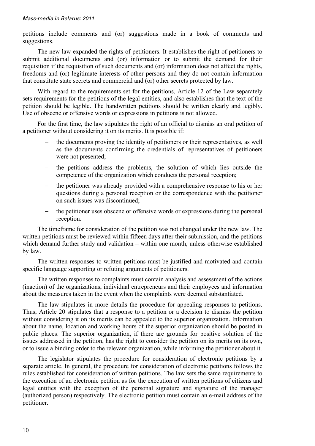petitions include comments and (or) suggestions made in a book of comments and suggestions.

The new law expanded the rights of petitioners. It establishes the right of petitioners to submit additional documents and (or) information or to submit the demand for their requisition if the requisition of such documents and (or) information does not affect the rights, freedoms and (or) legitimate interests of other persons and they do not contain information that constitute state secrets and commercial and (or) other secrets protected by law.

With regard to the requirements set for the petitions, Article 12 of the Law separately sets requirements for the petitions of the legal entities, and also establishes that the text of the petition should be legible. The handwritten petitions should be written clearly and legibly. Use of obscene or offensive words or expressions in petitions is not allowed.

For the first time, the law stipulates the right of an official to dismiss an oral petition of a petitioner without considering it on its merits. It is possible if:

- the documents proving the identity of petitioners or their representatives, as well as the documents confirming the credentials of representatives of petitioners were not presented;
- the petitions address the problems, the solution of which lies outside the competence of the organization which conducts the personal reception;
- the petitioner was already provided with a comprehensive response to his or her questions during a personal reception or the correspondence with the petitioner on such issues was discontinued;
- the petitioner uses obscene or offensive words or expressions during the personal reception.

The timeframe for consideration of the petition was not changed under the new law. The written petitions must be reviewed within fifteen days after their submission, and the petitions which demand further study and validation – within one month, unless otherwise established by law.

The written responses to written petitions must be justified and motivated and contain specific language supporting or refuting arguments of petitioners.

The written responses to complaints must contain analysis and assessment of the actions (inaction) of the organizations, individual entrepreneurs and their employees and information about the measures taken in the event when the complaints were deemed substantiated.

The law stipulates in more details the procedure for appealing responses to petitions. Thus, Article 20 stipulates that a response to a petition or a decision to dismiss the petition without considering it on its merits can be appealed to the superior organization. Information about the name, location and working hours of the superior organization should be posted in public places. The superior organization, if there are grounds for positive solution of the issues addressed in the petition, has the right to consider the petition on its merits on its own, or to issue a binding order to the relevant organization, while informing the petitioner about it.

The legislator stipulates the procedure for consideration of electronic petitions by a separate article. In general, the procedure for consideration of electronic petitions follows the rules established for consideration of written petitions. The law sets the same requirements to the execution of an electronic petition as for the execution of written petitions of citizens and legal entities with the exception of the personal signature and signature of the manager (authorized person) respectively. The electronic petition must contain an e-mail address of the petitioner.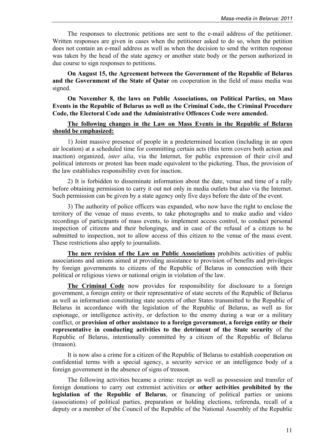The responses to electronic petitions are sent to the e-mail address of the petitioner. Written responses are given in cases when the petitioner asked to do so, when the petition does not contain an e-mail address as well as when the decision to send the written response was taken by the head of the state agency or another state body or the person authorized in due course to sign responses to petitions.

**On August 15, the Agreement between the Government of the Republic of Belarus and the Government of the State of Qatar** on cooperation in the field of mass media was signed.

**On November 8, the laws on Public Associations, on Political Parties, on Mass Events in the Republic of Belarus as well as the Criminal Code, the Criminal Procedure Code, the Electoral Code and the Administrative Offences Code were amended.** 

#### **The following changes in the Law on Mass Events in the Republic of Belarus should be emphasized:**

1) Joint massive presence of people in a predetermined location (including in an open air location) at a scheduled time for committing certain acts (this term covers both action and inaction) organized, *inter alia*, via the Internet, for public expression of their civil and political interests or protest has been made equivalent to the picketing. Thus, the provision of the law establishes responsibility even for inaction.

2) It is forbidden to disseminate information about the date, venue and time of a rally before obtaining permission to carry it out not only in media outlets but also via the Internet. Such permission can be given by a state agency only five days before the date of the event.

3) The authority of police officers was expanded, who now have the right to enclose the territory of the venue of mass events, to take photographs and to make audio and video recordings of participants of mass events, to implement access control, to conduct personal inspection of citizens and their belongings, and in case of the refusal of a citizen to be submitted to inspection, not to allow access of this citizen to the venue of the mass event. These restrictions also apply to journalists.

**The new revision of the Law on Public Associations** prohibits activities of public associations and unions aimed at providing assistance to provision of benefits and privileges by foreign governments to citizens of the Republic of Belarus in connection with their political or religious views or national origin in violation of the law.

**The Criminal Code** now provides for responsibility for disclosure to a foreign government, a foreign entity or their representative of state secrets of the Republic of Belarus as well as information constituting state secrets of other States transmitted to the Republic of Belarus in accordance with the legislation of the Republic of Belarus, as well as for espionage, or intelligence activity, or defection to the enemy during a war or а military conflict, or **provision of other assistance to a foreign government, a foreign entity or their representative in conducting activities to the detriment of the State security** of the Republic of Belarus, intentionally committed by a citizen of the Republic of Belarus (treason).

It is now also a crime for a citizen of the Republic of Belarus to establish cooperation on confidential terms with a special agency, a security service or an intelligence body of a foreign government in the absence of signs of treason.

The following activities became a crime: receipt as well as possession and transfer of foreign donations to carry out extremist activities or **other activities prohibited by the legislation of the Republic of Belarus**, or financing of political parties or unions (associations) of political parties, preparation or holding elections, referenda, recall of a deputy or a member of the Council of the Republic of the National Assembly of the Republic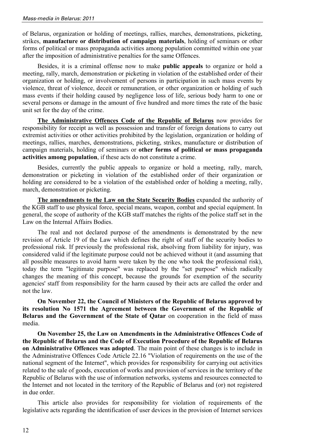of Belarus, organization or holding of meetings, rallies, marches, demonstrations, picketing, strikes, **manufacture or distribution of campaign materials**, holding of seminars or other forms of political or mass propaganda activities among population committed within one year after the imposition of administrative penalties for the same Offences.

Besides, it is a criminal offense now to make **public appeals** to organize or hold a meeting, rally, march, demonstration or picketing in violation of the established order of their organization or holding, or involvement of persons in participation in such mass events by violence, threat of violence, deceit or remuneration, or other organization or holding of such mass events if their holding caused by negligence loss of life, serious body harm to one or several persons or damage in the amount of five hundred and more times the rate of the basic unit set for the day of the crime.

**The Administrative Offences Code of the Republic of Belarus** now provides for responsibility for receipt as well as possession and transfer of foreign donations to carry out extremist activities or other activities prohibited by the legislation, organization or holding of meetings, rallies, marches, demonstrations, picketing, strikes, manufacture or distribution of campaign materials, holding of seminars or **other forms of political or mass propaganda activities among population**, if these acts do not constitute a crime.

Besides, currently the public appeals to organize or hold a meeting, rally, march, demonstration or picketing in violation of the established order of their organization or holding are considered to be a violation of the established order of holding a meeting, rally, march, demonstration or picketing.

**The amendments to the Law on the State Security Bodies** expanded the authority of the KGB staff to use physical force, special means, weapon, combat and special equipment. In general, the scope of authority of the KGB staff matches the rights of the police staff set in the Law on the Internal Affairs Bodies.

The real and not declared purpose of the amendments is demonstrated by the new revision of Article 19 of the Law which defines the right of staff of the security bodies to professional risk. If previously the professional risk, absolving from liability for injury, was considered valid if the legitimate purpose could not be achieved without it (and assuming that all possible measures to avoid harm were taken by the one who took the professional risk), today the term "legitimate purpose" was replaced by the "set purpose" which radically changes the meaning of this concept, because the grounds for exemption of the security agencies' staff from responsibility for the harm caused by their acts are called the order and not the law.

**On November 22, the Council of Ministers of the Republic of Belarus approved by its resolution No 1571 the Agreement between the Government of the Republic of Belarus and the Government of the State of Qatar** on cooperation in the field of mass media.

**On November 25, the Law on Amendments in the Administrative Offences Code of the Republic of Belarus and the Code of Execution Procedure of the Republic of Belarus on Administrative Offences was adopted**. The main point of these changes is to include in the Administrative Offences Code Article 22.16 "Violation of requirements on the use of the national segment of the Internet", which provides for responsibility for carrying out activities related to the sale of goods, execution of works and provision of services in the territory of the Republic of Belarus with the use of information networks, systems and resources connected to the Internet and not located in the territory of the Republic of Belarus and (or) not registered in due order.

This article also provides for responsibility for violation of requirements of the legislative acts regarding the identification of user devices in the provision of Internet services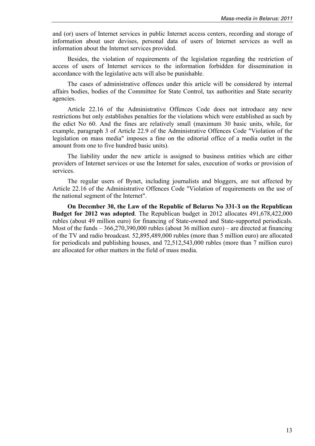and (or) users of Internet services in public Internet access centers, recording and storage of information about user devises, personal data of users of Internet services as well as information about the Internet services provided.

Besides, the violation of requirements of the legislation regarding the restriction of access of users of Internet services to the information forbidden for dissemination in accordance with the legislative acts will also be punishable.

The cases of administrative offences under this article will be considered by internal affairs bodies, bodies of the Committee for State Control, tax authorities and State security agencies.

Article 22.16 of the Administrative Offences Code does not introduce any new restrictions but only establishes penalties for the violations which were established as such by the edict No 60. And the fines are relatively small (maximum 30 basic units, while, for example, paragraph 3 of Article 22.9 of the Administrative Offences Code "Violation of the legislation on mass media" imposes a fine on the editorial office of a media outlet in the amount from one to five hundred basic units).

The liability under the new article is assigned to business entities which are either providers of Internet services or use the Internet for sales, execution of works or provision of services.

The regular users of Bynet, including journalists and bloggers, are not affected by Article 22.16 of the Administrative Offences Code "Violation of requirements on the use of the national segment of the Internet".

**On December 30, the Law of the Republic of Belarus No 331-З on the Republican Budget for 2012 was adopted**. The Republican budget in 2012 allocates 491,678,422,000 rubles (about 49 million euro) for financing of State-owned and State-supported periodicals. Most of the funds – 366,270,390,000 rubles (about 36 million euro) – are directed at financing of the TV and radio broadcast. 52,895,489,000 rubles (more than 5 million euro) are allocated for periodicals and publishing houses, and 72,512,543,000 rubles (more than 7 million euro) are allocated for other matters in the field of mass media.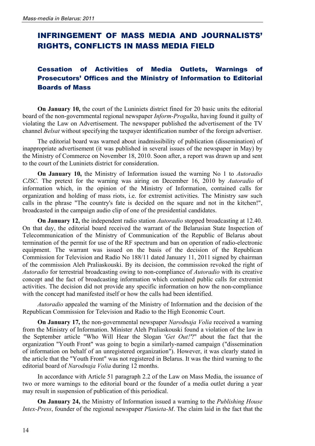## INFRINGEMENT OF MASS MEDIA AND JOURNALISTS' RIGHTS, CONFLICTS IN MASS MEDIA FIELD

## Cessation of Activities of Media Outlets, Warnings of Prosecutors' Offices and the Ministry of Information to Editorial Boards of Mass

**On January 10,** the court of the Luniniets district fined for 20 basic units the editorial board of the non-governmental regional newspaper *Inform-Progulka*, having found it guilty of violating the Law on Advertisement. The newspaper published the advertisement of the TV channel *Belsat* without specifying the taxpayer identification number of the foreign advertiser.

The editorial board was warned about inadmissibility of publication (dissemination) of inappropriate advertisement (it was published in several issues of the newspaper in May) by the Ministry of Commerce on November 18, 2010. Soon after, a report was drawn up and sent to the court of the Luniniets district for consideration.

**On January 10,** the Ministry of Information issued the warning No 1 to *Autoradio CJSC*. The pretext for the warning was airing on December 16, 2010 by *Autoradio* of information which, in the opinion of the Ministry of Information, contained calls for organization and holding of mass riots, i.e. for extremist activities. The Ministry saw such calls in the phrase "The country's fate is decided on the square and not in the kitchen!", broadcasted in the campaign audio clip of one of the presidential candidates.

**On January 12,** the independent radio station *Autoradio* stopped broadcasting at 12.40. On that day, the editorial board received the warrant of the Belarusian State Inspection of Telecommunication of the Ministry of Communication of the Republic of Belarus about termination of the permit for use of the RF spectrum and ban on operation of radio-electronic equipment. The warrant was issued on the basis of the decision of the Republican Commission for Television and Radio No 188/11 dated January 11, 2011 signed by chairman of the commission Aleh Praliaskouski. By its decision, the commission revoked the right of *Autoradio* for terrestrial broadcasting owing to non-compliance of *Autoradio* with its creative concept and the fact of broadcasting information which contained public calls for extremist activities. The decision did not provide any specific information on how the non-compliance with the concept had manifested itself or how the calls had been identified.

*Autoradio* appealed the warning of the Ministry of Information and the decision of the Republican Commission for Television and Radio to the High Economic Court.

**On January 17,** the non-governmental newspaper *Narodnaja Volia* received a warning from the Ministry of Information. Minister Aleh Praliaskouski found a violation of the law in the September article "Who Will Hear the Slogan '*Get Out!'*?" about the fact that the organization "Youth Front" was going to begin a similarly-named campaign ("dissemination of information on behalf of an unregistered organization"). However, it was clearly stated in the article that the "Youth Front" was not registered in Belarus. It was the third warning to the editorial board of *Narodnaja Volia* during 12 months.

In accordance with Article 51 paragraph 2.2 of the Law on Mass Media, the issuance of two or more warnings to the editorial board or the founder of a media outlet during a year may result in suspension of publication of this periodical.

**On January 24,** the Ministry of Information issued a warning to the *Publishing House Intex-Press*, founder of the regional newspaper *Planieta-M*. The claim laid in the fact that the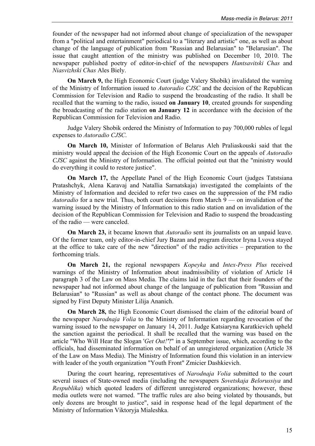founder of the newspaper had not informed about change of specialization of the newspaper from a "political and entertainment" periodical to a "literary and artistic" one, as well as about change of the language of publication from "Russian and Belarusian" to "Belarusian". The issue that caught attention of the ministry was published on December 10, 2010. The newspaper published poetry of editor-in-chief of the newspapers *Hantsavitski Chas* and *Niasvizhski Chas* Ales Biely.

**On March 9,** the High Economic Court (judge Valery Shobik) invalidated the warning of the Ministry of Information issued to *Autoradio CJSC* and the decision of the Republican Commission for Television and Radio to suspend the broadcasting of the radio. It shall be recalled that the warning to the radio, issued **on January 10**, created grounds for suspending the broadcasting of the radio station **on January 12** in accordance with the decision of the Republican Commission for Television and Radio.

Judge Valery Shobik ordered the Ministry of Information to pay 700,000 rubles of legal expenses to *Autoradio CJSC*.

**On March 10,** Minister of Information of Belarus Aleh Praliaskouski said that the ministry would appeal the decision of the High Economic Court on the appeals of *Autoradio CJSC* against the Ministry of Information. The official pointed out that the "ministry would do everything it could to restore justice".

**On March 17,** the Appellate Panel of the High Economic Court (judges Tatstsiana Pratashchyk, Alena Karavaj and Natallia Sarnatskaja) investigated the complaints of the Ministry of Information and decided to refer two cases on the suppression of the FM radio *Autoradio* for a new trial. Thus, both court decisions from March 9 — on invalidation of the warning issued by the Ministry of Information to this radio station and on invalidation of the decision of the Republican Commission for Television and Radio to suspend the broadcasting of the radio — were canceled.

**On March 23,** it became known that *Autoradio* sent its journalists on an unpaid leave. Of the former team, only editor-in-chief Jury Bazan and program director Iryna Lvova stayed at the office to take care of the new "direction" of the radio activities – preparation to the forthcoming trials.

**On March 21,** the regional newspapers *Kopeyka* and *Intex-Press Plus* received warnings of the Ministry of Information about inadmissibility of violation of Article 14 paragraph 3 of the Law on Mass Media. The claims laid in the fact that their founders of the newspaper had not informed about change of the language of publication from "Russian and Belarusian" to "Russian" as well as about change of the contact phone. The document was signed by First Deputy Minister Lilija Ananich.

**On March 28,** the High Economic Court dismissed the claim of the editorial board of the newspaper *Narodnaja Volia* to the Ministry of Information regarding revocation of the warning issued to the newspaper on January 14, 2011. Judge Katsiaryna Karatkievich upheld the sanction against the periodical. It shall be recalled that the warning was based on the article "Who Will Hear the Slogan '*Get Out!'*?" in a September issue, which, according to the officials, had disseminated information on behalf of an unregistered organization (Article 38 of the Law on Mass Media). The Ministry of Information found this violation in an interview with leader of the youth organization "Youth Front" Zmicier Dashkievich.

During the court hearing, representatives of *Narodnaja Volia* submitted to the court several issues of State-owned media (including the newspapers *Sovetskaja Belorussiya* and *Respublika*) which quoted leaders of different unregistered organizations; however, these media outlets were not warned. "The traffic rules are also being violated by thousands, but only dozens are brought to justice", said in response head of the legal department of the Ministry of Information Viktoryja Mialeshka.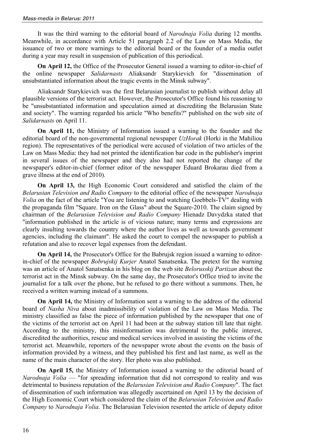It was the third warning to the editorial board of *Narodnaja Volia* during 12 months. Meanwhile, in accordance with Article 51 paragraph 2.2 of the Law on Mass Media, the issuance of two or more warnings to the editorial board or the founder of a media outlet during a year may result in suspension of publication of this periodical.

**On April 12,** the Office of the Prosecutor General issued a warning to editor-in-chief of the online newspaper *Salidarnasts* Aliaksandr Starykievich for "dissemination of unsubstantiated information about the tragic events in the Minsk subway".

Aliaksandr Starykievich was the first Belarusian journalist to publish without delay all plausible versions of the terrorist act. However, the Prosecutor's Office found his reasoning to be "unsubstantiated information and speculation aimed at discrediting the Belarusian State and society". The warning regarded his article "Who benefits?" published on the web site of *Salidarnasts* on April 11.

**On April 11,** the Ministry of Information issued a warning to the founder and the editorial board of the non-governmental regional newspaper *UzHorak* (Horki in the Mahiliou region). The representatives of the periodical were accused of violation of two articles of the Law on Mass Media: they had not printed the identification bar code in the publisher's imprint in several issues of the newspaper and they also had not reported the change of the newspaper's editor-in-chief (former editor of the newspaper Eduard Brokarau died from a grave illness at the end of 2010).

**On April 13,** the High Economic Court considered and satisfied the claim of the *Belarusian Television and Radio Company* to the editorial office of the newspaper *Narodnaja Volia* on the fact of the article "You are listening to and watching Goebbels-TV" dealing with the propaganda film "Square. Iron on the Glass" about the Square-2010. The claim signed by chairman of the *Belarusian Television and Radio Company* Hienadz Davydzka stated that "information published in the article is of vicious nature; many terms and expressions are clearly insulting towards the country where the author lives as well as towards government agencies, including the claimant". He asked the court to compel the newspaper to publish a refutation and also to recover legal expenses from the defendant.

**On April 14,** the Prosecutor's Office for the Babrujsk region issued a warning to editorin-chief of the newspaper *Bobrujskij Kurjer* Anatol Sanatsenka. The pretext for the warning was an article of Anatol Sanatsenka in his blog on the web site *Belorusskij Partizan* about the terrorist act in the Minsk subway. On the same day, the Prosecutor's Office tried to invite the journalist for a talk over the phone, but he refused to go there without a summons. Then, he received a written warning instead of a summons.

**On April 14,** the Ministry of Information sent a warning to the address of the editorial board of *Nasha Niva* about inadmissibility of violation of the Law on Mass Media. The ministry classified as false the piece of information published by the newspaper that one of the victims of the terrorist act on April 11 had been at the subway station till late that night. According to the ministry, this misinformation was detrimental to the public interest, discredited the authorities, rescue and medical services involved in assisting the victims of the terrorist act. Meanwhile, reporters of the newspaper wrote about the events on the basis of information provided by a witness, and they published his first and last name, as well as the name of the main character of the story. Her photo was also published.

**On April 15,** the Ministry of Information issued a warning to the editorial board of *Narodnaja Volia* — "for spreading information that did not correspond to reality and was detrimental to business reputation of the *Belarusian Television and Radio Company*". The fact of dissemination of such information was allegedly ascertained on April 13 by the decision of the High Economic Court which considered the claim of the *Belarusian Television and Radio Company* to *Narodnaja Volia*. The Belarusian Television resented the article of deputy editor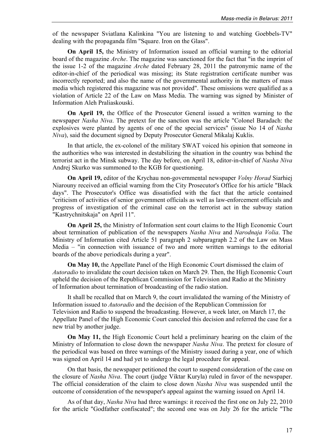of the newspaper Sviatlana Kalinkina "You are listening to and watching Goebbels-TV" dealing with the propaganda film "Square. Iron on the Glass".

**On April 15,** the Ministry of Information issued an official warning to the editorial board of the magazine *Arche*. The magazine was sanctioned for the fact that "in the imprint of the issue 1-2 of the magazine *Arche* dated February 28, 2011 the patronymic name of the editor-in-chief of the periodical was missing; its State registration certificate number was incorrectly reported; and also the name of the governmental authority in the matters of mass media which registered this magazine was not provided". These omissions were qualified as a violation of Article 22 of the Law on Mass Media. The warning was signed by Minister of Information Aleh Praliaskouski.

**On April 19,** the Office of the Prosecutor General issued a written warning to the newspaper *Nasha Niva*. The pretext for the sanction was the article "Colonel Baradach: the explosives were planted by agents of one of the special services" (issue No 14 of *Nasha Niva*), said the document signed by Deputy Prosecutor General Mikalaj Kuklis.

In that article, the ex-colonel of the military SWAT voiced his opinion that someone in the authorities who was interested in destabilizing the situation in the country was behind the terrorist act in the Minsk subway. The day before, on April 18, editor-in-chief of *Nasha Niva* Andrej Skurko was summoned to the KGB for questioning.

**On April 19,** editor of the Krychau non-governmental newspaper *Volny Horad* Siarhiej Niarouny received an official warning from the City Prosecutor's Office for his article "Black days". The Prosecutor's Office was dissatisfied with the fact that the article contained "criticism of activities of senior government officials as well as law-enforcement officials and progress of investigation of the criminal case on the terrorist act in the subway station "Kastrychnitskaja" on April 11".

**On April 25,** the Ministry of Information sent court claims to the High Economic Court about termination of publication of the newspapers *Nasha Niva* and *Narodnaja Volia*. The Ministry of Information cited Article 51 paragraph 2 subparagraph 2.2 of the Law on Mass Media – "in connection with issuance of two and more written warnings to the editorial boards of the above periodicals during a year".

**On May 10,** the Appellate Panel of the High Economic Court dismissed the claim of *Autoradio* to invalidate the court decision taken on March 29. Then, the High Economic Court upheld the decision of the Republican Commission for Television and Radio at the Ministry of Information about termination of broadcasting of the radio station.

It shall be recalled that on March 9, the court invalidated the warning of the Ministry of Information issued to *Autoradio* and the decision of the Republican Commission for Television and Radio to suspend the broadcasting. However, a week later, on March 17, the Appellate Panel of the High Economic Court canceled this decision and referred the case for a new trial by another judge.

**On May 11,** the High Economic Court held a preliminary hearing on the claim of the Ministry of Information to close down the newspaper *Nasha Niva*. The pretext for closure of the periodical was based on three warnings of the Ministry issued during a year, one of which was signed on April 14 and had yet to undergo the legal procedure for appeal.

On that basis, the newspaper petitioned the court to suspend consideration of the case on the closure of *Nasha Niva*. The court (judge Viktar Kuryla) ruled in favor of the newspaper. The official consideration of the claim to close down *Nasha Niva* was suspended until the outcome of consideration of the newspaper's appeal against the warning issued on April 14.

As of that day, *Nasha Niva* had three warnings: it received the first one on July 22, 2010 for the article "Godfather confiscated"; the second one was on July 26 for the article "The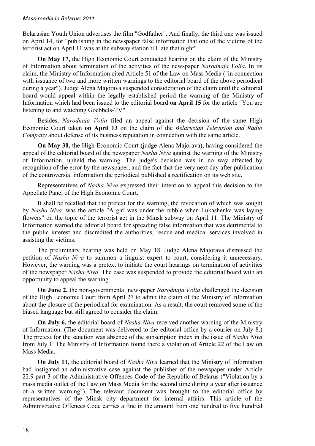Belarusian Youth Union advertises the film "Godfather". And finally, the third one was issued on April 14, for "publishing in the newspaper false information that one of the victims of the terrorist act on April 11 was at the subway station till late that night".

**On May 17,** the High Economic Court conducted hearing on the claim of the Ministry of Information about termination of the activities of the newspaper *Narodnaja Volia*. In its claim, the Ministry of Information cited Article 51 of the Law on Mass Media ("in connection with issuance of two and more written warnings to the editorial board of the above periodical during a year"). Judge Alena Majorava suspended consideration of the claim until the editorial board would appeal within the legally established period the warning of the Ministry of Information which had been issued to the editorial board **on April 15** for the article "You are listening to and watching Goebbels-TV".

Besides, *Narodnaja Volia* filed an appeal against the decision of the same High Economic Court taken **on April 13** on the claim of the *Belarusian Television and Radio Company* about defense of its business reputation in connection with the same article.

**On May 30,** the High Economic Court (judge Alena Majorava), having considered the appeal of the editorial board of the newspaper *Nasha Niva* against the warning of the Ministry of Information, upheld the warning. The judge's decision was in no way affected by recognition of the error by the newspaper, and the fact that the very next day after publication of the controversial information the periodical published a rectification on its web site.

Representatives of *Nasha Niva* expressed their intention to appeal this decision to the Appellate Panel of the High Economic Court.

It shall be recalled that the pretext for the warning, the revocation of which was sought by *Nasha Niva*, was the article "A girl was under the rubble when Lukashenka was laying flowers" on the topic of the terrorist act in the Minsk subway on April 11. The Ministry of Information warned the editorial board for spreading false information that was detrimental to the public interest and discredited the authorities, rescue and medical services involved in assisting the victims.

The preliminary hearing was held on May 18. Judge Alena Majorava dismissed the petition of *Nasha Niva* to summon a linguist expert to court, considering it unnecessary. However, the warning was a pretext to initiate the court hearings on termination of activities of the newspaper *Nasha Niva*. The case was suspended to provide the editorial board with an opportunity to appeal the warning.

**On June 2,** the non-governmental newspaper *Narodnaja Volia* challenged the decision of the High Economic Court from April 27 to admit the claim of the Ministry of Information about the closure of the periodical for examination. As a result, the court removed some of the biased language but still agreed to consider the claim.

**On July 6,** the editorial board of *Nasha Niva* received another warning of the Ministry of Information. (The document was delivered to the editorial office by a courier on July 8.) The pretext for the sanction was absence of the subscription index in the issue of *Nasha Niva* from July 1. The Ministry of Information found there a violation of Article 22 of the Law on Mass Media.

**On July 11,** the editorial board of *Nasha Niva* learned that the Ministry of Information had instigated an administrative case against the publisher of the newspaper under Article 22.9 part 3 of the Administrative Offences Code of the Republic of Belarus ("Violation by a mass media outlet of the Law on Mass Media for the second time during a year after issuance of a written warning"). The relevant document was brought to the editorial office by representatives of the Minsk city department for internal affairs. This article of the Administrative Offences Code carries a fine in the amount from one hundred to five hundred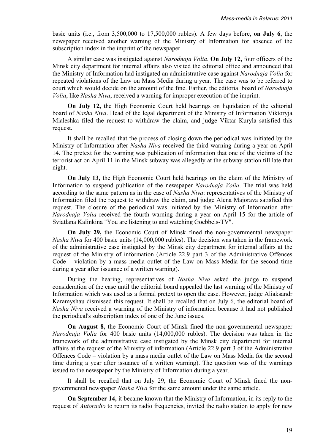basic units (i.e., from 3,500,000 to 17,500,000 rubles). A few days before, **on July 6**, the newspaper received another warning of the Ministry of Information for absence of the subscription index in the imprint of the newspaper.

A similar case was instigated against *Narodnaja Volia*. **On July 12,** four officers of the Minsk city department for internal affairs also visited the editorial office and announced that the Ministry of Information had instigated an administrative case against *Narodnaja Volia* for repeated violations of the Law on Mass Media during a year. The case was to be referred to court which would decide on the amount of the fine. Earlier, the editorial board of *Narodnaja Volia*, like *Nasha Niva*, received a warning for improper execution of the imprint.

**On July 12,** the High Economic Court held hearings on liquidation of the editorial board of *Nasha Niva*. Head of the legal department of the Ministry of Information Viktoryja Mialeshka filed the request to withdraw the claim, and judge Viktar Kuryla satisfied this request.

It shall be recalled that the process of closing down the periodical was initiated by the Ministry of Information after *Nasha Niva* received the third warning during a year on April 14. The pretext for the warning was publication of information that one of the victims of the terrorist act on April 11 in the Minsk subway was allegedly at the subway station till late that night.

**On July 13,** the High Economic Court held hearings on the claim of the Ministry of Information to suspend publication of the newspaper *Narodnaja Volia*. The trial was held according to the same pattern as in the case of *Nasha Niva*: representatives of the Ministry of Information filed the request to withdraw the claim, and judge Alena Majorava satisfied this request. The closure of the periodical was initiated by the Ministry of Information after *Narodnaja Volia* received the fourth warning during a year on April 15 for the article of Sviatlana Kalinkina "You are listening to and watching Goebbels-TV".

**On July 29,** the Economic Court of Minsk fined the non-governmental newspaper *Nasha Niva* for 400 basic units (14,000,000 rubles). The decision was taken in the framework of the administrative case instigated by the Minsk city department for internal affairs at the request of the Ministry of information (Article 22.9 part 3 of the Administrative Offences Code – violation by a mass media outlet of the Law on Mass Media for the second time during a year after issuance of a written warning).

During the hearing, representatives of *Nasha Niva* asked the judge to suspend consideration of the case until the editorial board appealed the last warning of the Ministry of Information which was used as a formal pretext to open the case. However, judge Aliaksandr Karamyshau dismissed this request. It shall be recalled that on July 6, the editorial board of *Nasha Niva* received a warning of the Ministry of information because it had not published the periodical's subscription index of one of the June issues.

**On August 8,** the Economic Court of Minsk fined the non-governmental newspaper *Narodnaja Volia* for 400 basic units (14,000,000 rubles). The decision was taken in the framework of the administrative case instigated by the Minsk city department for internal affairs at the request of the Ministry of information (Article 22.9 part 3 of the Administrative Offences Code – violation by a mass media outlet of the Law on Mass Media for the second time during a year after issuance of a written warning). The question was of the warnings issued to the newspaper by the Ministry of Information during a year.

It shall be recalled that on July 29, the Economic Court of Minsk fined the nongovernmental newspaper *Nasha Niva* for the same amount under the same article.

**On September 14,** it became known that the Ministry of Information, in its reply to the request of *Autoradio* to return its radio frequencies, invited the radio station to apply for new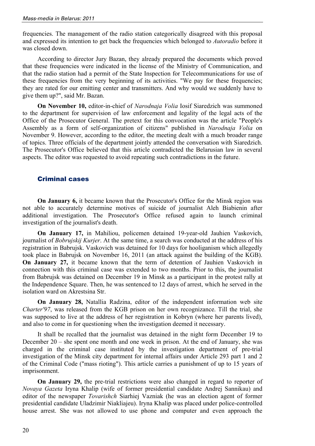frequencies. The management of the radio station categorically disagreed with this proposal and expressed its intention to get back the frequencies which belonged to *Autoradio* before it was closed down.

According to director Jury Bazan, they already prepared the documents which proved that these frequencies were indicated in the license of the Ministry of Communication, and that the radio station had a permit of the State Inspection for Telecommunications for use of these frequencies from the very beginning of its activities. "We pay for these frequencies; they are rated for our emitting center and transmitters. And why would we suddenly have to give them up?", said Mr. Bazan.

**On November 10,** editor-in-chief of *Narodnaja Volia* Iosif Siaredzich was summoned to the department for supervision of law enforcement and legality of the legal acts of the Office of the Prosecutor General. The pretext for this convocation was the article "People's Assembly as a form of self-organization of citizens" published in *Narodnaja Volia* on November 9. However, according to the editor, the meeting dealt with a much broader range of topics. Three officials of the department jointly attended the conversation with Siaredzich. The Prosecutor's Office believed that this article contradicted the Belarusian law in several aspects. The editor was requested to avoid repeating such contradictions in the future.

#### Criminal cases

**On January 6,** it became known that the Prosecutor's Office for the Minsk region was not able to accurately determine motives of suicide of journalist Aleh Biabienin after additional investigation. The Prosecutor's Office refused again to launch criminal investigation of the journalist's death.

**On January 17,** in Mahiliou, policemen detained 19-year-old Jauhien Vaskovich, journalist of *Bobrujskij Kurjer*. At the same time, a search was conducted at the address of his registration in Babrujsk. Vaskovich was detained for 10 days for hooliganism which allegedly took place in Babrujsk on November 16, 2011 (an attack against the building of the KGB). **On January 27,** it became known that the term of detention of Jauhien Vaskovich in connection with this criminal case was extended to two months. Prior to this, the journalist from Babrujsk was detained on December 19 in Minsk as a participant in the protest rally at the Independence Square. Then, he was sentenced to 12 days of arrest, which he served in the isolation ward on Akrestsina Str.

**On January 28,** Natallia Radzina, editor of the independent information web site *Charter'97*, was released from the KGB prison on her own recognizance. Till the trial, she was supposed to live at the address of her registration in Kobryn (where her parents lived), and also to come in for questioning when the investigation deemed it necessary.

It shall be recalled that the journalist was detained in the night form December 19 to December 20 – she spent one month and one week in prison. At the end of January, she was charged in the criminal case instituted by the investigation department of pre-trial investigation of the Minsk city department for internal affairs under Article 293 part 1 and 2 of the Criminal Code ("mass rioting"). This article carries a punishment of up to 15 years of imprisonment.

**On January 29,** the pre-trial restrictions were also changed in regard to reporter of *Novaya Gazeta* Iryna Khalip (wife of former presidential candidate Andrej Sannikau) and editor of the newspaper *Tovarishch* Siarhiej Vazniak (he was an election agent of former presidential candidate Uladzimir Niakliajeu). Iryna Khalip was placed under police-controlled house arrest. She was not allowed to use phone and computer and even approach the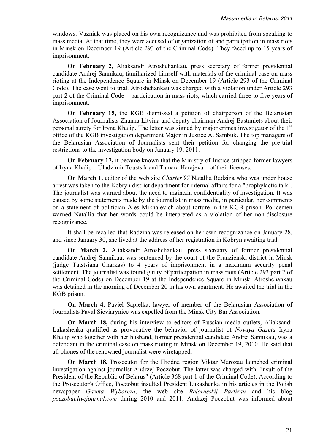windows. Vazniak was placed on his own recognizance and was prohibited from speaking to mass media. At that time, they were accused of organization of and participation in mass riots in Minsk on December 19 (Article 293 of the Criminal Code). They faced up to 15 years of imprisonment.

**On February 2,** Aliaksandr Atroshchankau, press secretary of former presidential candidate Andrej Sannikau, familiarized himself with materials of the criminal case on mass rioting at the Independence Square in Minsk on December 19 (Article 293 of the Criminal Code). The case went to trial. Atroshchankau was charged with a violation under Article 293 part 2 of the Criminal Code – participation in mass riots, which carried three to five years of imprisonment.

**On February 15,** the KGB dismissed a petition of chairperson of the Belarusian Association of Journalists Zhanna Litvina and deputy chairman Andrej Bastuniets about their personal surety for Iryna Khalip. The letter was signed by major crimes investigator of the 1st office of the KGB investigation department Major in Justice A. Sambuk. The top managers of the Belarusian Association of Journalists sent their petition for changing the pre-trial restrictions to the investigation body on January 19, 2011.

**On February 17,** it became known that the Ministry of Justice stripped former lawyers of Iryna Khalip – Uladzimir Toustsik and Tamara Harajeva – of their licenses.

**On March 1,** editor of the web site *Charter'97* Natallia Radzina who was under house arrest was taken to the Kobryn district department for internal affairs for a "prophylactic talk". The journalist was warned about the need to maintain confidentiality of investigation. It was caused by some statements made by the journalist in mass media, in particular, her comments on a statement of politician Ales Mikhalevich about torture in the KGB prison. Policemen warned Natallia that her words could be interpreted as a violation of her non-disclosure recognizance.

It shall be recalled that Radzina was released on her own recognizance on January 28, and since January 30, she lived at the address of her registration in Kobryn awaiting trial.

**On March 2,** Aliaksandr Atroshchankau, press secretary of former presidential candidate Andrej Sannikau, was sentenced by the court of the Frunzienski district in Minsk (judge Tatstsiana Charkas) to 4 years of imprisonment in a maximum security penal settlement. The journalist was found guilty of participation in mass riots (Article 293 part 2 of the Criminal Code) on December 19 at the Independence Square in Minsk. Atroshchankau was detained in the morning of December 20 in his own apartment. He awaited the trial in the KGB prison.

**On March 4,** Paviel Sapielka, lawyer of member of the Belarusian Association of Journalists Paval Sieviaryniec was expelled from the Minsk City Bar Association.

**On March 18,** during his interview to editors of Russian media outlets, Aliaksandr Lukashenka qualified as provocative the behavior of journalist of *Novaya Gazeta* Iryna Khalip who together with her husband, former presidential candidate Andrej Sannikau, was a defendant in the criminal case on mass rioting in Minsk on December 19, 2010. He said that all phones of the renowned journalist were wiretapped.

**On March 18,** Prosecutor for the Hrodna region Viktar Marozau launched criminal investigation against journalist Andrzej Poczobut. The latter was charged with "insult of the President of the Republic of Belarus" (Article 368 part 1 of the Criminal Code). According to the Prosecutor's Office, Poczobut insulted President Lukashenka in his articles in the Polish newspaper *Gazeta Wyborcza*, the web site *Belorusskij Partizan* and his blog *poczobut.livejournal.com* during 2010 and 2011. Andrzej Poczobut was informed about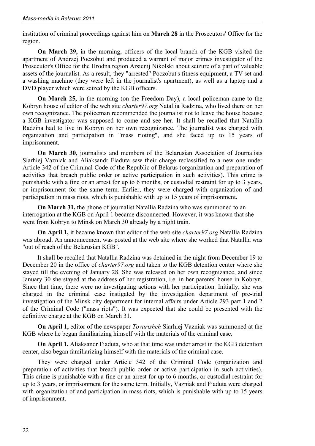institution of criminal proceedings against him on **March 28** in the Prosecutors' Office for the region.

**On March 29,** in the morning, officers of the local branch of the KGB visited the apartment of Andrzej Poczobut and produced a warrant of major crimes investigator of the Prosecutor's Office for the Hrodna region Arsienij Nikolski about seizure of a part of valuable assets of the journalist. As a result, they "arrested" Poczobut's fitness equipment, a TV set and a washing machine (they were left in the journalist's apartment), as well as a laptop and a DVD player which were seized by the KGB officers.

**On March 25,** in the morning (on the Freedom Day), a local policeman came to the Kobryn house of editor of the web site *сharter97.org* Natallia Radzina, who lived there on her own recognizance. The policeman recommended the journalist not to leave the house because a KGB investigator was supposed to come and see her. It shall be recalled that Natallia Radzina had to live in Kobryn on her own recognizance. The journalist was charged with organization and participation in "mass rioting", and she faced up to 15 years of imprisonment.

**On March 30,** journalists and members of the Belarusian Association of Journalists Siarhiej Vazniak and Aliaksandr Fiaduta saw their charge reclassified to a new one under Article 342 of the Criminal Code of the Republic of Belarus (organization and preparation of activities that breach public order or active participation in such activities). This crime is punishable with a fine or an arrest for up to 6 months, or custodial restraint for up to 3 years, or imprisonment for the same term. Earlier, they were charged with organization of and participation in mass riots, which is punishable with up to 15 years of imprisonment.

**On March 31,** the phone of journalist Natallia Radzina who was summoned to an interrogation at the KGB on April 1 became disconnected. However, it was known that she went from Kobryn to Minsk on March 30 already by a night train.

**On April 1,** it became known that editor of the web site *сharter97.org* Natallia Radzina was abroad. An announcement was posted at the web site where she worked that Natallia was "out of reach of the Belarusian KGB".

It shall be recalled that Natallia Radzina was detained in the night from December 19 to December 20 in the office of *charter97.org* and taken to the KGB detention center where she stayed till the evening of January 28. She was released on her own recognizance, and since January 30 she stayed at the address of her registration, i.e. in her parents' house in Kobryn. Since that time, there were no investigating actions with her participation. Initially, she was charged in the criminal case instigated by the investigation department of pre-trial investigation of the Minsk city department for internal affairs under Article 293 part 1 and 2 of the Criminal Code ("mass riots"). It was expected that she could be presented with the definitive charge at the KGB on March 31.

**On April 1,** editor of the newspaper *Tovarishch* Siarhiej Vazniak was summoned at the KGB where he began familiarizing himself with the materials of the criminal case.

**On April 1,** Aliaksandr Fiaduta, who at that time was under arrest in the KGB detention center, also began familiarizing himself with the materials of the criminal case.

They were charged under Article 342 of the Criminal Code (organization and preparation of activities that breach public order or active participation in such activities). This crime is punishable with a fine or an arrest for up to 6 months, or custodial restraint for up to 3 years, or imprisonment for the same term. Initially, Vazniak and Fiaduta were charged with organization of and participation in mass riots, which is punishable with up to 15 years of imprisonment.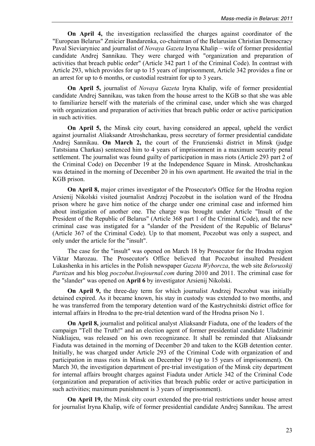**On April 4,** the investigation reclassified the charges against coordinator of the "European Belarus" Zmicier Bandarenka, co-chairman of the Belarusian Christian Democracy Paval Sieviaryniec and journalist of *Novaya Gazeta* Iryna Khalip – wife of former presidential candidate Andrej Sannikau. They were charged with "organization and preparation of activities that breach public order" (Article 342 part 1 of the Criminal Code). In contrast with Article 293, which provides for up to 15 years of imprisonment, Article 342 provides a fine or an arrest for up to 6 months, or custodial restraint for up to 3 years.

**On April 5,** journalist of *Novaya Gazeta* Iryna Khalip, wife of former presidential candidate Andrej Sannikau, was taken from the house arrest to the KGB so that she was able to familiarize herself with the materials of the criminal case, under which she was charged with organization and preparation of activities that breach public order or active participation in such activities.

**On April 5,** the Minsk city court, having considered an appeal, upheld the verdict against journalist Aliaksandr Atroshchankau, press secretary of former presidential candidate Andrej Sannikau. **On March 2,** the court of the Frunzienski district in Minsk (judge Tatstsiana Charkas) sentenced him to 4 years of imprisonment in a maximum security penal settlement. The journalist was found guilty of participation in mass riots (Article 293 part 2 of the Criminal Code) on December 19 at the Independence Square in Minsk. Atroshchankau was detained in the morning of December 20 in his own apartment. He awaited the trial in the KGB prison.

**On April 8,** major crimes investigator of the Prosecutor's Office for the Hrodna region Arsienij Nikolski visited journalist Andrzej Poczobut in the isolation ward of the Hrodna prison where he gave him notice of the charge under one criminal case and informed him about instigation of another one. The charge was brought under Article "Insult of the President of the Republic of Belarus" (Article 368 part 1 of the Criminal Code), and the new criminal case was instigated for a "slander of the President of the Republic of Belarus" (Article 367 of the Criminal Code). Up to that moment, Poczobut was only a suspect, and only under the article for the "insult".

The case for the "insult" was opened on March 18 by Prosecutor for the Hrodna region Viktar Marozau. The Prosecutor's Office believed that Poczobut insulted President Lukashenka in his articles in the Polish newspaper *Gazeta Wyborcza*, the web site *Belorusskij Partizan* and his blog *poczobut.livejournal.com* during 2010 and 2011. The criminal case for the "slander" was opened on **April 6** by investigator Arsienij Nikolski.

**On April 9,** the three-day term for which journalist Andrzej Poczobut was initially detained expired. As it became known, his stay in custody was extended to two months, and he was transferred from the temporary detention ward of the Kastrychnitski district office for internal affairs in Hrodna to the pre-trial detention ward of the Hrodna prison No 1.

**On April 8,** journalist and political analyst Aliaksandr Fiaduta, one of the leaders of the campaign "Tell the Truth!" and an election agent of former presidential candidate Uladzimir Niakliajeu, was released on his own recognizance. It shall be reminded that Aliaksandr Fiaduta was detained in the morning of December 20 and taken to the KGB detention center. Initially, he was charged under Article 293 of the Criminal Code with organization of and participation in mass riots in Minsk on December 19 (up to 15 years of imprisonment). On March 30, the investigation department of pre-trial investigation of the Minsk city department for internal affairs brought charges against Fiaduta under Article 342 of the Criminal Code (organization and preparation of activities that breach public order or active participation in such activities; maximum punishment is 3 years of imprisonment).

**On April 19,** the Minsk city court extended the pre-trial restrictions under house arrest for journalist Iryna Khalip, wife of former presidential candidate Andrej Sannikau. The arrest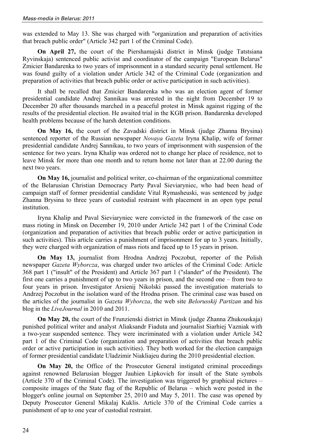was extended to May 13. She was charged with "organization and preparation of activities that breach public order" (Article 342 part 1 of the Criminal Code).

**On April 27,** the court of the Piershamajski district in Minsk (judge Tatstsiana Ryvinskaja) sentenced public activist and coordinator of the campaign "European Belarus" Zmicier Bandarenka to two years of imprisonment in a standard security penal settlement. He was found guilty of a violation under Article 342 of the Criminal Code (organization and preparation of activities that breach public order or active participation in such activities).

It shall be recalled that Zmicier Bandarenka who was an election agent of former presidential candidate Andrej Sannikau was arrested in the night from December 19 to December 20 after thousands marched in a peaceful protest in Minsk against rigging of the results of the presidential election. He awaited trial in the KGB prison. Bandarenka developed health problems because of the harsh detention conditions.

**On May 16,** the court of the Zavadski district in Minsk (judge Zhanna Brysina) sentenced reporter of the Russian newspaper *Novaya Gazeta* Iryna Khalip, wife of former presidential candidate Andrej Sannikau, to two years of imprisonment with suspension of the sentence for two years. Iryna Khalip was ordered not to change her place of residence, not to leave Minsk for more than one month and to return home not later than at 22.00 during the next two years.

**On May 16,** journalist and political writer, co-chairman of the organizational committee of the Belarusian Christian Democracy Party Paval Sieviaryniec, who had been head of campaign staff of former presidential candidate Vital Rymasheuski, was sentenced by judge Zhanna Brysina to three years of custodial restraint with placement in an open type penal institution.

Iryna Khalip and Paval Sieviaryniec were convicted in the framework of the case on mass rioting in Minsk on December 19, 2010 under Article 342 part 1 of the Criminal Code (organization and preparation of activities that breach public order or active participation in such activities). This article carries a punishment of imprisonment for up to 3 years. Initially, they were charged with organization of mass riots and faced up to 15 years in prison.

**On May 13,** journalist from Hrodna Andrzej Poczobut, reporter of the Polish newspaper *Gazeta Wyborcza*, was charged under two articles of the Criminal Code: Article 368 part 1 ("insult" of the President) and Article 367 part 1 ("slander" of the President). The first one carries a punishment of up to two years in prison, and the second one – from two to four years in prison. Investigator Arsienij Nikolski passed the investigation materials to Andrzej Poczobut in the isolation ward of the Hrodna prison. The criminal case was based on the articles of the journalist in *Gazeta Wyborcza*, the web site *Belorusskij Partizan* and his blog in the *LiveJournal* in 2010 and 2011.

**On May 20,** the court of the Frunzienski district in Minsk (judge Zhanna Zhukouskaja) punished political writer and analyst Aliaksandr Fiaduta and journalist Siarhiej Vazniak with a two-year suspended sentence. They were incriminated with a violation under Article 342 part 1 of the Criminal Code (organization and preparation of activities that breach public order or active participation in such activities). They both worked for the election campaign of former presidential candidate Uladzimir Niakliajeu during the 2010 presidential election.

**On May 20,** the Office of the Prosecutor General instigated criminal proceedings against renowned Belarusian blogger Jauhien Lipkovich for insult of the State symbols (Article 370 of the Criminal Code). The investigation was triggered by graphical pictures – composite images of the State flag of the Republic of Belarus – which were posted in the blogger's online journal on September 25, 2010 and May 5, 2011. The case was opened by Deputy Prosecutor General Mikalaj Kuklis. Article 370 of the Criminal Code carries a punishment of up to one year of custodial restraint.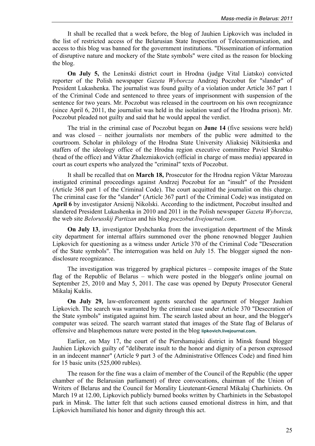It shall be recalled that a week before, the blog of Jauhien Lipkovich was included in the list of restricted access of the Belarusian State Inspection of Telecommunication, and access to this blog was banned for the government institutions. "Dissemination of information of disruptive nature and mockery of the State symbols" were cited as the reason for blocking the blog.

**On July 5,** the Leninski district court in Hrodna (judge Vital Liatsko) convicted reporter of the Polish newspaper *Gazeta Wyborcza* Andrzej Poczobut for "slander" of President Lukashenka. The journalist was found guilty of a violation under Article 367 part 1 of the Criminal Code and sentenced to three years of imprisonment with suspension of the sentence for two years. Mr. Poczobut was released in the courtroom on his own recognizance (since April 6, 2011, the journalist was held in the isolation ward of the Hrodna prison). Mr. Poczobut pleaded not guilty and said that he would appeal the verdict.

The trial in the criminal case of Poczobut began on **June 14** (five sessions were held) and was closed – neither journalists nor members of the public were admitted to the courtroom. Scholar in philology of the Hrodna State University Aliaksiej Nikitsienka and staffers of the ideology office of the Hrodna region executive committee Paviel Skrabko (head of the office) and Viktar Zhalezniakovich (official in charge of mass media) appeared in court as court experts who analyzed the "criminal" texts of Poczobut.

It shall be recalled that on **March 18,** Prosecutor for the Hrodna region Viktar Marozau instigated criminal proceedings against Andrzej Poczobut for an "insult" of the President (Article 368 part 1 of the Criminal Code). The court acquitted the journalist on this charge. The criminal case for the "slander" (Article 367 part1 of the Criminal Code) was instigated on **April 6** by investigator Arsienij Nikolski. According to the indictment, Poczobut insulted and slandered President Lukashenka in 2010 and 2011 in the Polish newspaper *Gazeta Wyborcza*, the web site *Belorusskij Partizan* and his blog *poczobut.livejournal.com*.

**On July 13**, investigator Dyshchanka from the investigation department of the Minsk city department for internal affairs summoned over the phone renowned blogger Jauhien Lipkovich for questioning as a witness under Article 370 of the Criminal Code "Desecration of the State symbols". The interrogation was held on July 15. The blogger signed the nondisclosure recognizance.

The investigation was triggered by graphical pictures – composite images of the State flag of the Republic of Belarus – which were posted in the blogger's online journal on September 25, 2010 and May 5, 2011. The case was opened by Deputy Prosecutor General Mikalaj Kuklis.

**On July 29,** law-enforcement agents searched the apartment of blogger Jauhien Lipkovich. The search was warranted by the criminal case under Article 370 "Desecration of the State symbols" instigated against him. The search lasted about an hour, and the blogger's computer was seized. The search warrant stated that images of the State flag of Belarus of offensive and blasphemous nature were posted in the blog **lipkovich.livejournal.com**.

Earlier, on May 17, the court of the Piershamajski district in Minsk found blogger Jauhien Lipkovich guilty of "deliberate insult to the honor and dignity of a person expressed in an indecent manner" (Article 9 part 3 of the Administrative Offences Code) and fined him for 15 basic units (525,000 rubles).

The reason for the fine was a claim of member of the Council of the Republic (the upper chamber of the Belarusian parliament) of three convocations, chairman of the Union of Writers of Belarus and the Council for Morality Lieutenant-General Mikalaj Charhiniets. On March 19 at 12.00, Lipkovich publicly burned books written by Charhiniets in the Sebastopol park in Minsk. The latter felt that such actions caused emotional distress in him, and that Lipkovich humiliated his honor and dignity through this act.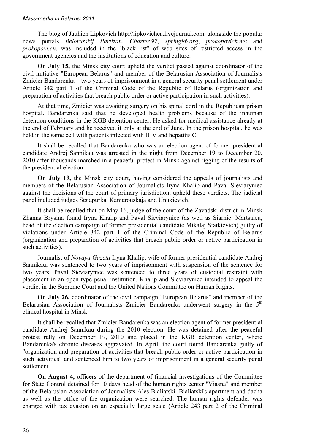The blog of Jauhien Lipkovich http://lipkovichea.livejournal.com, alongside the popular news portals *Belorusskij Partizan*, *Charter'97*, *spring96.org*, *prokopovich.net* and *prokopovi.ch*, was included in the "black list" of web sites of restricted access in the government agencies and the institutions of education and culture.

**On July 15,** the Minsk city court upheld the verdict passed against coordinator of the civil initiative "European Belarus" and member of the Belarusian Association of Journalists Zmicier Bandarenka – two years of imprisonment in a general security penal settlement under Article 342 part 1 of the Criminal Code of the Republic of Belarus (organization and preparation of activities that breach public order or active participation in such activities).

At that time, Zmicier was awaiting surgery on his spinal cord in the Republican prison hospital. Bandarenka said that he developed health problems because of the inhuman detention conditions in the KGB detention center. He asked for medical assistance already at the end of February and he received it only at the end of June. In the prison hospital, he was held in the same cell with patients infected with HIV and hepatitis C.

It shall be recalled that Bandarenka who was an election agent of former presidential candidate Andrej Sannikau was arrested in the night from December 19 to December 20, 2010 after thousands marched in a peaceful protest in Minsk against rigging of the results of the presidential election.

**On July 19,** the Minsk city court, having considered the appeals of journalists and members of the Belarusian Association of Journalists Iryna Khalip and Paval Sieviaryniec against the decisions of the court of primary jurisdiction, upheld these verdicts. The judicial panel included judges Stsiapurka, Kamarouskaja and Unukievich.

It shall be recalled that on May 16, judge of the court of the Zavadski district in Minsk Zhanna Brysina found Iryna Khalip and Paval Sieviaryniec (as well as Siarhiej Martsaleu, head of the election campaign of former presidential candidate Mikalaj Statkievich) guilty of violations under Article 342 part 1 of the Criminal Code of the Republic of Belarus (organization and preparation of activities that breach public order or active participation in such activities).

Journalist of *Novaya Gazeta* Iryna Khalip, wife of former presidential candidate Andrej Sannikau, was sentenced to two years of imprisonment with suspension of the sentence for two years. Paval Sieviaryniec was sentenced to three years of custodial restraint with placement in an open type penal institution. Khalip and Sieviaryniec intended to appeal the verdict in the Supreme Court and the United Nations Committee on Human Rights.

**On July 26,** coordinator of the civil campaign "European Belarus" and member of the Belarusian Association of Journalists Zmicier Bandarenka underwent surgery in the  $5<sup>th</sup>$ clinical hospital in Minsk.

It shall be recalled that Zmicier Bandarenka was an election agent of former presidential candidate Andrej Sannikau during the 2010 election. He was detained after the peaceful protest rally on December 19, 2010 and placed in the KGB detention center, where Bandarenka's chronic diseases aggravated. In April, the court found Bandarenka guilty of "organization and preparation of activities that breach public order or active participation in such activities" and sentenced him to two years of imprisonment in a general security penal settlement.

**On August 4,** officers of the department of financial investigations of the Committee for State Control detained for 10 days head of the human rights center "Viasna" and member of the Belarusian Association of Journalists Ales Bialiatski. Bialiatski's apartment and dacha as well as the office of the organization were searched. The human rights defender was charged with tax evasion on an especially large scale (Article 243 part 2 of the Criminal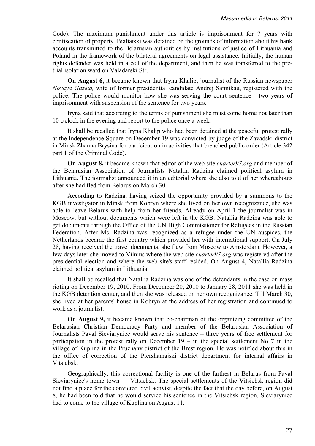Code). The maximum punishment under this article is imprisonment for 7 years with confiscation of property. Bialiatski was detained on the grounds of information about his bank accounts transmitted to the Belarusian authorities by institutions of justice of Lithuania and Poland in the framework of the bilateral agreements on legal assistance. Initially, the human rights defender was held in a cell of the department, and then he was transferred to the pretrial isolation ward on Valadarski Str.

**On August 6,** it became known that Iryna Khalip, journalist of the Russian newspaper *Novaya Gazeta,* wife of former presidential candidate Andrej Sannikau, registered with the police. The police would monitor how she was serving the court sentence - two years of imprisonment with suspension of the sentence for two years.

Iryna said that according to the terms of punishment she must come home not later than 10 o'clock in the evening and report to the police once a week.

It shall be recalled that Iryna Khalip who had been detained at the peaceful protest rally at the Independence Square on December 19 was convicted by judge of the Zavadski district in Minsk Zhanna Brysina for participation in activities that breached public order (Article 342 part 1 of the Criminal Code).

**On August 8,** it became known that editor of the web site *charter97.org* and member of the Belarusian Association of Journalists Natallia Radzina claimed political asylum in Lithuania. The journalist announced it in an editorial where she also told of her whereabouts after she had fled from Belarus on March 30.

According to Radzina, having seized the opportunity provided by a summons to the KGB investigator in Minsk from Kobryn where she lived on her own recognizance, she was able to leave Belarus with help from her friends. Already on April 1 the journalist was in Moscow, but without documents which were left in the KGB. Natallia Radzina was able to get documents through the Office of the UN High Commissioner for Refugees in the Russian Federation. After Ms. Radzina was recognized as a refugee under the UN auspices, the Netherlands became the first country which provided her with international support. On July 28, having received the travel documents, she flew from Moscow to Amsterdam. However, a few days later she moved to Vilnius where the web site *charter97.org* was registered after the presidential election and where the web site's staff resided. On August 4, Natallia Radzina claimed political asylum in Lithuania.

It shall be recalled that Natallia Radzina was one of the defendants in the case on mass rioting on December 19, 2010. From December 20, 2010 to January 28, 2011 she was held in the KGB detention center, and then she was released on her own recognizance. Till March 30, she lived at her parents' house in Kobryn at the address of her registration and continued to work as a journalist.

**On August 9,** it became known that co-chairman of the organizing committee of the Belarusian Christian Democracy Party and member of the Belarusian Association of Journalists Paval Sieviaryniec would serve his sentence – three years of free settlement for participation in the protest rally on December  $19 - in$  the special settlement No 7 in the village of Kuplina in the Pruzhany district of the Brest region. He was notified about this in the office of correction of the Piershamajski district department for internal affairs in Vitsiebsk.

Geographically, this correctional facility is one of the farthest in Belarus from Paval Sieviaryniec's home town — Vitsiebsk. The special settlements of the Vitsiebsk region did not find a place for the convicted civil activist, despite the fact that the day before, on August 8, he had been told that he would service his sentence in the Vitsiebsk region. Sieviaryniec had to come to the village of Kuplina on August 11.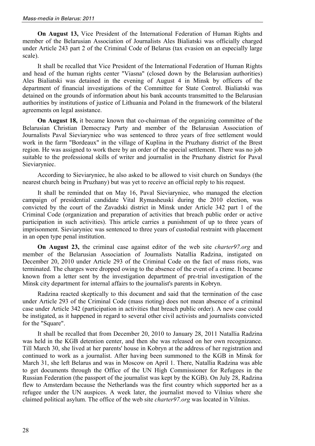**On August 13,** Vice President of the International Federation of Human Rights and member of the Belarusian Association of Journalists Ales Bialiatski was officially charged under Article 243 part 2 of the Criminal Code of Belarus (tax evasion on an especially large scale).

It shall be recalled that Vice President of the International Federation of Human Rights and head of the human rights center "Viasna" (closed down by the Belarusian authorities) Ales Bialiatski was detained in the evening of August 4 in Minsk by officers of the department of financial investigations of the Committee for State Control. Bialiatski was detained on the grounds of information about his bank accounts transmitted to the Belarusian authorities by institutions of justice of Lithuania and Poland in the framework of the bilateral agreements on legal assistance.

**On August 18,** it became known that co-chairman of the organizing committee of the Belarusian Christian Democracy Party and member of the Belarusian Association of Journalists Paval Sieviaryniec who was sentenced to three years of free settlement would work in the farm "Bordeaux" in the village of Kuplina in the Pruzhany district of the Brest region. He was assigned to work there by an order of the special settlement. There was no job suitable to the professional skills of writer and journalist in the Pruzhany district for Paval Sieviaryniec.

According to Sieviaryniec, he also asked to be allowed to visit church on Sundays (the nearest church being in Pruzhany) but was yet to receive an official reply to his request.

It shall be reminded that on May 16, Paval Sieviaryniec, who managed the election campaign of presidential candidate Vital Rymasheuski during the 2010 election, was convicted by the court of the Zavadski district in Minsk under Article 342 part 1 of the Criminal Code (organization and preparation of activities that breach public order or active participation in such activities). This article carries a punishment of up to three years of imprisonment. Sieviaryniec was sentenced to three years of custodial restraint with placement in an open type penal institution.

**On August 23,** the criminal case against editor of the web site *charter97.org* and member of the Belarusian Association of Journalists Natallia Radzina, instigated on December 20, 2010 under Article 293 of the Criminal Code on the fact of mass riots, was terminated. The charges were dropped owing to the absence of the event of a crime. It became known from a letter sent by the investigation department of pre-trial investigation of the Minsk city department for internal affairs to the journalist's parents in Kobryn.

Radzina reacted skeptically to this document and said that the termination of the case under Article 293 of the Criminal Code (mass rioting) does not mean absence of a criminal case under Article 342 (participation in activities that breach public order). A new case could be instigated, as it happened in regard to several other civil activists and journalists convicted for the "Square".

It shall be recalled that from December 20, 2010 to January 28, 2011 Natallia Radzina was held in the KGB detention center, and then she was released on her own recognizance. Till March 30, she lived at her parents' house in Kobryn at the address of her registration and continued to work as a journalist. After having been summoned to the KGB in Minsk for March 31, she left Belarus and was in Moscow on April 1. There, Natallia Radzina was able to get documents through the Office of the UN High Commissioner for Refugees in the Russian Federation (the passport of the journalist was kept by the KGB). On July 28, Radzina flew to Amsterdam because the Netherlands was the first country which supported her as a refugee under the UN auspices. A week later, the journalist moved to Vilnius where she claimed political asylum. The office of the web site *charter97.org* was located in Vilnius.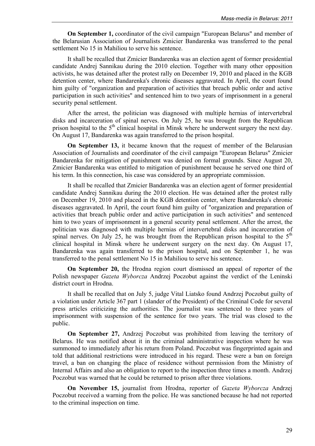**On September 1,** coordinator of the civil campaign "European Belarus" and member of the Belarusian Association of Journalists Zmicier Bandarenka was transferred to the penal settlement No 15 in Mahiliou to serve his sentence.

It shall be recalled that Zmicier Bandarenka was an election agent of former presidential candidate Andrej Sannikau during the 2010 election. Together with many other opposition activists, he was detained after the protest rally on December 19, 2010 and placed in the KGB detention center, where Bandarenka's chronic diseases aggravated. In April, the court found him guilty of "organization and preparation of activities that breach public order and active participation in such activities" and sentenced him to two years of imprisonment in a general security penal settlement.

After the arrest, the politician was diagnosed with multiple hernias of intervertebral disks and incarceration of spinal nerves. On July 25, he was brought from the Republican prison hospital to the  $5<sup>th</sup>$  clinical hospital in Minsk where he underwent surgery the next day. On August 17, Bandarenka was again transferred to the prison hospital.

**On September 13,** it became known that the request of member of the Belarusian Association of Journalists and coordinator of the civil campaign "European Belarus" Zmicier Bandarenka for mitigation of punishment was denied on formal grounds. Since August 20, Zmicier Bandarenka was entitled to mitigation of punishment because he served one third of his term. In this connection, his case was considered by an appropriate commission.

It shall be recalled that Zmicier Bandarenka was an election agent of former presidential candidate Andrej Sannikau during the 2010 election. He was detained after the protest rally on December 19, 2010 and placed in the KGB detention center, where Bandarenka's chronic diseases aggravated. In April, the court found him guilty of "organization and preparation of activities that breach public order and active participation in such activities" and sentenced him to two years of imprisonment in a general security penal settlement. After the arrest, the politician was diagnosed with multiple hernias of intervertebral disks and incarceration of spinal nerves. On July 25, he was brought from the Republican prison hospital to the  $5<sup>th</sup>$ clinical hospital in Minsk where he underwent surgery on the next day. On August 17, Bandarenka was again transferred to the prison hospital, and on September 1, he was transferred to the penal settlement No 15 in Mahiliou to serve his sentence.

**On September 20,** the Hrodna region court dismissed an appeal of reporter of the Polish newspaper *Gazeta Wyborcza* Andrzej Poczobut against the verdict of the Leninski district court in Hrodna.

It shall be recalled that on July 5, judge Vital Liatsko found Andrzej Poczobut guilty of a violation under Article 367 part 1 (slander of the President) of the Criminal Code for several press articles criticizing the authorities. The journalist was sentenced to three years of imprisonment with suspension of the sentence for two years. The trial was closed to the public.

**On September 27,** Andrzej Poczobut was prohibited from leaving the territory of Belarus. He was notified about it in the criminal administrative inspection where he was summoned to immediately after his return from Poland. Poczobut was fingerprinted again and told that additional restrictions were introduced in his regard. These were a ban on foreign travel, a ban on changing the place of residence without permission from the Ministry of Internal Affairs and also an obligation to report to the inspection three times a month. Andrzej Poczobut was warned that he could be returned to prison after three violations.

**On November 15,** journalist from Hrodna, reporter of *Gazeta Wyborcza* Andrzej Poczobut received a warning from the police. He was sanctioned because he had not reported to the criminal inspection on time.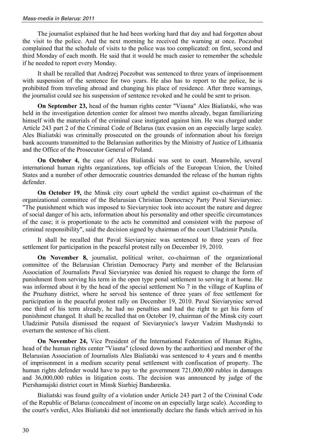The journalist explained that he had been working hard that day and had forgotten about the visit to the police. And the next morning he received the warning at once. Poczobut complained that the schedule of visits to the police was too complicated: on first, second and third Monday of each month. He said that it would be much easier to remember the schedule if he needed to report every Monday.

It shall be recalled that Andrzej Poczobut was sentenced to three years of imprisonment with suspension of the sentence for two years. He also has to report to the police, he is prohibited from traveling abroad and changing his place of residence. After three warnings, the journalist could see his suspension of sentence revoked and he could be sent to prison.

**On September 23,** head of the human rights center "Viasna" Ales Bialiatski, who was held in the investigation detention center for almost two months already, began familiarizing himself with the materials of the criminal case instigated against him. He was charged under Article 243 part 2 of the Criminal Code of Belarus (tax evasion on an especially large scale). Ales Bialiatski was criminally prosecuted on the grounds of information about his foreign bank accounts transmitted to the Belarusian authorities by the Ministry of Justice of Lithuania and the Office of the Prosecutor General of Poland.

**On October 4,** the case of Ales Bialiatski was sent to court. Meanwhile, several international human rights organizations, top officials of the European Union, the United States and a number of other democratic countries demanded the release of the human rights defender.

**On October 19,** the Minsk city court upheld the verdict against co-chairman of the organizational committee of the Belarusian Christian Democracy Party Paval Sieviaryniec. "The punishment which was imposed to Sieviaryniec took into account the nature and degree of social danger of his acts, information about his personality and other specific circumstances of the case; it is proportionate to the acts he committed and consistent with the purpose of criminal responsibility", said the decision signed by chairman of the court Uladzimir Putsila.

It shall be recalled that Paval Sieviaryniec was sentenced to three years of free settlement for participation in the peaceful protest rally on December 19, 2010.

**On November 8,** journalist, political writer, co-chairman of the organizational committee of the Belarusian Christian Democracy Party and member of the Belarusian Association of Journalists Paval Sieviaryniec was denied his request to change the form of punishment from serving his term in the open type penal settlement to serving it at home. He was informed about it by the head of the special settlement No 7 in the village of Kuplina of the Pruzhany district, where he served his sentence of three years of free settlement for participation in the peaceful protest rally on December 19, 2010. Paval Sieviaryniec served one third of his term already, he had no penalties and had the right to get his form of punishment changed. It shall be recalled that on October 19, chairman of the Minsk city court Uladzimir Putsila dismissed the request of Sieviaryniec's lawyer Vadzim Mushynski to overturn the sentence of his client.

**On November 24,** Vice President of the International Federation of Human Rights, head of the human rights center "Viasna" (closed down by the authorities) and member of the Belarusian Association of Journalists Ales Bialiatski was sentenced to 4 years and 6 months of imprisonment in a medium security penal settlement with confiscation of property. The human rights defender would have to pay to the government 721,000,000 rubles in damages and 36,000,000 rubles in litigation costs. The decision was announced by judge of the Piershamajski district court in Minsk Siarhiej Bandarenka.

Bialiatski was found guilty of a violation under Article 243 part 2 of the Criminal Code of the Republic of Belarus (concealment of income on an especially large scale). According to the court's verdict, Ales Bialiatski did not intentionally declare the funds which arrived in his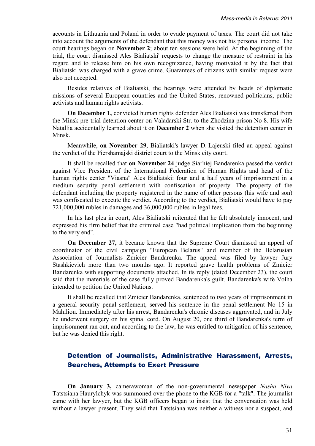accounts in Lithuania and Poland in order to evade payment of taxes. The court did not take into account the arguments of the defendant that this money was not his personal income. The court hearings began on **November 2**; about ten sessions were held. At the beginning of the trial, the court dismissed Ales Bialiatski' requests to change the measure of restraint in his regard and to release him on his own recognizance, having motivated it by the fact that Bialiatski was charged with a grave crime. Guarantees of citizens with similar request were also not accepted.

Besides relatives of Bialiatski, the hearings were attended by heads of diplomatic missions of several European countries and the United States, renowned politicians, public activists and human rights activists.

**On December 1,** convicted human rights defender Ales Bialiatski was transferred from the Minsk pre-trial detention center on Valadarski Str. to the Zhodzina prison No 8. His wife Natallia accidentally learned about it on **December 2** when she visited the detention center in Minsk.

Meanwhile, **on November 29**, Bialiatski's lawyer D. Lajeuski filed an appeal against the verdict of the Piershamajski district court to the Minsk city court.

It shall be recalled that **on November 24** judge Siarhiej Bandarenka passed the verdict against Vice President of the International Federation of Human Rights and head of the human rights center "Viasna" Ales Bialiatski: four and a half years of imprisonment in a medium security penal settlement with confiscation of property. The property of the defendant including the property registered in the name of other persons (his wife and son) was confiscated to execute the verdict. According to the verdict, Bialiatski would have to pay 721,000,000 rubles in damages and 36,000,000 rubles in legal fees.

In his last plea in court, Ales Bialiatski reiterated that he felt absolutely innocent, and expressed his firm belief that the criminal case "had political implication from the beginning to the very end".

**On December 27,** it became known that the Supreme Court dismissed an appeal of coordinator of the civil campaign "European Belarus" and member of the Belarusian Association of Journalists Zmicier Bandarenka. The appeal was filed by lawyer Jury Stashkievich more than two months ago. It reported grave health problems of Zmicier Bandarenka with supporting documents attached. In its reply (dated December 23), the court said that the materials of the case fully proved Bandarenka's guilt. Bandarenka's wife Volha intended to petition the United Nations.

It shall be recalled that Zmicier Bandarenka, sentenced to two years of imprisonment in a general security penal settlement, served his sentence in the penal settlement No 15 in Mahiliou. Immediately after his arrest, Bandarenka's chronic diseases aggravated, and in July he underwent surgery on his spinal cord. On August 20, one third of Bandarenka's term of imprisonment ran out, and according to the law, he was entitled to mitigation of his sentence, but he was denied this right.

#### Detention of Journalists, Administrative Harassment, Arrests, Searches, Attempts to Exert Pressure

**On January 3,** camerawoman of the non-governmental newspaper *Nasha Niva* Tatstsiana Haurylchyk was summoned over the phone to the KGB for a "talk". The journalist came with her lawyer, but the KGB officers began to insist that the conversation was held without a lawyer present. They said that Tatstsiana was neither a witness nor a suspect, and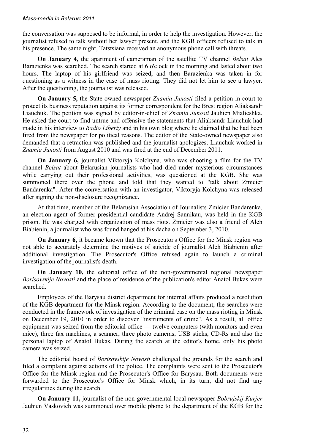the conversation was supposed to be informal, in order to help the investigation. However, the journalist refused to talk without her lawyer present, and the KGB officers refused to talk in his presence. The same night, Tatstsiana received an anonymous phone call with threats.

**On January 4,** the apartment of cameraman of the satellite TV channel *Belsat* Ales Barazienka was searched. The search started at 6 o'clock in the morning and lasted about two hours. The laptop of his girlfriend was seized, and then Barazienka was taken in for questioning as a witness in the case of mass rioting. They did not let him to see a lawyer. After the questioning, the journalist was released.

**On January 5,** the State-owned newspaper *Znamia Junosti* filed a petition in court to protect its business reputation against its former correspondent for the Brest region Aliaksandr Liauchuk. The petition was signed by editor-in-chief of *Znamia Junosti* Jauhien Mialieshka. He asked the court to find untrue and offensive the statements that Aliaksandr Liauchuk had made in his interview to *Radio Liberty* and in his own blog where he claimed that he had been fired from the newspaper for political reasons. The editor of the State-owned newspaper also demanded that a retraction was published and the journalist apologizes. Liauchuk worked in *Znamia Junosti* from August 2010 and was fired at the end of December 2011.

**On January 6,** journalist Viktoryja Kolchyna, who was shooting a film for the TV channel *Belsat* about Belarusian journalists who had died under mysterious circumstances while carrying out their professional activities, was questioned at the KGB. She was summoned there over the phone and told that they wanted to "talk about Zmicier Bandarenka". After the conversation with an investigator, Viktoryja Kolchyna was released after signing the non-disclosure recognizance.

At that time, member of the Belarusian Association of Journalists Zmicier Bandarenka, an election agent of former presidential candidate Andrej Sannikau, was held in the KGB prison. He was charged with organization of mass riots. Zmicier was also a friend of Aleh Biabienin, a journalist who was found hanged at his dacha on September 3, 2010.

**On January 6,** it became known that the Prosecutor's Office for the Minsk region was not able to accurately determine the motives of suicide of journalist Aleh Biabienin after additional investigation. The Prosecutor's Office refused again to launch a criminal investigation of the journalist's death.

**On January 10,** the editorial office of the non-governmental regional newspaper *Borisovskije Novosti* and the place of residence of the publication's editor Anatol Bukas were searched.

Employees of the Barysau district department for internal affairs produced a resolution of the KGB department for the Minsk region. According to the document, the searches were conducted in the framework of investigation of the criminal case on the mass rioting in Minsk on December 19, 2010 in order to discover "instruments of crime". As a result, all office equipment was seized from the editorial office — twelve computers (with monitors and even mice), three fax machines, a scanner, three photo cameras, USB sticks, CD-Rs and also the personal laptop of Anatol Bukas. During the search at the editor's home, only his photo camera was seized.

The editorial board of *Borisovskije Novosti* challenged the grounds for the search and filed a complaint against actions of the police. The complaints were sent to the Prosecutor's Office for the Minsk region and the Prosecutor's Office for Barysau. Both documents were forwarded to the Prosecutor's Office for Minsk which, in its turn, did not find any irregularities during the search.

**On January 11,** journalist of the non-governmental local newspaper *Bobrujskij Kurjer* Jauhien Vaskovich was summoned over mobile phone to the department of the KGB for the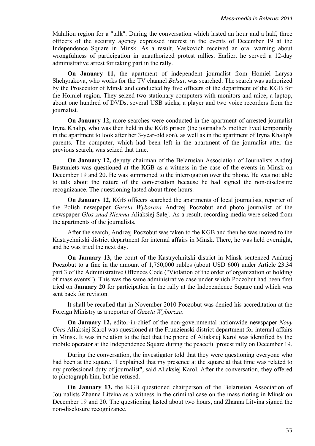Mahiliou region for a "talk". During the conversation which lasted an hour and a half, three officers of the security agency expressed interest in the events of December 19 at the Independence Square in Minsk. As a result, Vaskovich received an oral warning about wrongfulness of participation in unauthorized protest rallies. Earlier, he served a 12-day administrative arrest for taking part in the rally.

**On January 11,** the apartment of independent journalist from Homiel Larysa Shchyrakova, who works for the TV channel *Belsat*, was searched. The search was authorized by the Prosecutor of Minsk and conducted by five officers of the department of the KGB for the Homiel region. They seized two stationary computers with monitors and mice, a laptop, about one hundred of DVDs, several USB sticks, a player and two voice recorders from the journalist.

**On January 12,** more searches were conducted in the apartment of arrested journalist Iryna Khalip, who was then held in the KGB prison (the journalist's mother lived temporarily in the apartment to look after her 3-year-old son), as well as in the apartment of Iryna Khalip's parents. The computer, which had been left in the apartment of the journalist after the previous search, was seized that time.

**On January 12,** deputy chairman of the Belarusian Association of Journalists Andrej Bastuniets was questioned at the KGB as a witness in the case of the events in Minsk on December 19 and 20. He was summoned to the interrogation over the phone. He was not able to talk about the nature of the conversation because he had signed the non-disclosure recognizance. The questioning lasted about three hours.

**On January 12,** KGB officers searched the apartments of local journalists, reporter of the Polish newspaper *Gazeta Wyborcza* Andrzej Poczobut and photo journalist of the newspaper *Glos znad Niemna* Aliaksiej Salej. As a result, recording media were seized from the apartments of the journalists.

After the search, Andrzej Poczobut was taken to the KGB and then he was moved to the Kastrychnitski district department for internal affairs in Minsk. There, he was held overnight, and he was tried the next day.

**On January 13,** the court of the Kastrychnitski district in Minsk sentenced Andrzej Poczobut to a fine in the amount of 1,750,000 rubles (about USD 600) under Article 23.34 part 3 of the Administrative Offences Code ("Violation of the order of organization or holding of mass events"). This was the same administrative case under which Poczobut had been first tried on **January 20** for participation in the rally at the Independence Square and which was sent back for revision.

It shall be recalled that in November 2010 Poczobut was denied his accreditation at the Foreign Ministry as a reporter of *Gazeta Wyborcza*.

**On January 12,** editor-in-chief of the non-governmental nationwide newspaper *Novy Chas* Aliaksiej Karol was questioned at the Frunzienski district department for internal affairs in Minsk. It was in relation to the fact that the phone of Aliaksiej Karol was identified by the mobile operator at the Independence Square during the peaceful protest rally on December 19.

During the conversation, the investigator told that they were questioning everyone who had been at the square. "I explained that my presence at the square at that time was related to my professional duty of journalist", said Aliaksiej Karol. After the conversation, they offered to photograph him, but he refused.

**On January 13,** the KGB questioned chairperson of the Belarusian Association of Journalists Zhanna Litvina as a witness in the criminal case on the mass rioting in Minsk on December 19 and 20. The questioning lasted about two hours, and Zhanna Litvina signed the non-disclosure recognizance.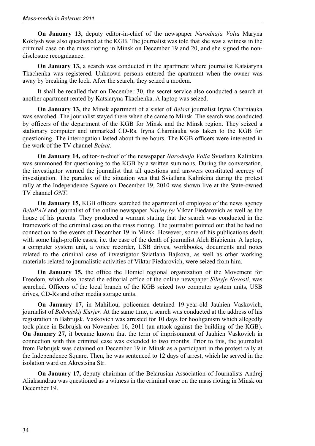**On January 13,** deputy editor-in-chief of the newspaper *Narodnaja Volia* Maryna Koktysh was also questioned at the KGB. The journalist was told that she was a witness in the criminal case on the mass rioting in Minsk on December 19 and 20, and she signed the nondisclosure recognizance.

**On January 13,** a search was conducted in the apartment where journalist Katsiaryna Tkachenka was registered. Unknown persons entered the apartment when the owner was away by breaking the lock. After the search, they seized a modem.

It shall be recalled that on December 30, the secret service also conducted a search at another apartment rented by Katsiaryna Tkachenka. A laptop was seized.

**On January 13,** the Minsk apartment of a sister of *Belsat* journalist Iryna Charniauka was searched. The journalist stayed there when she came to Minsk. The search was conducted by officers of the department of the KGB for Minsk and the Minsk region. They seized a stationary computer and unmarked CD-Rs. Iryna Charniauka was taken to the KGB for questioning. The interrogation lasted about three hours. The KGB officers were interested in the work of the TV channel *Belsat*.

**On January 14,** editor-in-chief of the newspaper *Narodnaja Volia* Sviatlana Kalinkina was summoned for questioning to the KGB by a written summons. During the conversation, the investigator warned the journalist that all questions and answers constituted secrecy of investigation. The paradox of the situation was that Sviatlana Kalinkina during the protest rally at the Independence Square on December 19, 2010 was shown live at the State-owned TV channel *ONT*.

**On January 15, KGB** officers searched the apartment of employee of the news agency *BelaPAN* and journalist of the online newspaper *Naviny.by* Viktar Fiedarovich as well as the house of his parents. They produced a warrant stating that the search was conducted in the framework of the criminal case on the mass rioting. The journalist pointed out that he had no connection to the events of December 19 in Minsk. However, some of his publications dealt with some high-profile cases, i.e. the case of the death of journalist Aleh Biabienin. A laptop, a computer system unit, a voice recorder, USB drives, workbooks, documents and notes related to the criminal case of investigator Sviatlana Bajkova, as well as other working materials related to journalistic activities of Viktar Fiedarovich, were seized from him.

**On January 15,** the office the Homiel regional organization of the Movement for Freedom, which also hosted the editorial office of the online newspaper *Silnyje Novosti*, was searched. Officers of the local branch of the KGB seized two computer system units, USB drives, CD-Rs and other media storage units.

**On January 17,** in Mahiliou, policemen detained 19-year-old Jauhien Vaskovich, journalist of *Bobrujskij Kurjer*. At the same time, a search was conducted at the address of his registration in Babrujsk. Vaskovich was arrested for 10 days for hooliganism which allegedly took place in Babrujsk on November 16, 2011 (an attack against the building of the KGB). **On January 27,** it became known that the term of imprisonment of Jauhien Vaskovich in connection with this criminal case was extended to two months. Prior to this, the journalist from Babrujsk was detained on December 19 in Minsk as a participant in the protest rally at the Independence Square. Then, he was sentenced to 12 days of arrest, which he served in the isolation ward on Akrestsina Str.

**On January 17,** deputy chairman of the Belarusian Association of Journalists Andrej Aliaksandrau was questioned as a witness in the criminal case on the mass rioting in Minsk on December 19.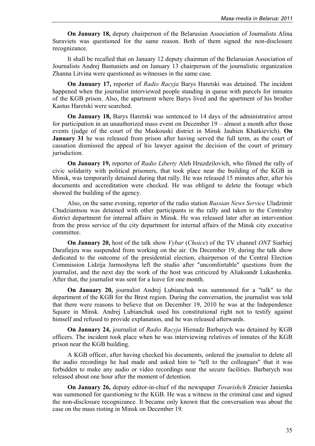**On January 18,** deputy chairperson of the Belarusian Association of Journalists Alina Suraviets was questioned for the same reason. Both of them signed the non-disclosure recognizance.

It shall be recalled that on January 12 deputy chairman of the Belarusian Association of Journalists Andrej Bastuniets and on January 13 chairperson of the journalistic organization Zhanna Litvina were questioned as witnesses in the same case.

**On January 17,** reporter of *Radio Racyja* Barys Haretski was detained. The incident happened when the journalist interviewed people standing in queue with parcels for inmates of the KGB prison. Also, the apartment where Barys lived and the apartment of his brother Kastus Haretski were searched.

**On January 18,** Barys Haretski was sentenced to 14 days of the administrative arrest for participation in an unauthorized mass event on December 19 – almost a month after those events (judge of the court of the Maskouski district in Minsk Jauhien Khatkievich). **On January 31** he was released from prison after having served the full term, as the court of cassation dismissed the appeal of his lawyer against the decision of the court of primary jurisdiction.

**On January 19,** reporter of *Radio Liberty* Aleh Hruzdzilovich, who filmed the rally of civic solidarity with political prisoners, that took place near the building of the KGB in Minsk, was temporarily detained during that rally. He was released 15 minutes after, after his documents and accreditation were checked. He was obliged to delete the footage which showed the building of the agency.

Also, on the same evening, reporter of the radio station *Russian News Service* Uladzimir Chudziantsou was detained with other participants in the rally and taken to the Centralny district department for internal affairs in Minsk. He was released later after an intervention from the press service of the city department for internal affairs of the Minsk city executive committee.

**On January 20,** host of the talk show *Vybar* (*Choice*) of the TV channel *ONT* Siarhiej Darafiejeu was suspended from working on the air. On December 19, during the talk show dedicated to the outcome of the presidential election, chairperson of the Central Election Commission Lidzija Jarmoshyna left the studio after "uncomfortable" questions from the journalist, and the next day the work of the host was criticized by Aliaksandr Lukashenka. After that, the journalist was sent for a leave for one month.

**On January 20,** journalist Andrej Lubianchuk was summoned for a "talk" to the department of the KGB for the Brest region. During the conversation, the journalist was told that there were reasons to believe that on December 19, 2010 he was at the Independence Square in Minsk. Andrej Lubianchuk used his constitutional right not to testify against himself and refused to provide explanation, and he was released afterwards.

**On January 24,** journalist of *Radio Racyja* Hienadz Barbarych was detained by KGB officers. The incident took place when he was interviewing relatives of inmates of the KGB prison near the KGB building.

A KGB officer, after having checked his documents, ordered the journalist to delete all the audio recordings he had made and asked him to "tell to the colleagues" that it was forbidden to make any audio or video recordings near the secure facilities. Barbarych was released about one hour after the moment of detention.

**On January 26,** deputy editor-in-chief of the newspaper *Tovarishch* Zmicier Janienka was summoned for questioning to the KGB. He was a witness in the criminal case and signed the non-disclosure recognizance. It became only known that the conversation was about the case on the mass rioting in Minsk on December 19.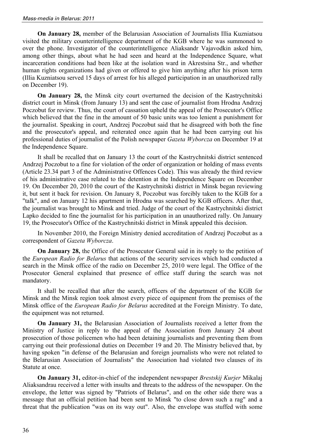**On January 28,** member of the Belarusian Association of Journalists Illia Kuzniatsou visited the military counterintelligence department of the KGB where he was summoned to over the phone. Investigator of the counterintelligence Aliaksandr Vajavodkin asked him, among other things, about what he had seen and heard at the Independence Square, what incarceration conditions had been like at the isolation ward in Akrestsina Str., and whether human rights organizations had given or offered to give him anything after his prison term (Illia Kuzniatsou served 15 days of arrest for his alleged participation in an unauthorized rally on December 19).

**On January 28,** the Minsk city court overturned the decision of the Kastrychnitski district court in Minsk (from January 13) and sent the case of journalist from Hrodna Andrzej Poczobut for review. Thus, the court of cassation upheld the appeal of the Prosecutor's Office which believed that the fine in the amount of 50 basic units was too lenient a punishment for the journalist. Speaking in court, Andrzej Poczobut said that he disagreed with both the fine and the prosecutor's appeal, and reiterated once again that he had been carrying out his professional duties of journalist of the Polish newspaper *Gazeta Wyborcza* on December 19 at the Independence Square.

It shall be recalled that on January 13 the court of the Kastrychnitski district sentenced Andrzej Poczobut to a fine for violation of the order of organization or holding of mass events (Article 23.34 part 3 of the Administrative Offences Code). This was already the third review of his administrative case related to the detention at the Independence Square on December 19. On December 20, 2010 the court of the Kastrychnitski district in Minsk began reviewing it, but sent it back for revision. On January 8, Poczobut was forcibly taken to the KGB for a "talk", and on January 12 his apartment in Hrodna was searched by KGB officers. After that, the journalist was brought to Minsk and tried. Judge of the court of the Kastrychnitski district Lapko decided to fine the journalist for his participation in an unauthorized rally. On January 19, the Prosecutor's Office of the Kastrychnitski district in Minsk appealed this decision.

In November 2010, the Foreign Ministry denied accreditation of Andrzej Poczobut as a correspondent of *Gazeta Wyborcza*.

**On January 28,** the Office of the Prosecutor General said in its reply to the petition of the *European Radio for Belarus* that actions of the security services which had conducted a search in the Minsk office of the radio on December 25, 2010 were legal. The Office of the Prosecutor General explained that presence of office staff during the search was not mandatory.

It shall be recalled that after the search, officers of the department of the KGB for Minsk and the Minsk region took almost every piece of equipment from the premises of the Minsk office of the *European Radio for Belarus* accredited at the Foreign Ministry. To date, the equipment was not returned.

**On January 31,** the Belarusian Association of Journalists received a letter from the Ministry of Justice in reply to the appeal of the Association from January 24 about prosecution of those policemen who had been detaining journalists and preventing them from carrying out their professional duties on December 19 and 20. The Ministry believed that, by having spoken "in defense of the Belarusian and foreign journalists who were not related to the Belarusian Association of Journalists" the Association had violated two clauses of its Statute at once.

**On January 31,** editor-in-chief of the independent newspaper *Brestskij Kurjer* Mikalaj Aliaksandrau received a letter with insults and threats to the address of the newspaper. On the envelope, the letter was signed by "Patriots of Belarus", and on the other side there was a message that an official petition had been sent to Minsk "to close down such a rag" and a threat that the publication "was on its way out". Also, the envelope was stuffed with some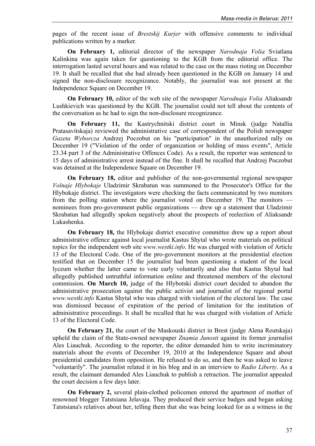pages of the recent issue of *Brestskij Kurjer* with offensive comments to individual publications written by a marker.

**On February 1,** editorial director of the newspaper *Narodnaja Volia* Sviatlana Kalinkina was again taken for questioning to the KGB from the editorial office. The interrogation lasted several hours and was related to the case on the mass rioting on December 19. It shall be recalled that she had already been questioned in the KGB on January 14 and signed the non-disclosure recognizance. Notably, the journalist was not present at the Independence Square on December 19.

**On February 10,** editor of the web site of the newspaper *Narodnaja Volia* Aliaksandr Lushkievich was questioned by the KGB. The journalist could not tell about the contents of the conversation as he had to sign the non-disclosure recognizance.

**On February 11,** the Kastrychnitski district court in Minsk (judge Natallia Pratasavitskaja) reviewed the administrative case of correspondent of the Polish newspaper *Gazeta Wyborcza* Andrzej Poczobut on his "participation" in the unauthorized rally on December 19 ("Violation of the order of organization or holding of mass events", Article 23.34 part 3 of the Administrative Offences Code). As a result, the reporter was sentenced to 15 days of administrative arrest instead of the fine. It shall be recalled that Andrzej Poczobut was detained at the Independence Square on December 19.

**On February 18,** editor and publisher of the non-governmental regional newspaper *Volnaje Hlybokaje* Uladzimir Skrabatun was summoned to the Prosecutor's Office for the Hlybokaje district. The investigators were checking the facts communicated by two monitors from the polling station where the journalist voted on December 19. The monitors nominees from pro-government public organizations — drew up a statement that Uladzimir Skrabatun had allegedly spoken negatively about the prospects of reelection of Aliaksandr Lukashenka.

**On February 18,** the Hlybokaje district executive committee drew up a report about administrative offence against local journalist Kastus Shytal who wrote materials on political topics for the independent web site *www.westki.info*. He was charged with violation of Article 13 of the Electoral Code. One of the pro-government monitors at the presidential election testified that on December 15 the journalist had been questioning a student of the local lyceum whether the latter came to vote early voluntarily and also that Kastus Shytal had allegedly published untruthful information online and threatened members of the electoral commission. **On March 10,** judge of the Hlybotski district court decided to abandon the administrative prosecution against the public activist and journalist of the regional portal *www.westki.info* Kastus Shytal who was charged with violation of the electoral law. The case was dismissed because of expiration of the period of limitation for the institution of administrative proceedings. It shall be recalled that he was charged with violation of Article 13 of the Electoral Code.

**On February 21,** the court of the Maskouski district in Brest (judge Alena Reutskaja) upheld the claim of the State-owned newspaper *Znamia Junosti* against its former journalist Ales Liauchuk. According to the reporter, the editor demanded him to write incriminatory materials about the events of December 19, 2010 at the Independence Square and about presidential candidates from opposition. He refused to do so, and then he was asked to leave "voluntarily". The journalist related it in his blog and in an interview to *Radio Liberty*. As a result, the claimant demanded Ales Liauchuk to publish a retraction. The journalist appealed the court decision a few days later.

**On February 2,** several plain-clothed policemen entered the apartment of mother of renowned blogger Tatstsiana Jelavaja. They produced their service badges and began asking Tatstsiana's relatives about her, telling them that she was being looked for as a witness in the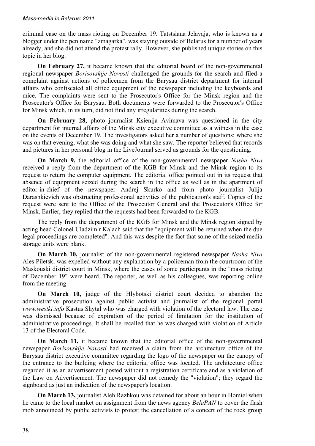criminal case on the mass rioting on December 19. Tatstsiana Jelavaja, who is known as a blogger under the pen name "zmagarka", was staying outside of Belarus for a number of years already, and she did not attend the protest rally. However, she published unique stories on this topic in her blog.

**On February 27,** it became known that the editorial board of the non-governmental regional newspaper *Borisovskije Novosti* challenged the grounds for the search and filed a complaint against actions of policemen from the Barysau district department for internal affairs who confiscated all office equipment of the newspaper including the keyboards and mice. The complaints were sent to the Prosecutor's Office for the Minsk region and the Prosecutor's Office for Barysau. Both documents were forwarded to the Prosecutor's Office for Minsk which, in its turn, did not find any irregularities during the search.

**On February 28,** photo journalist Ksienija Avimava was questioned in the city department for internal affairs of the Minsk city executive committee as a witness in the case on the events of December 19. The investigators asked her a number of questions: where she was on that evening, what she was doing and what she saw. The reporter believed that records and pictures in her personal blog in the LiveJournal served as grounds for the questioning.

**On March 9,** the editorial office of the non-governmental newspaper *Nasha Niva* received a reply from the department of the KGB for Minsk and the Minsk region to its request to return the computer equipment. The editorial office pointed out in its request that absence of equipment seized during the search in the office as well as in the apartment of editor-in-chief of the newspaper Andrej Skurko and from photo journalist Julija Darashkievich was obstructing professional activities of the publication's staff. Copies of the request were sent to the Office of the Prosecutor General and the Prosecutor's Office for Minsk. Earlier, they replied that the requests had been forwarded to the KGB.

The reply from the department of the KGB for Minsk and the Minsk region signed by acting head Colonel Uladzimir Kalach said that the "equipment will be returned when the due legal proceedings are completed". And this was despite the fact that some of the seized media storage units were blank.

**On March 10,** journalist of the non-governmental registered newspaper *Nasha Niva* Ales Piletski was expelled without any explanation by a policeman from the courtroom of the Maskouski district court in Minsk, where the cases of some participants in the "mass rioting of December 19" were heard. The reporter, as well as his colleagues, was reporting online from the meeting.

**On March 10,** judge of the Hlybotski district court decided to abandon the administrative prosecution against public activist and journalist of the regional portal *www.westki.info* Kastus Shytal who was charged with violation of the electoral law. The case was dismissed because of expiration of the period of limitation for the institution of administrative proceedings. It shall be recalled that he was charged with violation of Article 13 of the Electoral Code.

**On March 11,** it became known that the editorial office of the non-governmental newspaper *Borisovskije Novosti* had received a claim from the architecture office of the Barysau district executive committee regarding the logo of the newspaper on the canopy of the entrance to the building where the editorial office was located. The architecture office regarded it as an advertisement posted without a registration certificate and as a violation of the Law on Advertisement. The newspaper did not remedy the "violation"; they regard the signboard as just an indication of the newspaper's location.

**On March 13,** journalist Aleh Razhkou was detained for about an hour in Homiel when he came to the local market on assignment from the news agency *BelaPAN* to cover the flash mob announced by public activists to protest the cancellation of a concert of the rock group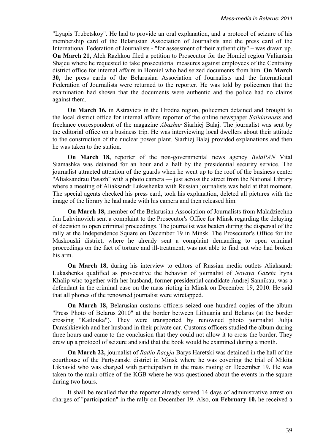"Lyapis Trubetskoy". He had to provide an oral explanation, and a protocol of seizure of his membership card of the Belarusian Association of Journalists and the press card of the International Federation of Journalists - "for assessment of their authenticity" – was drawn up. **On March 21,** Aleh Razhkou filed a petition to Prosecutor for the Homiel region Valiantsin Shajeu where he requested to take prosecutorial measures against employees of the Centralny district office for internal affairs in Homiel who had seized documents from him. **On March 30,** the press cards of the Belarusian Association of Journalists and the International Federation of Journalists were returned to the reporter. He was told by policemen that the examination had shown that the documents were authentic and the police had no claims against them.

**On March 16,** in Astraviets in the Hrodna region, policemen detained and brought to the local district office for internal affairs reporter of the online newspaper *Salidarnasts* and freelance correspondent of the magazine *Abazhur* Siarhiej Balaj. The journalist was sent by the editorial office on a business trip. He was interviewing local dwellers about their attitude to the construction of the nuclear power plant. Siarhiej Balaj provided explanations and then he was taken to the station.

**On March 18,** reporter of the non-governmental news agency *BelaPAN* Vital Siamashka was detained for an hour and a half by the presidential security service. The journalist attracted attention of the guards when he went up to the roof of the business center "Aliaksandrau Pasazh" with a photo camera — just across the street from the National Library where a meeting of Aliaksandr Lukashenka with Russian journalists was held at that moment. The special agents checked his press card, took his explanation, deleted all pictures with the image of the library he had made with his camera and then released him.

**On March 18,** member of the Belarusian Association of Journalists from Maladziechna Jan Lahvinovich sent a complaint to the Prosecutor's Office for Minsk regarding the delaying of decision to open criminal proceedings. The journalist was beaten during the dispersal of the rally at the Independence Square on December 19 in Minsk. The Prosecutor's Office for the Maskouski district, where he already sent a complaint demanding to open criminal proceedings on the fact of torture and ill-treatment, was not able to find out who had broken his arm.

**On March 18,** during his interview to editors of Russian media outlets Aliaksandr Lukashenka qualified as provocative the behavior of journalist of *Novaya Gazeta* Iryna Khalip who together with her husband, former presidential candidate Andrej Sannikau, was a defendant in the criminal case on the mass rioting in Minsk on December 19, 2010. He said that all phones of the renowned journalist were wiretapped.

**On March 18.** Belarusian customs officers seized one hundred copies of the album "Press Photo of Belarus 2010" at the border between Lithuania and Belarus (at the border crossing "Katlouka"). They were transported by renowned photo journalist Julija Darashkievich and her husband in their private car. Customs officers studied the album during three hours and came to the conclusion that they could not allow it to cross the border. They drew up a protocol of seizure and said that the book would be examined during a month.

**On March 22,** journalist of *Radio Racyja* Barys Haretski was detained in the hall of the courthouse of the Partyzanski district in Minsk where he was covering the trial of Mikita Likhavid who was charged with participation in the mass rioting on December 19. He was taken to the main office of the KGB where he was questioned about the events in the square during two hours.

It shall be recalled that the reporter already served 14 days of administrative arrest on charges of "participation" in the rally on December 19. Also, **on February 10,** he received a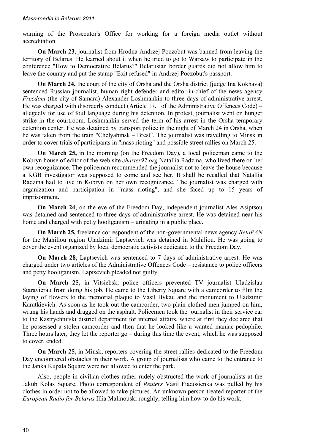warning of the Prosecutor's Office for working for a foreign media outlet without accreditation.

**On March 23,** journalist from Hrodna Andrzej Poczobut was banned from leaving the territory of Belarus. He learned about it when he tried to go to Warsaw to participate in the conference "How to Democratize Belarus?" Belarusian border guards did not allow him to leave the country and put the stamp "Exit refused" in Andrzej Poczobut's passport.

**On March 24,** the court of the city of Orsha and the Orsha district (judge Ina Kokhava) sentenced Russian journalist, human right defender and editor-in-chief of the news agency *Freedom* (the city of Samara) Alexander Loshmankin to three days of administrative arrest. He was charged with disorderly conduct (Article 17.1 of the Administrative Offences Code) – allegedly for use of foul language during his detention. In protest, journalist went on hunger strike in the courtroom. Loshmankin served the term of his arrest in the Orsha temporary detention center. He was detained by transport police in the night of March 24 in Orsha, when he was taken from the train "Chelyabinsk – Brest". The journalist was travelling to Minsk in order to cover trials of participants in "mass rioting" and possible street rallies on March 25.

**On March 25,** in the morning (on the Freedom Day), a local policeman came to the Kobryn house of editor of the web site *сharter97.org* Natallia Radzina, who lived there on her own recognizance. The policeman recommended the journalist not to leave the house because a KGB investigator was supposed to come and see her. It shall be recalled that Natallia Radzina had to live in Kobryn on her own recognizance. The journalist was charged with organization and participation in "mass rioting", and she faced up to 15 years of imprisonment.

**On March 24**, on the eve of the Freedom Day, independent journalist Ales Asiptsou was detained and sentenced to three days of administrative arrest. He was detained near his home and charged with petty hooliganism – urinating in a public place.

**On March 25,** freelance correspondent of the non-governmental news agency *BelaPAN* for the Mahiliou region Uladzimir Laptsevich was detained in Mahiliou. He was going to cover the event organized by local democratic activists dedicated to the Freedom Day.

**On March 28,** Laptsevich was sentenced to 7 days of administrative arrest. He was charged under two articles of the Administrative Offences Code – resistance to police officers and petty hooliganism. Laptsevich pleaded not guilty.

**On March 25,** in Vitsiebsk, police officers prevented TV journalist Uladzislau Staravierau from doing his job. He came to the Liberty Square with a camcorder to film the laying of flowers to the memorial plaque to Vasil Bykau and the monument to Uladzimir Karatkievich. As soon as he took out the camcorder, two plain-clothed men jumped on him, wrung his hands and dragged on the asphalt. Policemen took the journalist in their service car to the Kastrychnitski district department for internal affairs, where at first they declared that he possessed a stolen camcorder and then that he looked like a wanted maniac-pedophile. Three hours later, they let the reporter go – during this time the event, which he was supposed to cover, ended.

**On March 25,** in Minsk, reporters covering the street rallies dedicated to the Freedom Day encountered obstacles in their work. A group of journalists who came to the entrance to the Janka Kupala Square were not allowed to enter the park.

Also, people in civilian clothes rather rudely obstructed the work of journalists at the Jakub Kolas Square. Photo correspondent of *Reuters* Vasil Fiadosienka was pulled by his clothes in order not to be allowed to take pictures. An unknown person treated reporter of the *European Radio for Belarus* Illia Malinouski roughly, telling him how to do his work.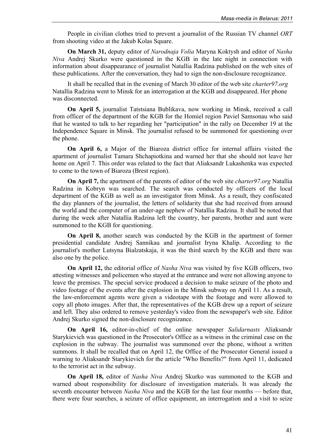People in civilian clothes tried to prevent a journalist of the Russian TV channel *ORT* from shooting video at the Jakub Kolas Square.

**On March 31,** deputy editor of *Narodnaja Volia* Maryna Koktysh and editor of *Nasha Niva* Andrej Skurko were questioned in the KGB in the late night in connection with information about disappearance of journalist Natallia Radzina published on the web sites of these publications. After the conversation, they had to sign the non-disclosure recognizance.

It shall be recalled that in the evening of March 30 editor of the web site *сharter97.org* Natallia Radzina went to Minsk for an interrogation at the KGB and disappeared. Her phone was disconnected.

**On April 5,** journalist Tatstsiana Bublikava, now working in Minsk, received a call from officer of the department of the KGB for the Homiel region Paviel Samsonau who said that he wanted to talk to her regarding her "participation" in the rally on December 19 at the Independence Square in Minsk. The journalist refused to be summoned for questioning over the phone.

**On April 6,** a Major of the Biaroza district office for internal affairs visited the apartment of journalist Tamara Shchapiotkina and warned her that she should not leave her home on April 7. This order was related to the fact that Aliaksandr Lukashenka was expected to come to the town of Biaroza (Brest region).

**On April 7,** the apartment of the parents of editor of the web site *сharter97.org* Natallia Radzina in Kobryn was searched. The search was conducted by officers of the local department of the KGB as well as an investigator from Minsk. As a result, they confiscated the day planners of the journalist, the letters of solidarity that she had received from around the world and the computer of an under-age nephew of Natallia Radzina. It shall be noted that during the week after Natallia Radzina left the country, her parents, brother and aunt were summoned to the KGB for questioning.

**On April 8,** another search was conducted by the KGB in the apartment of former presidential candidate Andrej Sannikau and journalist Iryna Khalip. According to the journalist's mother Lutsyna Bialzatskaja, it was the third search by the KGB and there was also one by the police.

**On April 12,** the editorial office of *Nasha Niva* was visited by five KGB officers, two attesting witnesses and policemen who stayed at the entrance and were not allowing anyone to leave the premises. The special service produced a decision to make seizure of the photo and video footage of the events after the explosion in the Minsk subway on April 11. As a result, the law-enforcement agents were given a videotape with the footage and were allowed to copy all photo images. After that, the representatives of the KGB drew up a report of seizure and left. They also ordered to remove yesterday's video from the newspaper's web site. Editor Andrej Skurko signed the non-disclosure recognizance.

**On April 16,** editor-in-chief of the online newspaper *Salidarnasts* Aliaksandr Starykievich was questioned in the Prosecutor's Office as a witness in the criminal case on the explosion in the subway. The journalist was summoned over the phone, without a written summons. It shall be recalled that on April 12, the Office of the Prosecutor General issued a warning to Aliaksandr Starykievich for the article "Who Benefits?" from April 11, dedicated to the terrorist act in the subway.

**On April 18,** editor of *Nasha Niva* Andrej Skurko was summoned to the KGB and warned about responsibility for disclosure of investigation materials. It was already the seventh encounter between *Nasha Niva* and the KGB for the last four months — before that, there were four searches, a seizure of office equipment, an interrogation and a visit to seize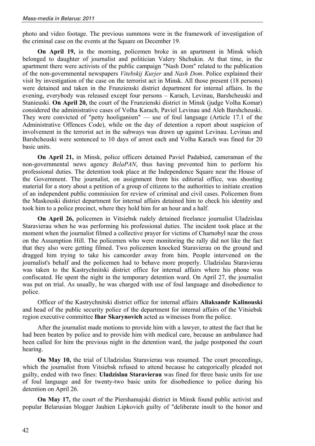photo and video footage. The previous summons were in the framework of investigation of the criminal case on the events at the Square on December 19.

**On April 19,** in the morning, policemen broke in an apartment in Minsk which belonged to daughter of journalist and politician Valery Shchukin. At that time, in the apartment there were activists of the public campaign "Nash Dom" related to the publication of the non-governmental newspapers *Vitebskij Kurjer* and *Nash Dom*. Police explained their visit by investigation of the case on the terrorist act in Minsk. All those present (18 persons) were detained and taken in the Frunzienski district department for internal affairs. In the evening, everybody was released except four persons – Karach, Levinau, Barshcheuski and Stanieuski. **On April 20,** the court of the Frunzienski district in Minsk (judge Volha Komar) considered the administrative cases of Volha Karach, Paviel Levinau and Aleh Barshcheuski. They were convicted of "petty hooliganism" — use of foul language (Article 17.1 of the Administrative Offences Code), while on the day of detention a report about suspicion of involvement in the terrorist act in the subways was drawn up against Levinau. Levinau and Barshcheuski were sentenced to 10 days of arrest each and Volha Karach was fined for 20 basic units.

**On April 21,** in Minsk, police officers detained Paviel Padabied, cameraman of the non-governmental news agency *BelaPAN*, thus having prevented him to perform his professional duties. The detention took place at the Independence Square near the House of the Government. The journalist, on assignment from his editorial office, was shooting material for a story about a petition of a group of citizens to the authorities to initiate creation of an independent public commission for review of criminal and civil cases. Policemen from the Maskouski district department for internal affairs detained him to check his identity and took him to a police precinct, where they hold him for an hour and a half.

**On April 26,** policemen in Vitsiebsk rudely detained freelance journalist Uladzislau Staravierau when he was performing his professional duties. The incident took place at the moment when the journalist filmed a collective prayer for victims of Charnobyl near the cross on the Assumption Hill. The policemen who were monitoring the rally did not like the fact that they also were getting filmed. Two policemen knocked Staravierau on the ground and dragged him trying to take his camcorder away from him. People intervened on the journalist's behalf and the policemen had to behave more properly. Uladzislau Staravierau was taken to the Kastrychnitski district office for internal affairs where his phone was confiscated. He spent the night in the temporary detention ward. On April 27, the journalist was put on trial. As usually, he was charged with use of foul language and disobedience to police.

Officer of the Kastrychnitski district office for internal affairs **Aliaksandr Kalinouski** and head of the public security police of the department for internal affairs of the Vitsiebsk region executive committee **Ihar Skarynovich** acted as witnesses from the police.

After the journalist made motions to provide him with a lawyer, to attest the fact that he had been beaten by police and to provide him with medical care, because an ambulance had been called for him the previous night in the detention ward, the judge postponed the court hearing.

**On May 10,** the trial of Uladzislau Staravierau was resumed. The court proceedings, which the journalist from Vitsiebsk refused to attend because he categorically pleaded not guilty, ended with two fines: **Uladzislau Staravierau** was fined for three basic units for use of foul language and for twenty-two basic units for disobedience to police during his detention on April 26.

**On May 17,** the court of the Piershamajski district in Minsk found public activist and popular Belarusian blogger Jauhien Lipkovich guilty of "deliberate insult to the honor and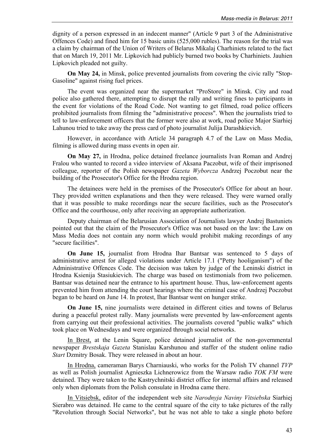dignity of a person expressed in an indecent manner" (Article 9 part 3 of the Administrative Offences Code) and fined him for 15 basic units (525,000 rubles). The reason for the trial was a claim by chairman of the Union of Writers of Belarus Mikalaj Charhiniets related to the fact that on March 19, 2011 Mr. Lipkovich had publicly burned two books by Charhiniets. Jauhien Lipkovich pleaded not guilty.

**On May 24,** in Minsk, police prevented journalists from covering the civic rally "Stop-Gasoline" against rising fuel prices.

The event was organized near the supermarket "ProStore" in Minsk. City and road police also gathered there, attempting to disrupt the rally and writing fines to participants in the event for violations of the Road Code. Not wanting to get filmed, road police officers prohibited journalists from filming the "administrative process". When the journalists tried to tell to law-enforcement officers that the former were also at work, road police Major Siarhiej Lahunou tried to take away the press card of photo journalist Julija Darashkievich.

However, in accordance with Article 34 paragraph 4.7 of the Law on Mass Media, filming is allowed during mass events in open air.

**On May 27,** in Hrodna, police detained freelance journalists Ivan Roman and Andrej Fralou who wanted to record a video interview of Aksana Paczobut, wife of their imprisoned colleague, reporter of the Polish newspaper *Gazeta Wyborcza* Andrzej Poczobut near the building of the Prosecutor's Office for the Hrodna region.

The detainees were held in the premises of the Prosecutor's Office for about an hour. They provided written explanations and then they were released. They were warned orally that it was possible to make recordings near the secure facilities, such as the Prosecutor's Office and the courthouse, only after receiving an appropriate authorization.

Deputy chairman of the Belarusian Association of Journalists lawyer Andrej Bastuniets pointed out that the claim of the Prosecutor's Office was not based on the law: the Law on Mass Media does not contain any norm which would prohibit making recordings of any "secure facilities".

**On June 15,** journalist from Hrodna Ihar Bantsar was sentenced to 5 days of administrative arrest for alleged violations under Article 17.1 ("Petty hooliganism") of the Administrative Offences Code. The decision was taken by judge of the Leninski district in Hrodna Ksienija Stasiukievich. The charge was based on testimonials from two policemen. Bantsar was detained near the entrance to his apartment house. Thus, law-enforcement agents prevented him from attending the court hearings where the criminal case of Andrzej Poczobut began to be heard on June 14. In protest, Ihar Bantsar went on hunger strike.

**On June 15,** nine journalists were detained in different cities and towns of Belarus during a peaceful protest rally. Many journalists were prevented by law-enforcement agents from carrying out their professional activities. The journalists covered "public walks" which took place on Wednesdays and were organized through social networks.

In Brest, at the Lenin Square, police detained journalist of the non-governmental newspaper *Brestskaja Gazeta* Stanislau Karshunou and staffer of the student online radio *Start* Dzmitry Bosak. They were released in about an hour.

In Hrodna, cameraman Barys Charniauski, who works for the Polish TV channel *TVP* as well as Polish journalist Agnieszka Lichnerowicz from the Warsaw radio *TOK FM* were detained. They were taken to the Kastrychnitski district office for internal affairs and released only when diplomats from the Polish consulate in Hrodna came there.

In Vitsiebsk, editor of the independent web site *Narodnyja Naviny Vitsiebska* Siarhiej Sierabro was detained. He came to the central square of the city to take pictures of the rally "Revolution through Social Networks", but he was not able to take a single photo before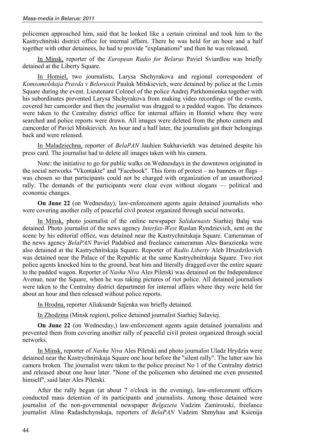policemen approached him, said that he looked like a certain criminal and took him to the Kastrychnitski district office for internal affairs. There he was held for an hour and a half together with other detainees, he had to provide "explanations" and then he was released.

In Minsk, reporter of the *European Radio for Belarus* Paviel Sviardlou was briefly detained at the Liberty Square.

In Homiel, two journalists, Larysa Shchyrakova and regional correspondent of *Komsomolskaja Pravda v Belorussii* Pauluk Mitskievich, were detained by police at the Lenin Square during the event. Lieutenant Colonel of the police Andrej Parkhomienka together with his subordinates prevented Larysa Shchyrakova from making video recordings of the events, covered her camcorder and then the journalist was dragged to a padded wagon. The detainees were taken to the Centralny district office for internal affairs in Homiel where they were searched and police reports were drawn. All images were deleted from the photo camera and camcorder of Paviel Mitskievich. An hour and a half later, the journalists got their belongings back and were released.

In Maladziechna, reporter of *BelaPAN* Jauhien Sukhavierkh was detained despite his press card. The journalist had to delete all images taken with his camera.

Note: the initiative to go for public walks on Wednesdays in the downtown originated in the social networks "Vkontakte" and "Facebook". This form of protest – no banners or flags – was chosen so that participants could not be charged with organization of an unauthorized rally. The demands of the participants were clear even without slogans — political and economic changes.

**On June 22** (on Wednesday), law-enforcement agents again detained journalists who were covering another rally of peaceful civil protest organized through social networks.

In Minsk, photo journalist of the online newspaper *Salidarnasts* Siarhiej Balaj was detained. Photo journalist of the news agency *Interfax-West* Ruslan Ryndzievich, sent on the scene by his editorial office, was detained near the Kastrychnitskaja Square. Cameraman of the news agency *BelaPAN* Paviel Padabied and freelance cameraman Ales Barazienka were also detained at the Kastrychnitskaja Square. Reporter of *Radio Liberty* Aleh Hruzdzilovich was detained near the Palace of the Republic at the same Kastrychnitskaja Square. Two riot police agents knocked him to the ground, beat him and literally dragged over the entire square to the padded wagon. Reporter of *Nasha Niva* Ales Piletski was detained on the Independence Avenue, near the Square, when he was taking pictures of riot police. All detained journalists were taken to the Centralny district department for internal affairs where they were held for about an hour and then released without police reports.

In Hrodna, reporter Aliaksandr Sajenka was briefly detained.

In Zhodzina (Minsk region), police detained journalist Siarhiej Salaviej.

**On June 22** (on Wednesday,) law-enforcement agents again detained journalists and prevented them from covering another rally of peaceful civil protest organized through social networks.

In Minsk, reporter of *Nasha Niva* Ales Piletski and photo journalist Uladz Hrydzin were detained near the Kastrychnitskaja Square one hour before the "silent rally". The latter saw his camera broken. The journalist were taken to the police precinct No 1 of the Centralny district and released about one hour later. "None of the policemen who detained me even presented himself", said later Ales Piletski.

After the rally began (at about 7 o'clock in the evening), law-enforcement officers conducted mass detention of its participants and journalists. Among those detained were journalist of the non-governmental newspaper *Belgazeta* Vadzim Zamirouski, freelance journalist Alina Radashchynskaja, reporters of *BelaPAN* Vadzim Shmyhau and Ksienija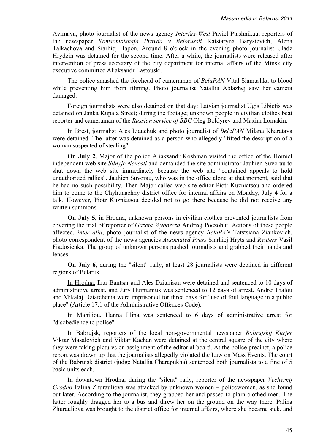Avimava, photo journalist of the news agency *Interfax-West* Paviel Ptashnikau, reporters of the newspaper *Komsomolskaja Pravda v Belorussii* Katsiaryna Barysievich, Alena Talkachova and Siarhiej Hapon. Around 8 o'clock in the evening photo journalist Uladz Hrydzin was detained for the second time. After a while, the journalists were released after intervention of press secretary of the city department for internal affairs of the Minsk city executive committee Aliaksandr Lastouski.

The police smashed the forehead of cameraman of *BelaPAN* Vital Siamashka to blood while preventing him from filming. Photo journalist Natallia Ablazhej saw her camera damaged.

Foreign journalists were also detained on that day: Latvian journalist Ugis Libietis was detained on Janka Kupala Street; during the footage; unknown people in civilian clothes beat reporter and cameraman of the *Russian service of BBC* Oleg Boldyrev and Maxim Lomakin.

In Brest, journalist Ales Liauchuk and photo journalist of *BelaPAN* Milana Kharatava were detained. The latter was detained as a person who allegedly "fitted the description of a woman suspected of stealing".

**On July 2,** Major of the police Aliaksandr Koshman visited the office of the Homiel independent web site *Silnyje Novosti* and demanded the site administrator Jauhien Suvorau to shut down the web site immediately because the web site "contained appeals to hold unauthorized rallies". Jauhien Suvorau, who was in the office alone at that moment, said that he had no such possibility. Then Major called web site editor Piotr Kuzniatsou and ordered him to come to the Chyhunachny district office for internal affairs on Monday, July 4 for a talk. However, Piotr Kuzniatsou decided not to go there because he did not receive any written summons.

**On July 5,** in Hrodna, unknown persons in civilian clothes prevented journalists from covering the trial of reporter of *Gazeta Wyborcza* Andrzej Poczobut. Actions of these people affected, *inter alia*, photo journalist of the news agency *BelaPAN* Tatstsiana Ziankovich, photo correspondent of the news agencies *Associated Press* Siarhiej Hryts and *Reuters* Vasil Fiadosienka. The group of unknown persons pushed journalists and grabbed their hands and lenses.

**On July 6,** during the "silent" rally, at least 28 journalists were detained in different regions of Belarus.

In Hrodna, Ihar Bantsar and Ales Dzianisau were detained and sentenced to 10 days of administrative arrest, and Jury Humianiuk was sentenced to 12 days of arrest. Andrej Fralou and Mikalaj Dziatchenia were imprisoned for three days for "use of foul language in a public place" (Article 17.1 of the Administrative Offences Code).

In Mahiliou, Hanna Illina was sentenced to 6 days of administrative arrest for "disobedience to police".

In Babrujsk, reporters of the local non-governmental newspaper *Bobrujskij Kurjer* Viktar Masalovich and Viktar Kachan were detained at the central square of the city where they were taking pictures on assignment of the editorial board. At the police precinct, a police report was drawn up that the journalists allegedly violated the Law on Mass Events. The court of the Babrujsk district (judge Natallia Charapukha) sentenced both journalists to a fine of 5 basic units each.

In downtown Hrodna, during the "silent" rally, reporter of the newspaper *Vechernij Grodno* Palina Zhurauliova was attacked by unknown women – policewomen, as she found out later. According to the journalist, they grabbed her and passed to plain-clothed men. The latter roughly dragged her to a bus and threw her on the ground on the way there. Palina Zhurauliova was brought to the district office for internal affairs, where she became sick, and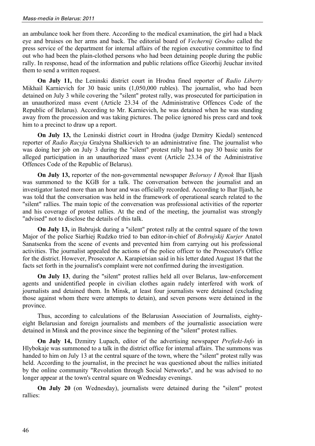an ambulance took her from there. According to the medical examination, the girl had a black eye and bruises on her arms and back. The editorial board of *Vechernij Grodno* called the press service of the department for internal affairs of the region executive committee to find out who had been the plain-clothed persons who had been detaining people during the public rally. In response, head of the information and public relations office Gieorhij Jeuchar invited them to send a written request.

**On July 11,** the Leninski district court in Hrodna fined reporter of *Radio Liberty* Mikhail Karnievich for 30 basic units (1,050,000 rubles). The journalist, who had been detained on July 3 while covering the "silent" protest rally, was prosecuted for participation in an unauthorized mass event (Article 23.34 of the Administrative Offences Code of the Republic of Belarus). According to Mr. Karnievich, he was detained when he was standing away from the procession and was taking pictures. The police ignored his press card and took him to a precinct to draw up a report.

**On July 13,** the Leninski district court in Hrodna (judge Dzmitry Kiedal) sentenced reporter of *Radio Racyja* Grażyna Shalkievich to an administrative fine. The journalist who was doing her job on July 3 during the "silent" protest rally had to pay 30 basic units for alleged participation in an unauthorized mass event (Article 23.34 of the Administrative Offences Code of the Republic of Belarus).

**On July 13,** reporter of the non-governmental newspaper *Belorusy I Rynok* Ihar Iljash was summoned to the KGB for a talk. The conversation between the journalist and an investigator lasted more than an hour and was officially recorded. According to Ihar Iljash, he was told that the conversation was held in the framework of operational search related to the "silent" rallies. The main topic of the conversation was professional activities of the reporter and his coverage of protest rallies. At the end of the meeting, the journalist was strongly "advised" not to disclose the details of this talk.

**On July 13,** in Babrujsk during a "silent" protest rally at the central square of the town Major of the police Siarhiej Rudzko tried to ban editor-in-chief of *Bobrujskij Kurjer* Anatol Sanatsenka from the scene of events and prevented him from carrying out his professional activities. The journalist appealed the actions of the police officer to the Prosecutor's Office for the district. However, Prosecutor A. Karapietsian said in his letter dated August 18 that the facts set forth in the journalist's complaint were not confirmed during the investigation.

**On July 13**, during the "silent" protest rallies held all over Belarus, law-enforcement agents and unidentified people in civilian clothes again rudely interfered with work of journalists and detained them. In Minsk, at least four journalists were detained (excluding those against whom there were attempts to detain), and seven persons were detained in the province.

Thus, according to calculations of the Belarusian Association of Journalists, eightyeight Belarusian and foreign journalists and members of the journalistic association were detained in Minsk and the province since the beginning of the "silent" protest rallies.

**On July 14,** Dzmitry Lupach, editor of the advertising newspaper *Prefiekt-Info* in Hlybokaje was summoned to a talk in the district office for internal affairs. The summons was handed to him on July 13 at the central square of the town, where the "silent" protest rally was held. According to the journalist, in the precinct he was questioned about the rallies initiated by the online community "Revolution through Social Networks", and he was advised to no longer appear at the town's central square on Wednesday evenings.

**On July 20** (on Wednesday), journalists were detained during the "silent" protest rallies: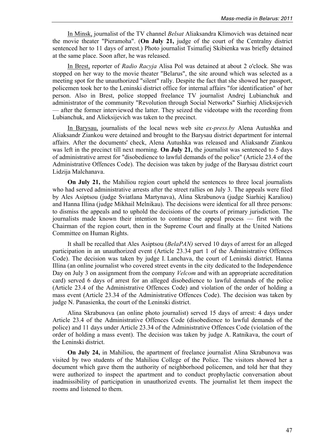In Minsk, journalist of the TV channel *Belsat* Aliaksandra Klimovich was detained near the movie theater "Pieramoha". (**On July 21,** judge of the court of the Centralny district sentenced her to 11 days of arrest.) Photo journalist Tsimafiej Skibienka was briefly detained at the same place. Soon after, he was released.

In Brest, reporter of *Radio Racyja* Alisa Pol was detained at about 2 o'clock. She was stopped on her way to the movie theater "Belarus", the site around which was selected as a meeting spot for the unauthorized "silent" rally. Despite the fact that she showed her passport, policemen took her to the Leninski district office for internal affairs "for identification" of her person. Also in Brest, police stopped freelance TV journalist Andrej Lubianchuk and administrator of the community "Revolution through Social Networks" Siarhiej Alieksijevich — after the former interviewed the latter. They seized the videotape with the recording from Lubianchuk, and Alieksijevich was taken to the precinct.

In Barysau, journalists of the local news web site *ex-press.by* Alena Autushka and Aliaksandr Ziankou were detained and brought to the Barysau district department for internal affairs. After the documents' check, Alena Autushka was released and Aliaksandr Ziankou was left in the precinct till next morning. **On July 21,** the journalist was sentenced to 5 days of administrative arrest for "disobedience to lawful demands of the police" (Article 23.4 of the Administrative Offences Code). The decision was taken by judge of the Barysau district court Lidzija Malchanava.

**On July 21,** the Mahiliou region court upheld the sentences to three local journalists who had served administrative arrests after the street rallies on July 3. The appeals were filed by Ales Asiptsou (judge Sviatlana Martynava), Alina Skrabunova (judge Siarhiej Karaliou) and Hanna Illina (judge Mikhail Melnikau). The decisions were identical for all three persons: to dismiss the appeals and to uphold the decisions of the courts of primary jurisdiction. The journalists made known their intention to continue the appeal process — first with the Chairman of the region court, then in the Supreme Court and finally at the United Nations Committee on Human Rights.

It shall be recalled that Ales Asiptsou (*BelaPAN)* served 10 days of arrest for an alleged participation in an unauthorized event (Article 23.34 part 1 of the Administrative Offences Code). The decision was taken by judge I. Lanchava, the court of Leninski district. Hanna Illina (an online journalist who covered street events in the city dedicated to the Independence Day on July 3 on assignment from the company *Velcom* and with an appropriate accreditation card) served 6 days of arrest for an alleged disobedience to lawful demands of the police (Article 23.4 of the Administrative Offences Code) and violation of the order of holding a mass event (Article 23.34 of the Administrative Offences Code). The decision was taken by judge N. Panasienka, the court of the Leninski district.

Alina Skrabunova (an online photo journalist) served 15 days of arrest: 4 days under Article 23.4 of the Administrative Offences Code (disobedience to lawful demands of the police) and 11 days under Article 23.34 of the Administrative Offences Code (violation of the order of holding a mass event). The decision was taken by judge A. Ratnikava, the court of the Leninski district.

**On July 24,** in Mahiliou, the apartment of freelance journalist Alina Skrabunova was visited by two students of the Mahiliou College of the Police. The visitors showed her a document which gave them the authority of neighborhood policemen, and told her that they were authorized to inspect the apartment and to conduct prophylactic conversation about inadmissibility of participation in unauthorized events. The journalist let them inspect the rooms and listened to them.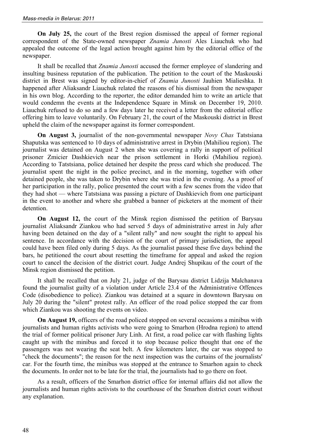**On July 25,** the court of the Brest region dismissed the appeal of former regional correspondent of the State-owned newspaper *Znamia Junosti* Ales Liauchuk who had appealed the outcome of the legal action brought against him by the editorial office of the newspaper.

It shall be recalled that *Znamia Junosti* accused the former employee of slandering and insulting business reputation of the publication. The petition to the court of the Maskouski district in Brest was signed by editor-in-chief of *Znamia Junosti* Jauhien Mialieshka. It happened after Aliaksandr Liauchuk related the reasons of his dismissal from the newspaper in his own blog. According to the reporter, the editor demanded him to write an article that would condemn the events at the Independence Square in Minsk on December 19, 2010. Liauchuk refused to do so and a few days later he received a letter from the editorial office offering him to leave voluntarily. On February 21, the court of the Maskouski district in Brest upheld the claim of the newspaper against its former correspondent.

**On August 3,** journalist of the non-governmental newspaper *Novy Chas* Tatstsiana Shaputska was sentenced to 10 days of administrative arrest in Drybin (Mahiliou region). The journalist was detained on August 2 when she was covering a rally in support of political prisoner Zmicier Dashkievich near the prison settlement in Horki (Mahiliou region). According to Tatstsiana, police detained her despite the press card which she produced. The journalist spent the night in the police precinct, and in the morning, together with other detained people, she was taken to Drybin where she was tried in the evening. As a proof of her participation in the rally, police presented the court with a few scenes from the video that they had shot — where Tatstsiana was passing a picture of Dashkievich from one participant in the event to another and where she grabbed a banner of picketers at the moment of their detention.

**On August 12,** the court of the Minsk region dismissed the petition of Barysau journalist Aliaksandr Ziankou who had served 5 days of administrative arrest in July after having been detained on the day of a "silent rally" and now sought the right to appeal his sentence. In accordance with the decision of the court of primary jurisdiction, the appeal could have been filed only during 5 days. As the journalist passed these five days behind the bars, he petitioned the court about resetting the timeframe for appeal and asked the region court to cancel the decision of the district court. Judge Andrej Shupikau of the court of the Minsk region dismissed the petition.

It shall be recalled that on July 21, judge of the Barysau district Lidzija Malchanava found the journalist guilty of a violation under Article 23.4 of the Administrative Offences Code (disobedience to police). Ziankou was detained at a square in downtown Barysau on July 20 during the "silent" protest rally. An officer of the road police stopped the car from which Ziankou was shooting the events on video.

**On August 19,** officers of the road policed stopped on several occasions a minibus with journalists and human rights activists who were going to Smarhon (Hrodna region) to attend the trial of former political prisoner Jury Linh. At first, a road police car with flashing lights caught up with the minibus and forced it to stop because police thought that one of the passengers was not wearing the seat belt. A few kilometers later, the car was stopped to "check the documents"; the reason for the next inspection was the curtains of the journalists' car. For the fourth time, the minibus was stopped at the entrance to Smarhon again to check the documents. In order not to be late for the trial, the journalists had to go there on foot.

As a result, officers of the Smarhon district office for internal affairs did not allow the journalists and human rights activists to the courthouse of the Smarhon district court without any explanation.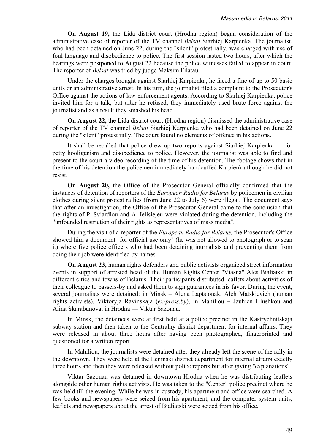**On August 19,** the Lida district court (Hrodna region) began consideration of the administrative case of reporter of the TV channel *Belsat* Siarhiej Karpienka. The journalist, who had been detained on June 22, during the "silent" protest rally, was charged with use of foul language and disobedience to police. The first session lasted two hours, after which the hearings were postponed to August 22 because the police witnesses failed to appear in court. The reporter of *Belsat* was tried by judge Maksim Filatau.

Under the charges brought against Siarhiej Karpienka, he faced a fine of up to 50 basic units or an administrative arrest. In his turn, the journalist filed a complaint to the Prosecutor's Office against the actions of law-enforcement agents. According to Siarhiej Karpienka, police invited him for a talk, but after he refused, they immediately used brute force against the journalist and as a result they smashed his head.

**On August 22,** the Lida district court (Hrodna region) dismissed the administrative case of reporter of the TV channel *Belsat* Siarhiej Karpienka who had been detained on June 22 during the "silent" protest rally. The court found no elements of offence in his actions.

It shall be recalled that police drew up two reports against Siarhiej Karpienka — for petty hooliganism and disobedience to police. However, the journalist was able to find and present to the court a video recording of the time of his detention. The footage shows that in the time of his detention the policemen immediately handcuffed Karpienka though he did not resist.

**On August 20,** the Office of the Prosecutor General officially confirmed that the instances of detention of reporters of the *European Radio for Belarus* by policemen in civilian clothes during silent protest rallies (from June 22 to July 6) were illegal. The document says that after an investigation, the Office of the Prosecutor General came to the conclusion that the rights of P. Sviardlou and A. Jelisiejeu were violated during the detention, including the "unfounded restriction of their rights as representatives of mass media".

During the visit of a reporter of the *European Radio for Belarus,* the Prosecutor's Office showed him a document "for official use only" (he was not allowed to photograph or to scan it) where five police officers who had been detaining journalists and preventing them from doing their job were identified by names.

**On August 23,** human rights defenders and public activists organized street information events in support of arrested head of the Human Rights Center "Viasna" Ales Bialiatski in different cities and towns of Belarus. Their participants distributed leaflets about activities of their colleague to passers-by and asked them to sign guarantees in his favor. During the event, several journalists were detained: in Minsk – Alena Laptsionak, Aleh Matskievich (human rights activists), Viktoryja Ravinskaja (*ex-press.by*), in Mahiliou – Jauhien Hlushkou and Alina Skarabunova, in Hrodna — Viktar Sazonau.

In Minsk, the detainees were at first held at a police precinct in the Kastrychnitskaja subway station and then taken to the Centralny district department for internal affairs. They were released in about three hours after having been photographed, fingerprinted and questioned for a written report.

In Mahiliou, the journalists were detained after they already left the scene of the rally in the downtown. They were held at the Leninski district department for internal affairs exactly three hours and then they were released without police reports but after giving "explanations".

Viktar Sazonau was detained in downtown Hrodna when he was distributing leaflets alongside other human rights activists. He was taken to the "Center" police precinct where he was held till the evening. While he was in custody, his apartment and office were searched. A few books and newspapers were seized from his apartment, and the computer system units, leaflets and newspapers about the arrest of Bialiatski were seized from his office.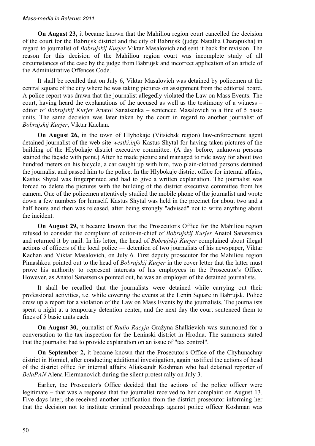**On August 23, it became known that the Mahiliou region court cancelled the decision** of the court for the Babrujsk district and the city of Babrujsk (judge Natallia Charapukha) in regard to journalist of *Bobrujskij Kurjer* Viktar Masalovich and sent it back for revision. The reason for this decision of the Mahiliou region court was incomplete study of all circumstances of the case by the judge from Babrujsk and incorrect application of an article of the Administrative Offences Code.

It shall be recalled that on July 6, Viktar Masalovich was detained by policemen at the central square of the city where he was taking pictures on assignment from the editorial board. A police report was drawn that the journalist allegedly violated the Law on Mass Events. The court, having heard the explanations of the accused as well as the testimony of a witness – editor of *Bobrujskij Kurjer* Anatol Sanatsenka – sentenced Masalovich to a fine of 5 basic units. The same decision was later taken by the court in regard to another journalist of *Bobrujskij Kurjer*, Viktar Kachan.

**On August 26,** in the town of Hlybokaje (Vitsiebsk region) law-enforcement agent detained journalist of the web site *westki.info* Kastus Shytal for having taken pictures of the building of the Hlybokaje district executive committee. (A day before, unknown persons stained the façade with paint.) After he made picture and managed to ride away for about two hundred meters on his bicycle, a car caught up with him, two plain-clothed persons detained the journalist and passed him to the police. In the Hlybokaje district office for internal affairs, Kastus Shytal was fingerprinted and had to give a written explanation. The journalist was forced to delete the pictures with the building of the district executive committee from his camera. One of the policemen attentively studied the mobile phone of the journalist and wrote down a few numbers for himself. Kastus Shytal was held in the precinct for about two and a half hours and then was released, after being strongly "advised" not to write anything about the incident.

**On August 29,** it became known that the Prosecutor's Office for the Mahiliou region refused to consider the complaint of editor-in-chief of *Bobrujskij Kurjer* Anatol Sanatsenka and returned it by mail. In his letter, the head of *Bobrujskij Kurjer* complained about illegal actions of officers of the local police — detention of two journalists of his newspaper, Viktar Kachan and Viktar Masalovich, on July 6. First deputy prosecutor for the Mahiliou region Pimashkou pointed out to the head of *Bobrujskij Kurjer* in the cover letter that the latter must prove his authority to represent interests of his employees in the Prosecutor's Office. However, as Anatol Sanatsenka pointed out, he was an employer of the detained journalists.

It shall be recalled that the journalists were detained while carrying out their professional activities, i.e. while covering the events at the Lenin Square in Babrujsk. Police drew up a report for a violation of the Law on Mass Events by the journalists. The journalists spent a night at a temporary detention center, and the next day the court sentenced them to fines of 5 basic units each.

**On August 30,** journalist of *Radio Racyja* Grażyna Shalkievich was summoned for a conversation to the tax inspection for the Leninski district in Hrodna. The summons stated that the journalist had to provide explanation on an issue of "tax control".

**On September 2,** it became known that the Prosecutor's Office of the Chyhunachny district in Homiel, after conducting additional investigation, again justified the actions of head of the district office for internal affairs Aliaksandr Koshman who had detained reporter of *BelaPAN* Alena Hiermanovich during the silent protest rally on July 3.

Earlier, the Prosecutor's Office decided that the actions of the police officer were legitimate – that was a response that the journalist received to her complaint on August 13. Five days later, she received another notification from the district prosecutor informing her that the decision not to institute criminal proceedings against police officer Koshman was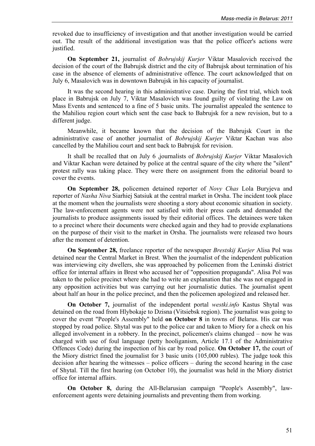revoked due to insufficiency of investigation and that another investigation would be carried out. The result of the additional investigation was that the police officer's actions were justified.

**On September 21,** journalist of *Bobrujskij Kurjer* Viktar Masalovich received the decision of the court of the Babrujsk district and the city of Babrujsk about termination of his case in the absence of elements of administrative offence. The court acknowledged that on July 6, Masalovich was in downtown Babrujsk in his capacity of journalist.

It was the second hearing in this administrative case. During the first trial, which took place in Babrujsk on July 7, Viktar Masalovich was found guilty of violating the Law on Mass Events and sentenced to a fine of 5 basic units. The journalist appealed the sentence to the Mahiliou region court which sent the case back to Babrujsk for a new revision, but to a different judge.

Meanwhile, it became known that the decision of the Babrujsk Court in the administrative case of another journalist of *Bobrujskij Kurjer* Viktar Kachan was also cancelled by the Mahiliou court and sent back to Babrujsk for revision.

It shall be recalled that on July 6 ,journalists of *Bobrujskij Kurjer* Viktar Masalovich and Viktar Kachan were detained by police at the central square of the city where the "silent" protest rally was taking place. They were there on assignment from the editorial board to cover the events.

**On September 28,** policemen detained reporter of *Novy Chas* Lola Buryjeva and reporter of *Nasha Niva* Siarhiej Satsiuk at the central market in Orsha. The incident took place at the moment when the journalists were shooting a story about economic situation in society. The law-enforcement agents were not satisfied with their press cards and demanded the journalists to produce assignments issued by their editorial offices. The detainees were taken to a precinct where their documents were checked again and they had to provide explanations on the purpose of their visit to the market in Orsha. The journalists were released two hours after the moment of detention.

**On September 28,** freelance reporter of the newspaper *Brestskij Kurjer* Alisa Pol was detained near the Central Market in Brest. When the journalist of the independent publication was interviewing city dwellers, she was approached by policemen from the Leninski district office for internal affairs in Brest who accused her of "opposition propaganda". Alisa Pol was taken to the police precinct where she had to write an explanation that she was not engaged in any opposition activities but was carrying out her journalistic duties. The journalist spent about half an hour in the police precinct, and then the policemen apologized and released her.

**On October 7,** journalist of the independent portal *westki.info* Kastus Shytal was detained on the road from Hlybokaje to Dzisna (Vitsiebsk region). The journalist was going to cover the event "People's Assembly" held **on October 8** in towns of Belarus. His car was stopped by road police. Shytal was put to the police car and taken to Miory for a check on his alleged involvement in a robbery. In the precinct, policemen's claims changed – now he was charged with use of foul language (petty hooliganism, Article 17.1 of the Administrative Offences Code) during the inspection of his car by road police. **On October 17,** the court of the Miory district fined the journalist for 3 basic units (105,000 rubles). The judge took this decision after hearing the witnesses – police officers – during the second hearing in the case of Shytal. Till the first hearing (on October 10), the journalist was held in the Miory district office for internal affairs.

**On October 8,** during the All-Belarusian campaign "People's Assembly", lawenforcement agents were detaining journalists and preventing them from working.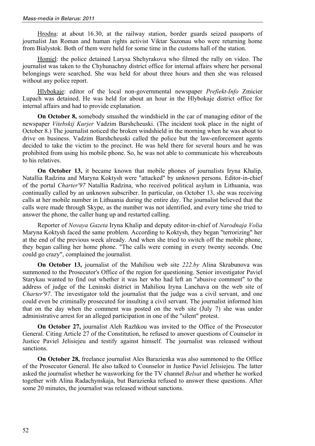Hrodna: at about 16.30, at the railway station, border guards seized passports of journalist Jan Roman and human rights activist Viktar Sazonau who were returning home from Bialystok. Both of them were held for some time in the customs hall of the station.

Homiel: the police detained Larysa Shchyrakova who filmed the rally on video. The journalist was taken to the Chyhunachny district office for internal affairs where her personal belongings were searched. She was held for about three hours and then she was released without any police report.

Hlybokaje: editor of the local non-governmental newspaper *Prefiekt-Info* Zmicier Lupach was detained. He was held for about an hour in the Hlybokaje district office for internal affairs and had to provide explanation.

**On October 8,** somebody smashed the windshield in the car of managing editor of the newspaper *Vitebskij Kurjer* Vadzim Barshcheuski. (The incident took place in the night of October 8.) The journalist noticed the broken windshield in the morning when he was about to drive on business. Vadzim Barshcheuski called the police but the law-enforcement agents decided to take the victim to the precinct. He was held there for several hours and he was prohibited from using his mobile phone. So, he was not able to communicate his whereabouts to his relatives.

**On October 13,** it became known that mobile phones of journalists Iryna Khalip, Natallia Radzina and Maryna Koktysh were "attacked" by unknown persons. Editor-in-chief of the portal *Charter'97* Natallia Radzina, who received political asylum in Lithuania, was continually called by an unknown subscriber. In particular, on October 13, she was receiving calls at her mobile number in Lithuania during the entire day. The journalist believed that the calls were made through Skype, as the number was not identified, and every time she tried to answer the phone, the caller hung up and restarted calling.

Reporter of *Novaya Gazeta* Iryna Khalip and deputy editor-in-chief of *Narodnaja Volia* Maryna Koktysh faced the same problem. According to Koktysh, they began "terrorizing" her at the end of the previous week already. And when she tried to switch off the mobile phone, they began calling her home phone. "The calls were coming in every twenty seconds. One could go crazy", complained the journalist.

**On October 13,** journalist of the Mahiliou web site *222.by* Alina Skrabunova was summoned to the Prosecutor's Office of the region for questioning. Senior investigator Paviel Starykau wanted to find out whether it was her who had left an "abusive comment" to the address of judge of the Leninski district in Mahiliou Iryna Lanchava on the web site of *Charter'97*. The investigator told the journalist that the judge was a civil servant, and one could even be criminally prosecuted for insulting a civil servant. The journalist informed him that on the day when the comment was posted on the web site (July 7) she was under administrative arrest for an alleged participation in one of the "silent" protest.

**On October 27,** journalist Aleh Razhkou was invited to the Office of the Prosecutor General. Citing Article 27 of the Constitution, he refused to answer questions of Counselor in Justice Paviel Jelisiejeu and testify against himself. The journalist was released without sanctions.

**On October 28,** freelance journalist Ales Barazienka was also summoned to the Office of the Prosecutor General. He also talked to Counselor in Justice Paviel Jelisiejeu. The latter asked the journalist whether he wasworking for the TV channel *Belsat* and whether he worked together with Alina Radachynskaja, but Barazienka refused to answer these questions. After some 20 minutes, the journalist was released without sanctions.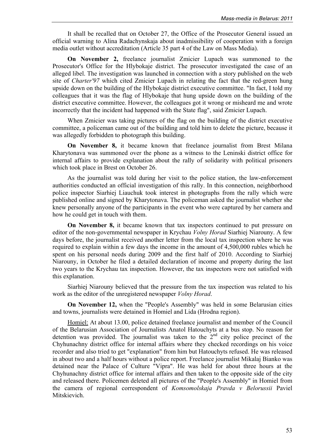It shall be recalled that on October 27, the Office of the Prosecutor General issued an official warning to Alina Radachynskaja about inadmissibility of cooperation with a foreign media outlet without accreditation (Article 35 part 4 of the Law on Mass Media).

**On November 2,** freelance journalist Zmicier Lupach was summoned to the Prosecutor's Office for the Hlybokaje district. The prosecutor investigated the case of an alleged libel. The investigation was launched in connection with a story published on the web site of *Charter'97* which cited Zmicier Lupach in relating the fact that the red-green hung upside down on the building of the Hlybokaje district executive committee. "In fact, I told my colleagues that it was the flag of Hlybokaje that hung upside down on the building of the district executive committee. However, the colleagues got it wrong or misheard me and wrote incorrectly that the incident had happened with the State flag", said Zmicier Lupach.

When Zmicier was taking pictures of the flag on the building of the district executive committee, a policeman came out of the building and told him to delete the picture, because it was allegedly forbidden to photograph this building.

**On November 8,** it became known that freelance journalist from Brest Milana Kharytonava was summoned over the phone as a witness to the Leninski district office for internal affairs to provide explanation about the rally of solidarity with political prisoners which took place in Brest on October 26.

As the journalist was told during her visit to the police station, the law-enforcement authorities conducted an official investigation of this rally. In this connection, neighborhood police inspector Siarhiej Liauchuk took interest in photographs from the rally which were published online and signed by Kharytonava. The policeman asked the journalist whether she knew personally anyone of the participants in the event who were captured by her camera and how he could get in touch with them.

**On November 8,** it became known that tax inspectors continued to put pressure on editor of the non-governmental newspaper in Krychau *Volny Horad* Siarhiej Niarouny. A few days before, the journalist received another letter from the local tax inspection where he was required to explain within a few days the income in the amount of 4,500,000 rubles which he spent on his personal needs during 2009 and the first half of 2010. According to Siarhiej Niarouny, in October he filed a detailed declaration of income and property during the last two years to the Krychau tax inspection. However, the tax inspectors were not satisfied with this explanation.

Siarhiej Niarouny believed that the pressure from the tax inspection was related to his work as the editor of the unregistered newspaper *Volny Horad*.

**On November 12,** when the "People's Assembly" was held in some Belarusian cities and towns, journalists were detained in Homiel and Lida (Hrodna region).

Homiel: At about 13.00, police detained freelance journalist and member of the Council of the Belarusian Association of Journalists Anatol Hatouchyts at a bus stop. No reason for detention was provided. The journalist was taken to the  $2<sup>nd</sup>$  city police precinct of the Chyhunachny district office for internal affairs where they checked recordings on his voice recorder and also tried to get "explanation" from him but Hatouchyts refused. He was released in about two and a half hours without a police report. Freelance journalist Mikalaj Bianko was detained near the Palace of Culture "Vipra". He was held for about three hours at the Chyhunachny district office for internal affairs and then taken to the opposite side of the city and released there. Policemen deleted all pictures of the "People's Assembly" in Homiel from the camera of regional correspondent of *Komsomolskaja Pravda v Belorussii* Paviel Mitskievich.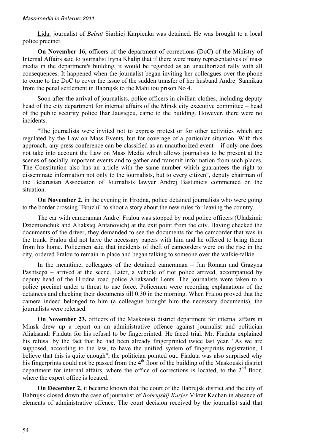Lida: journalist of *Belsat* Siarhiej Karpienka was detained. He was brought to a local police precinct.

**On November 16,** officers of the department of corrections (DoC) of the Ministry of Internal Affairs said to journalist Iryna Khalip that if there were many representatives of mass media in the department's building, it would be regarded as an unauthorized rally with all consequences. It happened when the journalist began inviting her colleagues over the phone to come to the DoC to cover the issue of the sudden transfer of her husband Andrej Sannikau from the penal settlement in Babrujsk to the Mahiliou prison No 4.

Soon after the arrival of journalists, police officers in civilian clothes, including deputy head of the city department for internal affairs of the Minsk city executive committee – head of the public security police Ihar Jausiejeu, came to the building. However, there were no incidents.

"The journalists were invited not to express protest or for other activities which are regulated by the Law on Mass Events, but for coverage of a particular situation. With this approach, any press conference can be classified as an unauthorized event – if only one does not take into account the Law on Mass Media which allows journalists to be present at the scenes of socially important events and to gather and transmit information from such places. The Constitution also has an article with the same number which guarantees the right to disseminate information not only to the journalists, but to every citizen", deputy chairman of the Belarusian Association of Journalists lawyer Andrej Bastuniets commented on the situation.

**On November 2,** in the evening in Hrodna, police detained journalists who were going to the border crossing "Bruzhi" to shoot a story about the new rules for leaving the country.

The car with cameraman Andrej Fralou was stopped by road police officers (Uladzimir Dziemianchuk and Aliaksiej Antanovich) at the exit point from the city. Having checked the documents of the driver, they demanded to see the documents for the camcorder that was in the trunk. Fralou did not have the necessary papers with him and he offered to bring them from his home. Policemen said that incidents of theft of camcorders were on the rise in the city, ordered Fralou to remain in place and began talking to someone over the walkie-talkie.

In the meantime, colleagues of the detained cameraman – Jan Roman and Grażyna Pashtsepa – arrived at the scene. Later, a vehicle of riot police arrived, accompanied by deputy head of the Hrodna road police Aliaksandr Lents. The journalists were taken to a police precinct under a threat to use force. Policemen were recording explanations of the detainees and checking their documents till 0.30 in the morning. When Fralou proved that the camera indeed belonged to him (a colleague brought him the necessary documents), the journalists were released.

**On November 23,** officers of the Maskouski district department for internal affairs in Minsk drew up a report on an administrative offence against journalist and politician Aliaksandr Fiaduta for his refusal to be fingerprinted. He faced trial. Mr. Fiaduta explained his refusal by the fact that he had been already fingerprinted twice last year. "As we are supposed, according to the law, to have the unified system of fingerprints registration, I believe that this is quite enough", the politician pointed out. Fiaduta was also surprised why his fingerprints could not be passed from the  $4<sup>th</sup>$  floor of the building of the Maskouski district department for internal affairs, where the office of corrections is located, to the  $2<sup>nd</sup>$  floor, where the expert office is located.

**On December 2,** it became known that the court of the Babrujsk district and the city of Babrujsk closed down the case of journalist of *Bobrujskij Kurjer* Viktar Kachan in absence of elements of administrative offence. The court decision received by the journalist said that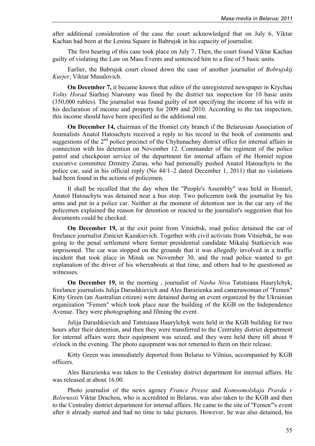after additional consideration of the case the court acknowledged that on July 6, Viktar Kachan had been at the Lenina Square in Babrujsk in his capacity of journalist.

The first hearing of this case took place on July 7. Then, the court found Viktar Kachan guilty of violating the Law on Mass Events and sentenced him to a fine of 5 basic units.

Earlier, the Babrujsk court closed down the case of another journalist of *Bobrujskij Kurjer*, Viktar Masalovich.

**On December 7,** it became known that editor of the unregistered newspaper in Krychau *Volny Horad* Siarhiej Niarouny was fined by the district tax inspection for 10 basic units (350,000 rubles). The journalist was found guilty of not specifying the income of his wife in his declaration of income and property for 2009 and 2010. According to the tax inspection, this income should have been specified as the additional one.

**On December 14,** chairman of the Homiel city branch if the Belarusian Association of Journalists Anatol Hatouchyts received a reply to his record in the book of comments and suggestions of the 2<sup>nd</sup> police precinct of the Chyhunachny district office for internal affairs in connection with his detention on November 12. Commander of the regiment of the police patrol and checkpoint service of the department for internal affairs of the Homiel region executive committee Dzmitry Zurau, who had personally pushed Anatol Hatouchyts to the police car, said in his official reply (No 44/1–2 dated December 1, 2011) that no violations had been found in the actions of policemen.

It shall be recalled that the day when the "People's Assembly" was held in Homiel, Anatol Hatouchyts was detained near a bus stop. Two policemen took the journalist by his arms and put in a police car. Neither at the moment of detention nor in the car any of the policemen explained the reason for detention or reacted to the journalist's suggestion that his documents could be checked.

**On December 19,** at the exit point from Vitsiebsk, road police detained the car of freelance journalist Zmicier Kazakievich. Together with civil activists from Vitsiebsk, he was going to the penal settlement where former presidential candidate Mikalaj Statkievich was imprisoned. The car was stopped on the grounds that it was allegedly involved in a traffic incident that took place in Minsk on November 30, and the road police wanted to get explanation of the driver of his whereabouts at that time, and others had to be questioned as witnesses.

**On December 19,** in the morning , journalist of *Nasha Niva* Tatstsiana Haurylchyk, freelance journalists Julija Darashkievich and Ales Barazienka and camerawoman of "Femen" Kitty Green (an Australian citizen) were detained during an event organized by the Ukrainian organization "Femen" which took place near the building of the KGB on the Independence Avenue. They were photographing and filming the event.

Julija Darashkievich and Tatstsiana Haurylchyk were held in the KGB building for two hours after their detention, and then they were transferred to the Centralny district department for internal affairs were their equipment was seized, and they were held there till about 9 o'clock in the evening. The photo equipment was not returned to them on their release.

Kitty Green was immediately deported from Belarus to Vilnius, accompanied by KGB officers.

Ales Barazienka was taken to the Centralny district department for internal affairs. He was released at about 16.00.

Photo journalist of the news agency *France Presse* and *Komsomolskaja Pravda v Belorussii* Viktar Drachou, who is accredited in Belarus, was also taken to the KGB and then to the Centralny district department for internal affairs. He came to the site of "Femen"'s event after it already started and had no time to take pictures. However, he was also detained, his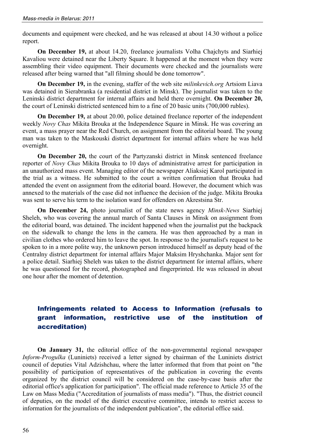documents and equipment were checked, and he was released at about 14.30 without a police report.

**On December 19,** at about 14.20, freelance journalists Volha Chajchyts and Siarhiej Kavaliou were detained near the Liberty Square. It happened at the moment when they were assembling their video equipment. Their documents were checked and the journalists were released after being warned that "all filming should be done tomorrow".

**On December 19,** in the evening, staffer of the web site *milinkevich.org* Artsiom Liava was detained in Sierabranka (a residential district in Minsk). The journalist was taken to the Leninski district department for internal affairs and held there overnight. **On December 20,** the court of Leninski districted sentenced him to a fine of 20 basic units (700,000 rubles).

**On December 19,** at about 20.00, police detained freelance reporter of the independent weekly *Novy Chas* Mikita Brouka at the Independence Square in Minsk. He was covering an event, a mass prayer near the Red Church, on assignment from the editorial board. The young man was taken to the Maskouski district department for internal affairs where he was held overnight.

**On December 20,** the court of the Partyzanski district in Minsk sentenced freelance reporter of *Novy Chas* Mikita Brouka to 10 days of administrative arrest for participation in an unauthorized mass event. Managing editor of the newspaper Aliaksiej Karol participated in the trial as a witness. He submitted to the court a written confirmation that Brouka had attended the event on assignment from the editorial board. However, the document which was annexed to the materials of the case did not influence the decision of the judge. Mikita Brouka was sent to serve his term to the isolation ward for offenders on Akrestsina Str.

**On December 24,** photo journalist of the state news agency *Minsk-News* Siarhiej Sheleh, who was covering the annual march of Santa Clauses in Minsk on assignment from the editorial board, was detained. The incident happened when the journalist put the backpack on the sidewalk to change the lens in the camera. He was then approached by a man in civilian clothes who ordered him to leave the spot. In response to the journalist's request to be spoken to in a more polite way, the unknown person introduced himself as deputy head of the Centralny district department for internal affairs Major Maksim Hryshchanka. Major sent for a police detail. Siarhiej Sheleh was taken to the district department for internal affairs, where he was questioned for the record, photographed and fingerprinted. He was released in about one hour after the moment of detention.

## Infringements related to Access to Information (refusals to grant information, restrictive use of the institution of accreditation)

**On January 31,** the editorial office of the non-governmental regional newspaper *Inform-Progulka* (Luniniets) received a letter signed by chairman of the Luniniets district council of deputies Vital Adzishchau, where the latter informed that from that point on "the possibility of participation of representatives of the publication in covering the events organized by the district council will be considered on the case-by-case basis after the editorial office's application for participation". The official made reference to Article 35 of the Law on Mass Media ("Accreditation of journalists of mass media"). "Thus, the district council of deputies, on the model of the district executive committee, intends to restrict access to information for the journalists of the independent publication", the editorial office said.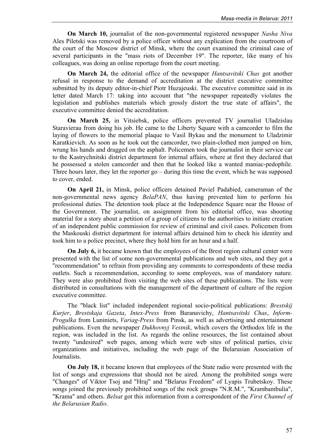**On March 10,** journalist of the non-governmental registered newspaper *Nasha Niva* Ales Piletski was removed by a police officer without any explication from the courtroom of the court of the Moscow district of Minsk, where the court examined the criminal case of several participants in the "mass riots of December 19". The reporter, like many of his colleagues, was doing an online reportage from the court meeting.

**On March 24,** the editorial office of the newspaper *Hantsavitski Chas* got another refusal in response to the demand of accreditation at the district executive committee submitted by its deputy editor-in-chief Piotr Huzajeuski. The executive committee said in its letter dated March 17: taking into account that "the newspaper repeatedly violates the legislation and publishes materials which grossly distort the true state of affairs", the executive committee denied the accreditation.

**On March 25,** in Vitsiebsk, police officers prevented TV journalist Uladzislau Staravierau from doing his job. He came to the Liberty Square with a camcorder to film the laying of flowers to the memorial plaque to Vasil Bykau and the monument to Uladzimir Karatkievich. As soon as he took out the camcorder, two plain-clothed men jumped on him, wrung his hands and dragged on the asphalt. Policemen took the journalist in their service car to the Kastrychnitski district department for internal affairs, where at first they declared that he possessed a stolen camcorder and then that he looked like a wanted maniac-pedophile. Three hours later, they let the reporter go – during this time the event, which he was supposed to cover, ended.

**On April 21,** in Minsk, police officers detained Paviel Padabied, cameraman of the non-governmental news agency *BelaPAN*, thus having prevented him to perform his professional duties. The detention took place at the Independence Square near the House of the Government. The journalist, on assignment from his editorial office, was shooting material for a story about a petition of a group of citizens to the authorities to initiate creation of an independent public commission for review of criminal and civil cases. Policemen from the Maskouski district department for internal affairs detained him to check his identity and took him to a police precinct, where they hold him for an hour and a half.

**On July 6,** it became known that the employees of the Brest region cultural center were presented with the list of some non-governmental publications and web sites, and they got a "recommendation" to refrain from providing any comments to correspondents of these media outlets. Such a recommendation, according to some employees, was of mandatory nature. They were also prohibited from visiting the web sites of these publications. The lists were distributed in consultations with the management of the department of culture of the region executive committee.

The "black list" included independent regional socio-political publications: *Brestskij Kurjer*, *Brestskaja Gazeta*, *Intex-Press* from Baranavichy, *Hantsavitski Chas*, *Inform-Progulka* from Luniniets, *Variag-Press* from Pinsk, as well as advertising and entertainment publications. Even the newspaper *Dukhovnyj Vestnik*, which covers the Orthodox life in the region, was included in the list. As regards the online resources, the list contained about twenty "undesired" web pages, among which were web sites of political parties, civic organizations and initiatives, including the web page of the Belarusian Association of Journalists.

**On July 18,** it became known that employees of the State radio were presented with the list of songs and expressions that should not be aired. Among the prohibited songs were "Changes" of Viktor Tsoj and "Hraj" and "Belarus Freedom" of Lyapis Trubetskoy. These songs joined the previously prohibited songs of the rock groups "N.R.M.", "Krambambulia", "Krama" and others. *Belsat* got this information from a correspondent of the *First Channel of the Belarusian Radio*.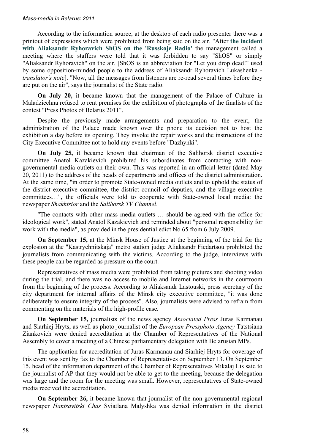According to the information source, at the desktop of each radio presenter there was a printout of expressions which were prohibited from being said on the air. "After **the incident with Aliaksandr Ryhoravich ShOS on the 'Russkoje Radio'** the management called a meeting where the staffers were told that it was forbidden to say "ShOS" or simply "Aliaksandr Ryhoravich" on the air. [ShOS is an abbreviation for "Let you drop dead!" used by some opposition-minded people to the address of Aliaksandr Ryhoravich Lukashenka *translator's note*]. "Now, all the messages from listeners are re-read several times before they are put on the air", says the journalist of the State radio.

**On July 20,** it became known that the management of the Palace of Culture in Maladziechna refused to rent premises for the exhibition of photographs of the finalists of the contest "Press Photos of Belarus 2011".

Despite the previously made arrangements and preparation to the event, the administration of the Palace made known over the phone its decision not to host the exhibition a day before its opening. They invoke the repair works and the instructions of the City Executive Committee not to hold any events before "Dazhynki".

**On July 25,** it became known that chairman of the Salihorsk district executive committee Anatol Kazakievich prohibited his subordinates from contacting with nongovernmental media outlets on their own. This was reported in an official letter (dated May 20, 2011) to the address of the heads of departments and offices of the district administration. At the same time, "in order to promote State-owned media outlets and to uphold the status of the district executive committee, the district council of deputies, and the village executive committees…", the officials were told to cooperate with State-owned local media: the newspaper *Shakhtsior* and the *Salihorsk TV Channel*.

"The contacts with other mass media outlets … should be agreed with the office for ideological work", stated Anatol Kazakievich and reminded about "personal responsibility for work with the media", as provided in the presidential edict No 65 from 6 July 2009.

**On September 15,** at the Minsk House of Justice at the beginning of the trial for the explosion at the "Kastrychnitskaja" metro station judge Aliaksandr Fiedartsou prohibited the journalists from communicating with the victims. According to the judge, interviews with these people can be regarded as pressure on the court.

Representatives of mass media were prohibited from taking pictures and shooting video during the trial, and there was no access to mobile and Internet networks in the courtroom from the beginning of the process. According to Aliaksandr Lastouski, press secretary of the city department for internal affairs of the Minsk city executive committee, "it was done deliberately to ensure integrity of the process". Also, journalists were advised to refrain from commenting on the materials of the high-profile case.

**On September 15,** journalists of the news agency *Associated Press* Juras Karmanau and Siarhiej Hryts, as well as photo journalist of the *European Pressphoto Agency* Tatstsiana Ziankovich were denied accreditation at the Chamber of Representatives of the National Assembly to cover a meeting of a Chinese parliamentary delegation with Belarusian MPs.

The application for accreditation of Juras Karmanau and Siarhiej Hryts for coverage of this event was sent by fax to the Chamber of Representatives on September 13. On September 15, head of the information department of the Chamber of Representatives Mikalaj Lis said to the journalist of AP that they would not be able to get to the meeting, because the delegation was large and the room for the meeting was small. However, representatives of State-owned media received the accreditation.

**On September 26,** it became known that journalist of the non-governmental regional newspaper *Hantsavitski Chas* Sviatlana Malyshka was denied information in the district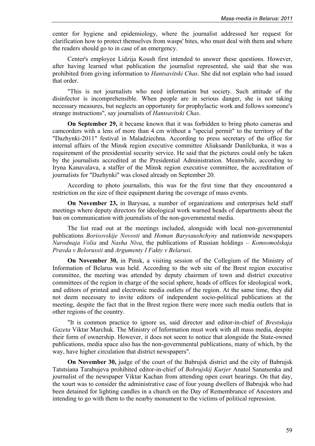center for hygiene and epidemiology, where the journalist addressed her request for clarification how to protect themselves from wasps' bites, who must deal with them and where the readers should go to in case of an emergency.

Center's employee Lidzija Koush first intended to answer these questions. However, after having learned what publication the journalist represented, she said that she was prohibited from giving information to *Hantsavitski Chas*. She did not explain who had issued that order.

"This is not journalists who need information but society. Such attitude of the disinfector is incomprehensible. When people are in serious danger, she is not taking necessary measures, but neglects an opportunity for prophylactic work and follows someone's strange instructions", say journalists of *Hantsavitski Chas*.

**On September 29,** it became known that it was forbidden to bring photo cameras and camcorders with a lens of more than 4 cm without a "special permit" to the territory of the "Dazhynki-2011" festival in Maladziechna. According to press secretary of the office for internal affairs of the Minsk region executive committee Aliaksandr Danilchanka, it was a requirement of the presidential security service. He said that the pictures could only be taken by the journalists accredited at the Presidential Administration. Meanwhile, according to Iryna Kanavalava, a staffer of the Minsk region executive committee, the accreditation of journalists for "Dazhynki" was closed already on September 20.

According to photo journalists, this was for the first time that they encountered a restriction on the size of their equipment during the coverage of mass events.

**On November 23,** in Barysau, a number of organizations and enterprises held staff meetings where deputy directors for ideological work warned heads of departments about the ban on communication with journalists of the non-governmental media.

The list read out at the meetings included, alongside with local non-governmental publications *Borisovskije Novosti* and *Homan Barysaushchyny* and nationwide newspapers *Narodnaja Volia* and *Nasha Niva*, the publications of Russian holdings – *Komsomolskaja Pravda v Belorussii* and *Argumenty I Fakty v Belarusi*.

**On November 30,** in Pinsk, a visiting session of the Collegium of the Ministry of Information of Belarus was held. According to the web site of the Brest region executive committee, the meeting was attended by deputy chairmen of town and district executive committees of the region in charge of the social sphere, heads of offices for ideological work, and editors of printed and electronic media outlets of the region. At the same time, they did not deem necessary to invite editors of independent socio-political publications at the meeting, despite the fact that in the Brest region there were more such media outlets that in other regions of the country.

"It is common practice to ignore us, said director and editor-in-chief of *Brestskaja Gazeta* Viktar Marchuk. The Ministry of Information must work with all mass media, despite their form of ownership. However, it does not seem to notice that alongside the State-owned publications, media space also has the non-governmental publications, many of which, by the way, have higher circulation that district newspapers".

**On November 30,** judge of the court of the Babrujsk district and the city of Babrujsk Tatstsiana Tarabujeva prohibited editor-in-chief of *Bobrujskij Kurjer* Anatol Sanatsenka and journalist of the newspaper Viktar Kachan from attending open court hearings. On that day, the xourt was to consider the administrative case of four young dwellers of Babrujsk who had been detained for lighting candles in a church on the Day of Remembrance of Ancestors and intending to go with them to the nearby monument to the victims of political repression.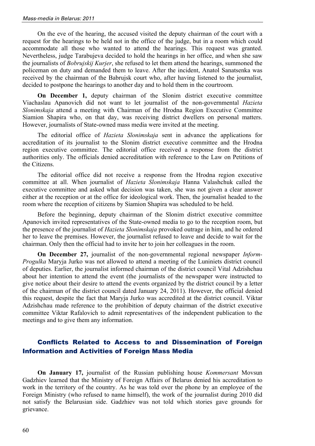On the eve of the hearing, the accused visited the deputy chairman of the court with a request for the hearings to be held not in the office of the judge, but in a room which could accommodate all those who wanted to attend the hearings. This request was granted. Nevertheless, judge Tarabujeva decided to hold the hearings in her office, and when she saw the journalists of *Bobrujskij Kurjer*, she refused to let them attend the hearings, summoned the policeman on duty and demanded them to leave. After the incident, Anatol Sanatsenka was received by the chairman of the Babrujsk court who, after having listened to the journalist, decided to postpone the hearings to another day and to hold them in the courtroom.

**On December 1,** deputy chairman of the Slonim district executive committee Viachaslau Apanovich did not want to let journalist of the non-governmental *Hazieta Slonimskaja* attend a meeting with Chairman of the Hrodna Region Executive Committee Siamion Shapira who, on that day, was receiving district dwellers on personal matters. However, journalists of State-owned mass media were invited at the meeting.

The editorial office of *Hazieta Slonimskaja* sent in advance the applications for accreditation of its journalist to the Slonim district executive committee and the Hrodna region executive committee. The editorial office received a response from the district authorities only. The officials denied accreditation with reference to the Law on Petitions of the Citizens.

The editorial office did not receive a response from the Hrodna region executive committee at all. When journalist of *Hazieta Slonimskaja* Hanna Valashchuk called the executive committee and asked what decision was taken, she was not given a clear answer either at the reception or at the office for ideological work. Then, the journalist headed to the room where the reception of citizens by Siamion Shapira was scheduled to be held.

Before the beginning, deputy chairman of the Slonim district executive committee Apanovich invited representatives of the State-owned media to go to the reception room, but the presence of the journalist of *Hazieta Slonimskaja* provoked outrage in him, and he ordered her to leave the premises. However, the journalist refused to leave and decide to wait for the chairman. Only then the official had to invite her to join her colleagues in the room.

**On December 27,** journalist of the non-governmental regional newspaper *Inform-Progulka* Maryja Jurko was not allowed to attend a meeting of the Luniniets district council of deputies. Earlier, the journalist informed chairman of the district council Vital Adzishchau about her intention to attend the event (the journalists of the newspaper were instructed to give notice about their desire to attend the events organized by the district council by a letter of the chairman of the district council dated January 24, 2011). However, the official denied this request, despite the fact that Maryja Jurko was accredited at the district council. Viktar Adzishchau made reference to the prohibition of deputy chairman of the district executive committee Viktar Rafalovich to admit representatives of the independent publication to the meetings and to give them any information.

## Conflicts Related to Access to and Dissemination of Foreign Information and Activities of Foreign Mass Media

**On January 17,** journalist of the Russian publishing house *Kommersant* Movsun Gadzhiev learned that the Ministry of Foreign Affairs of Belarus denied his accreditation to work in the territory of the country. As he was told over the phone by an employee of the Foreign Ministry (who refused to name himself), the work of the journalist during 2010 did not satisfy the Belarusian side. Gadzhiev was not told which stories gave grounds for grievance.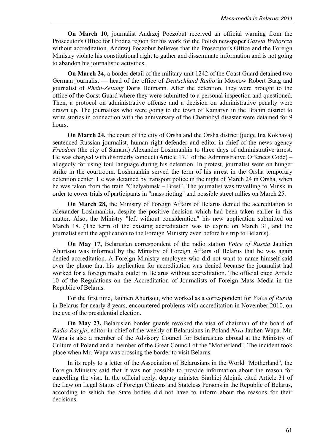**On March 10,** journalist Andrzej Poczobut received an official warning from the Prosecutor's Office for Hrodna region for his work for the Polish newspaper *Gazeta Wyborcza* without accreditation. Andrzej Poczobut believes that the Prosecutor's Office and the Foreign Ministry violate his constitutional right to gather and disseminate information and is not going to abandon his journalistic activities.

**On March 24,** a border detail of the military unit 1242 of the Coast Guard detained two German journalist — head of the office of *Deutschland Radio* in Moscow Robert Baag and journalist of *Rhein-Zeitung* Doris Heimann. After the detention, they were brought to the office of the Coast Guard where they were submitted to a personal inspection and questioned. Then, a protocol on administrative offense and a decision on administrative penalty were drawn up. The journalists who were going to the town of Kamaryn in the Brahin district to write stories in connection with the anniversary of the Charnobyl disaster were detained for 9 hours.

**On March 24,** the court of the city of Orsha and the Orsha district (judge Ina Kokhava) sentenced Russian journalist, human right defender and editor-in-chief of the news agency *Freedom* (the city of Samara) Alexander Loshmankin to three days of administrative arrest. He was charged with disorderly conduct (Article 17.1 of the Administrative Offences Code) – allegedly for using foul language during his detention. In protest, journalist went on hunger strike in the courtroom. Loshmankin served the term of his arrest in the Orsha temporary detention center. He was detained by transport police in the night of March 24 in Orsha, when he was taken from the train "Chelyabinsk – Brest". The journalist was travelling to Minsk in order to cover trials of participants in "mass rioting" and possible street rallies on March 25.

**On March 28,** the Ministry of Foreign Affairs of Belarus denied the accreditation to Alexander Loshmankin, despite the positive decision which had been taken earlier in this matter. Also, the Ministry "left without consideration" his new application submitted on March 18. (The term of the existing accreditation was to expire on March 31, and the journalist sent the application to the Foreign Ministry even before his trip to Belarus).

**On May 17,** Belarusian correspondent of the radio station *Voice of Russia* Jauhien Ahurtsou was informed by the Ministry of Foreign Affairs of Belarus that he was again denied accreditation. A Foreign Ministry employee who did not want to name himself said over the phone that his application for accreditation was denied because the journalist had worked for a foreign media outlet in Belarus without accreditation. The official cited Article 10 of the Regulations on the Accreditation of Journalists of Foreign Mass Media in the Republic of Belarus.

For the first time, Jauhien Ahurtsou, who worked as a correspondent for *Voice of Russia* in Belarus for nearly 8 years, encountered problems with accreditation in November 2010, on the eve of the presidential election.

**On May 23,** Belarusian border guards revoked the visa of chairman of the board of *Radio Racyja*, editor-in-chief of the weekly of Belarusians in Poland *Niva* Jauhen Wapa. Mr. Wapa is also a member of the Advisory Council for Belarusians abroad at the Ministry of Culture of Poland and a member of the Great Council of the "Motherland". The incident took place when Mr. Wapa was crossing the border to visit Belarus.

In its reply to a letter of the Association of Belarusians in the World "Motherland", the Foreign Ministry said that it was not possible to provide information about the reason for cancelling the visa. In the official reply, deputy minister Siarhiej Alejnik cited Article 31 of the Law on Legal Status of Foreign Citizens and Stateless Persons in the Republic of Belarus, according to which the State bodies did not have to inform about the reasons for their decisions.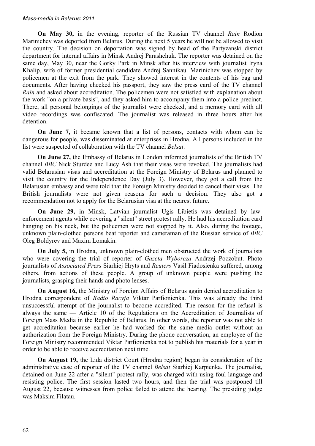**On May 30,** in the evening, reporter of the Russian TV channel *Rain* Rodion Marinichev was deported from Belarus. During the next 5 years he will not be allowed to visit the country. The decision on deportation was signed by head of the Partyzanski district department for internal affairs in Minsk Andrej Parashchuk. The reporter was detained on the same day, May 30, near the Gorky Park in Minsk after his interview with journalist Iryna Khalip, wife of former presidential candidate Andrej Sannikau. Marinichev was stopped by policemen at the exit from the park. They showed interest in the contents of his bag and documents. After having checked his passport, they saw the press card of the TV channel *Rain* and asked about accreditation. The policemen were not satisfied with explanation about the work "on a private basis", and they asked him to accompany them into a police precinct. There, all personal belongings of the journalist were checked, and a memory card with all video recordings was confiscated. The journalist was released in three hours after his detention.

**On June 7,** it became known that a list of persons, contacts with whom can be dangerous for people, was disseminated at enterprises in Hrodna. All persons included in the list were suspected of collaboration with the TV channel *Belsat*.

**On June 27,** the Embassy of Belarus in London informed journalists of the British TV channel *ВВС* Nick Sturdee and Lucy Ash that their visas were revoked. The journalists had valid Belarusian visas and accreditation at the Foreign Ministry of Belarus and planned to visit the country for the Independence Day (July 3). However, they got a call from the Belarusian embassy and were told that the Foreign Ministry decided to cancel their visas. The British journalists were not given reasons for such a decision. They also got a recommendation not to apply for the Belarusian visa at the nearest future.

**On June 29,** in Minsk, Latvian journalist Ugis Libietis was detained by lawenforcement agents while covering a "silent" street protest rally. He had his accreditation card hanging on his neck, but the policemen were not stopped by it. Also, during the footage, unknown plain-clothed persons beat reporter and cameraman of the Russian service of *BBC* Oleg Boldyrev and Maxim Lomakin.

**On July 5,** in Hrodna, unknown plain-clothed men obstructed the work of journalists who were covering the trial of reporter of *Gazeta Wyborcza* Andrzej Poczobut. Photo journalists of *Associated Press* Siarhiej Hryts and *Reuters* Vasil Fiadosienka suffered, among others, from actions of these people. A group of unknown people were pushing the journalists, grasping their hands and photo lenses.

**On August 16,** the Ministry of Foreign Affairs of Belarus again denied accreditation to Hrodna correspondent of *Radio Racyja* Viktar Parfionienka. This was already the third unsuccessful attempt of the journalist to become accredited. The reason for the refusal is always the same — Article 10 of the Regulations on the Accreditation of Journalists of Foreign Mass Media in the Republic of Belarus. In other words, the reporter was not able to get accreditation because earlier he had worked for the same media outlet without an authorization from the Foreign Ministry. During the phone conversation, an employee of the Foreign Ministry recommended Viktar Parfionienka not to publish his materials for a year in order to be able to receive accreditation next time.

**On August 19,** the Lida district Court (Hrodna region) began its consideration of the administrative case of reporter of the TV channel *Belsat* Siarhiej Karpienka. The journalist, detained on June 22 after a "silent" protest rally, was charged with using foul language and resisting police. The first session lasted two hours, and then the trial was postponed till August 22, because witnesses from police failed to attend the hearing. The presiding judge was Maksim Filatau.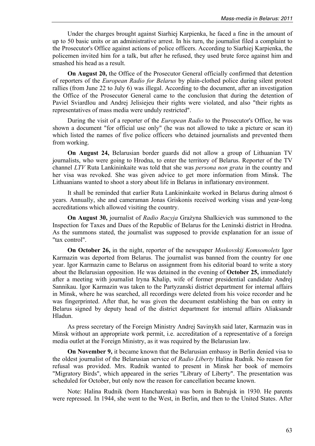Under the charges brought against Siarhiej Karpienka, he faced a fine in the amount of up to 50 basic units or an administrative arrest. In his turn, the journalist filed a complaint to the Prosecutor's Office against actions of police officers. According to Siarhiej Karpienka, the policemen invited him for a talk, but after he refused, they used brute force against him and smashed his head as a result.

**On August 20,** the Office of the Prosecutor General officially confirmed that detention of reporters of the *European Radio for Belarus* by plain-clothed police during silent protest rallies (from June 22 to July 6) was illegal. According to the document, after an investigation the Office of the Prosecutor General came to the conclusion that during the detention of Paviel Sviardlou and Andrej Jelisiejeu their rights were violated, and also "their rights as representatives of mass media were unduly restricted".

During the visit of a reporter of the *European Radio* to the Prosecutor's Office, he was shown a document "for official use only" (he was not allowed to take a picture or scan it) which listed the names of five police officers who detained journalists and prevented them from working.

**On August 24,** Belarusian border guards did not allow a group of Lithuanian TV journalists, who were going to Hrodna, to enter the territory of Belarus. Reporter of the TV channel *LTV* Ruta Lankininkaite was told that she was *persona non grata* in the country and her visa was revoked. She was given advice to get more information from Minsk. The Lithuanians wanted to shoot a story about life in Belarus in inflationary environment.

It shall be reminded that earlier Ruta Lankininkaite worked in Belarus during almost 6 years. Annually, she and cameraman Jonas Griskonis received working visas and year-long accreditations which allowed visiting the country.

**On August 30,** journalist of *Radio Racyja* Grażyna Shalkievich was summoned to the Inspection for Taxes and Dues of the Republic of Belarus for the Leninski district in Hrodna. As the summons stated, the journalist was supposed to provide explanation for an issue of "tax control".

**On October 26,** in the night, reporter of the newspaper *Moskovskij Komsomolets* Igor Karmazin was deported from Belarus. The journalist was banned from the country for one year. Igor Karmazin came to Belarus on assignment from his editorial board to write a story about the Belarusian opposition. He was detained in the evening of **October 25,** immediately after a meeting with journalist Iryna Khalip, wife of former presidential candidate Andrej Sannikau. Igor Karmazin was taken to the Partyzanski district department for internal affairs in Minsk, where he was searched, all recordings were deleted from his voice recorder and he was fingerprinted. After that, he was given the document establishing the ban on entry in Belarus signed by deputy head of the district department for internal affairs Aliaksandr Hladun.

As press secretary of the Foreign Ministry Andrej Savinykh said later, Karmazin was in Minsk without an appropriate work permit, i.e. accreditation of a representative of a foreign media outlet at the Foreign Ministry, as it was required by the Belarusian law.

**On November 9,** it became known that the Belarusian embassy in Berlin denied visa to the oldest journalist of the Belarusian service of *Radio Liberty* Halina Rudnik. No reason for refusal was provided. Mrs. Rudnik wanted to present in Minsk her book of memoirs "Migratory Birds", which appeared in the series "Library of Liberty". The presentation was scheduled for October, but only now the reason for cancellation became known.

Note: Halina Rudnik (born Hancharenka) was born in Babrujsk in 1930. He parents were repressed. In 1944, she went to the West, in Berlin, and then to the United States. After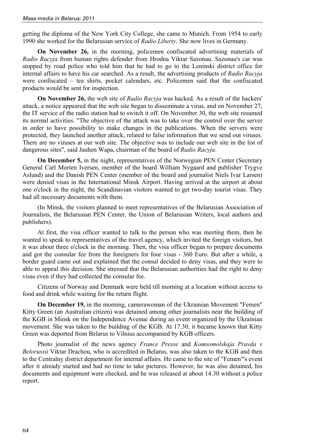getting the diploma of the New York City College, she came to Munich. From 1954 to early 1990 she worked for the Belarusian service of *Radio Liberty*. She now lives in Germany.

**On November 26,** in the morning, policemen confiscated advertising materials of *Radio Racyja* from human rights defender from Hrodna Viktar Sazonau. Sazonau's car was stopped by road police who told him that he had to go to the Leninski district office for internal affairs to have his car searched. As a result, the advertising products of *Radio Racyja* were confiscated – tea shirts, pocket calendars, etc. Policemen said that the confiscated products would be sent for inspection.

**On November 26,** the web site of *Radio Racyja* was hacked. As a result of the hackers' attack, a notice appeared that the web site began to disseminate a virus, and on November 27, the IT service of the radio station had to switch it off. On November 30, the web site resumed its normal activities. "The objective of the attack was to take over the control over the server in order to have possibility to make changes in the publications. When the servers were protected, they launched another attack, related to false information that we send out viruses. There are no viruses at our web site. The objective was to include our web site in the list of dangerous sites", said Jauhen Wapa, chairman of the board of *Radio Racyja*.

**On December 5,** in the night, representatives of the Norwegian PEN Center (Secretary General Carl Morten Iversen, member of the board William Nygaard and publisher Trygve Aslund) and the Danish PEN Center (member of the board and journalist Niels Ivar Larsen) were denied visas in the International Minsk Airport. Having arrived at the airport at about one o'clock in the night, the Scandinavian visitors wanted to get two-day tourist visas. They had all necessary documents with them.

(In Minsk, the visitors planned to meet representatives of the Belarusian Association of Journalists, the Belarusian PEN Center, the Union of Belarusian Writers, local authors and publishers).

At first, the visa officer wanted to talk to the person who was meeting them, then he wanted to speak to representatives of the travel agency, which invited the foreign visitors, but it was about three o'clock in the morning. Then, the visa officer began to prepare documents and got the consular fee from the foreigners for four visas - 360 Euro. But after a while, a border guard came out and explained that the consul decided to deny visas, and they were to able to appeal this decision. She stressed that the Belarusian authorities had the right to deny visas even if they had collected the consular fee.

Citizens of Norway and Denmark were held till morning at a location without access to food and drink while waiting for the return flight.

**On December 19,** in the morning, camerawoman of the Ukrainian Movement "Femen" Kitty Green (an Australian citizen) was detained among other journalists near the building of the KGB in Minsk on the Independence Avenue during an event organized by the Ukrainian movement. She was taken to the building of the KGB. At 17.30, it became known that Kitty Green was deported from Belarus to Vilnius accompanied by KGB officers.

Photo journalist of the news agency *France Presse* and *Komsomolskaja Pravda v Belorussii* Viktar Drachou, who is accredited in Belarus, was also taken to the KGB and then to the Centralny district department for internal affairs. He came to the site of "Femen"'s event after it already started and had no time to take pictures. However, he was also detained, his documents and equipment were checked, and he was released at about 14.30 without a police report.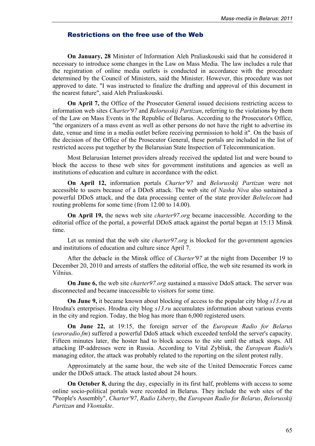## Restrictions on the free use of the Web

**On January, 28** Minister of Information Aleh Praliaskouski said that he considered it necessary to introduce some changes in the Law on Mass Media. The law includes a rule that the registration of online media outlets is conducted in accordance with the procedure determined by the Council of Ministers, said the Minister. However, this procedure was not approved to date. "I was instructed to finalize the drafting and approval of this document in the nearest future", said Aleh Praliaskouski.

**On April 7,** the Office of the Prosecutor General issued decisions restricting access to information web sites *Charter'97* and *Belorusskij Partizan*, referring to the violations by them of the Law on Mass Events in the Republic of Belarus. According to the Prosecutor's Office, "the organizers of a mass event as well as other persons do not have the right to advertise its date, venue and time in a media outlet before receiving permission to hold it". On the basis of the decision of the Office of the Prosecutor General, these portals are included in the list of restricted access put together by the Belarusian State Inspection of Telecommunication.

Most Belarusian Internet providers already received the updated list and were bound to block the access to these web sites for government institutions and agencies as well as institutions of education and culture in accordance with the edict.

**On April 12,** information portals *Charter'97* and *Belorusskij Partizan* were not accessible to users because of a DDoS attack. The web site of *Nasha Niva* also sustained a powerful DDoS attack, and the data processing center of the state provider *Beltelecom* had routing problems for some time (from 12.00 to 14.00).

**On April 19,** the news web site *charter97.org* became inaccessible. According to the editorial office of the portal, a powerful DDoS attack against the portal began at 15:13 Minsk time.

Let us remind that the web site *charter97.org* is blocked for the government agencies and institutions of education and culture since April 7.

After the debacle in the Minsk office of *Charter'97* at the night from December 19 to December 20, 2010 and arrests of staffers the editorial office, the web site resumed its work in Vilnius.

**On June 6,** the web site *charter97.org* sustained a massive DdoS attack. The server was disconnected and became inaccessible to visitors for some time.

**On June 9,** it became known about blocking of access to the popular city blog *s13.ru* at Hrodna's enterprises. Hrodna city blog *s13.ru* accumulates information about various events in the city and region. Today, the blog has more than 6,000 registered users.

**On June 22,** at 19:15, the foreign server of the *European Radio for Belarus* (*euroradio.fm*) suffered a powerful DdoS attack which exceeded tenfold the server's capacity. Fifteen minutes later, the hoster had to block access to the site until the attack stops. All attacking IP-addresses were in Russia. According to Vital Zybliuk, the *European Radio*'s managing editor, the attack was probably related to the reporting on the silent protest rally.

Approximately at the same hour, the web site of the United Democratic Forces came under the DDoS attack. The attack lasted about 24 hours.

**On October 8,** during the day, especially in its first half, problems with access to some online socio-political portals were recorded in Belarus. They include the web sites of the "People's Assembly", *Charter'97*, *Radio Liberty*, the *European Radio for Belarus*, *Belorusskij Partizan* and *Vkontakte*.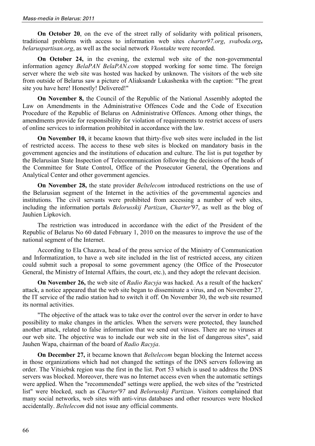**On October 20**, on the eve of the street rally of solidarity with political prisoners, traditional problems with access to information web sites *charter97.org*, *svaboda.org***,** *belaruspartisan.org*, as well as the social network *Vkontakte* were recorded.

**On October 24,** in the evening, the external web site of the non-governmental information agency *BelaPAN BelaPAN.com* stopped working for some time. The foreign server where the web site was hosted was hacked by unknown. The visitors of the web site from outside of Belarus saw a picture of Aliaksandr Lukashenka with the caption: "The great site you have here! Honestly! Delivered!"

**On November 8,** the Council of the Republic of the National Assembly adopted the Law on Amendments in the Administrative Offences Code and the Code of Execution Procedure of the Republic of Belarus on Administrative Offences. Among other things, the amendments provide for responsibility for violation of requirements to restrict access of users of online services to information prohibited in accordance with the law.

**On November 10,** it became known that thirty-five web sites were included in the list of restricted access. The access to these web sites is blocked on mandatory basis in the government agencies and the institutions of education and culture. The list is put together by the Belarusian State Inspection of Telecommunication following the decisions of the heads of the Committee for State Control, Office of the Prosecutor General, the Operations and Analytical Center and other government agencies.

**On November 28,** the state provider *Beltelecom* introduced restrictions on the use of the Belarusian segment of the Internet in the activities of the governmental agencies and institutions. The civil servants were prohibited from accessing a number of web sites, including the information portals *Belorusskij Partizan*, *Charter'97*, as well as the blog of Jauhien Lipkovich.

The restriction was introduced in accordance with the edict of the President of the Republic of Belarus No 60 dated February 1, 2010 on the measures to improve the use of the national segment of the Internet.

According to Ela Chazava, head of the press service of the Ministry of Communication and Informatization, to have a web site included in the list of restricted access, any citizen could submit such a proposal to some government agency (the Office of the Prosecutor General, the Ministry of Internal Affairs, the court, etc.), and they adopt the relevant decision.

**On November 26,** the web site of *Radio Racyja* was hacked. As a result of the hackers' attack, a notice appeared that the web site began to disseminate a virus, and on November 27, the IT service of the radio station had to switch it off. On November 30, the web site resumed its normal activities.

"The objective of the attack was to take over the control over the server in order to have possibility to make changes in the articles. When the servers were protected, they launched another attack, related to false information that we send out viruses. There are no viruses at our web site. The objective was to include our web site in the list of dangerous sites", said Jauhen Wapa, chairman of the board of *Radio Racyja*.

**On December 27,** it became known that *Beltelecom* began blocking the Internet access in those organizations which had not changed the settings of the DNS servers following an order. The Vitsiebsk region was the first in the list. Port 53 which is used to address the DNS servers was blocked. Moreover, there was no Internet access even when the automatic settings were applied. When the "recommended" settings were applied, the web sites of the "restricted list" were blocked, such as *Charter'97* and *Belorusskij Partizan*. Visitors complained that many social networks, web sites with anti-virus databases and other resources were blocked accidentally. *Beltelecom* did not issue any official comments.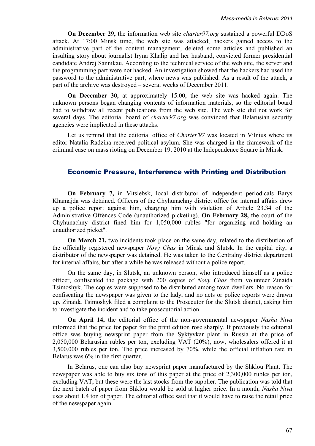**On December 29,** the information web site *charter97.org* sustained a powerful DDoS attack. At 17:00 Minsk time, the web site was attacked; hackers gained access to the administrative part of the content management, deleted some articles and published an insulting story about journalist Iryna Khalip and her husband, convicted former presidential candidate Andrej Sannikau. According to the technical service of the web site, the server and the programming part were not hacked. An investigation showed that the hackers had used the password to the administrative part, where news was published. As a result of the attack, a part of the archive was destroyed – several weeks of December 2011.

**On December 30,** at approximately 15.00, the web site was hacked again. The unknown persons began changing contents of information materials, so the editorial board had to withdraw all recent publications from the web site. The web site did not work for several days. The editorial board of *charter97.org* was convinced that Belarusian security agencies were implicated in these attacks.

Let us remind that the editorial office of *Charter'97* was located in Vilnius where its editor Natalia Radzina received political asylum. She was charged in the framework of the criminal case on mass rioting on December 19, 2010 at the Independence Square in Minsk.

## Economic Pressure, Interference with Printing and Distribution

**On February 7,** in Vitsiebsk, local distributor of independent periodicals Barys Khamajda was detained. Officers of the Chyhunachny district office for internal affairs drew up a police report against him, charging him with violation of Article 23.34 of the Administrative Offences Code (unauthorized picketing). **On February 28,** the court of the Chyhunachny district fined him for 1,050,000 rubles "for organizing and holding an unauthorized picket".

**On March 21,** two incidents took place on the same day, related to the distribution of the officially registered newspaper *Novy Chas* in Minsk and Slutsk. In the capital city, a distributor of the newspaper was detained. He was taken to the Centralny district department for internal affairs, but after a while he was released without a police report.

On the same day, in Slutsk, an unknown person, who introduced himself as a police officer, confiscated the package with 200 copies of *Novy Chas* from volunteer Zinaida Tsimoshyk. The copies were supposed to be distributed among town dwellers. No reason for confiscating the newspaper was given to the lady, and no acts or police reports were drawn up. Zinaida Tsimoshyk filed a complaint to the Prosecutor for the Slutsk district, asking him to investigate the incident and to take prosecutorial action.

**On April 14,** the editorial office of the non-governmental newspaper *Nasha Niva* informed that the price for paper for the print edition rose sharply. If previously the editorial office was buying newsprint paper from the Syktyvkar plant in Russia at the price of 2,050,000 Belarusian rubles per ton, excluding VAT (20%), now, wholesalers offered it at 3,500,000 rubles per ton. The price increased by 70%, while the official inflation rate in Belarus was 6% in the first quarter.

In Belarus, one can also buy newsprint paper manufactured by the Shklou Plant. The newspaper was able to buy six tons of this paper at the price of 2,300,000 rubles per ton, excluding VAT, but these were the last stocks from the supplier. The publication was told that the next batch of paper from Shklou would be sold at higher price. In a month, *Nasha Niva* uses about 1,4 ton of paper. The editorial office said that it would have to raise the retail price of the newspaper again.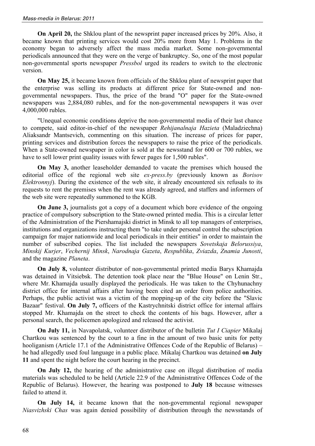**On April 20,** the Shklou plant of the newsprint paper increased prices by 20%. Also, it became known that printing services would cost 20% more from May 1. Problems in the economy began to adversely affect the mass media market. Some non-governmental periodicals announced that they were on the verge of bankruptcy. So, one of the most popular non-governmental sports newspaper *Pressbol* urged its readers to switch to the electronic version.

**On May 25,** it became known from officials of the Shklou plant of newsprint paper that the enterprise was selling its products at different price for State-owned and nongovernmental newspapers. Thus, the price of the brand "O" paper for the State-owned newspapers was 2,884,080 rubles, and for the non-governmental newspapers it was over 4,000,000 rubles.

"Unequal economic conditions deprive the non-governmental media of their last chance to compete, said editor-in-chief of the newspaper *Rehijanalnaja Hazieta* (Maladziechna) Aliaksandr Mantsevich, commenting on this situation. The increase of prices for paper, printing services and distribution forces the newspapers to raise the price of the periodicals. When a State-owned newspaper in color is sold at the newsstand for 600 or 700 rubles, we have to sell lower print quality issues with fewer pages for 1,500 rubles".

**On May 3,** another leaseholder demanded to vacate the premises which housed the editorial office of the regional web site *ex-press.by* (previously known as *Borisov Elektronnyj*). During the existence of the web site, it already encountered six refusals to its requests to rent the premises when the rent was already agreed, and staffers and informers of the web site were repeatedly summoned to the KGB.

**On June 3,** journalists got a copy of a document which bore evidence of the ongoing practice of compulsory subscription to the State-owned printed media. This is a circular letter of the Administration of the Piershamajski district in Minsk to all top managers of enterprises, institutions and organizations instructing them "to take under personal control the subscription campaign for major nationwide and local periodicals in their entities" in order to maintain the number of subscribed copies. The list included the newspapers *Sovetskaja Belorussiya*, *Minskij Kurjer*, *Vechernij Minsk*, *Narodnaja Gazeta*, *Respublika*, *Zviazda*, *Znamia Junosti*, and the magazine *Planeta*.

**On July 8,** volunteer distributor of non-governmental printed media Barys Khamajda was detained in Vitsiebsk. The detention took place near the "Blue House" on Lenin Str., where Mr. Khamajda usually displayed the periodicals. He was taken to the Chyhunachny district office for internal affairs after having been cited an order from police authorities. Perhaps, the public activist was a victim of the mopping-up of the city before the "Slavic Bazaar" festival. **On July 7,** officers of the Kastrychnitski district office for internal affairs stopped Mr. Khamajda on the street to check the contents of his bags. However, after a personal search, the policemen apologized and released the activist.

**On July 11,** in Navapolatsk, volunteer distributor of the bulletin *Tut I Ciapier* Mikalaj Chartkou was sentenced by the court to a fine in the amount of two basic units for petty hooliganism (Article 17.1 of the Administrative Offences Code of the Republic of Belarus) – he had allegedly used foul language in a public place. Mikalaj Chartkou was detained **on July 11** and spent the night before the court hearing in the precinct.

**On July 12,** the hearing of the administrative case on illegal distribution of media materials was scheduled to be held (Article 22.9 of the Administrative Offences Code of the Republic of Belarus). However, the hearing was postponed to **July 18** because witnesses failed to attend it.

**On July 14,** it became known that the non-governmental regional newspaper *Niasvizhski Chas* was again denied possibility of distribution through the newsstands of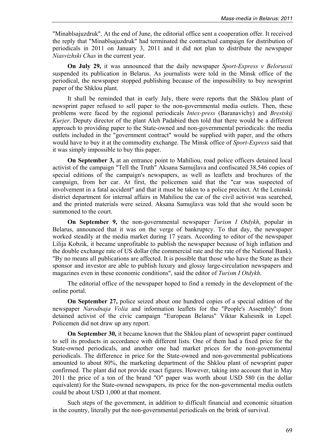"Minablsajuzdruk". At the end of June, the editorial office sent a cooperation offer. It received the reply that "Minablsajuzdruk" had terminated the contractual campaign for distribution of periodicals in 2011 on January 3, 2011 and it did not plan to distribute the newspaper *Niasvizhski Chas* in the current year.

**On July 29,** it was announced that the daily newspaper *Sport-Express v Belorussii* suspended its publication in Belarus. As journalists were told in the Minsk office of the periodical, the newspaper stopped publishing because of the impossibility to buy newsprint paper of the Shklou plant.

It shall be reminded that in early July, there were reports that the Shklou plant of newsprint paper refused to sell paper to the non-governmental media outlets. Then, these problems were faced by the regional periodicals *Intex-press* (Baranavichy) and *Brestskij Kurjer*. Deputy director of the plant Aleh Padabied then told that there would be a different approach to providing paper to the State-owned and non-governmental periodicals: the media outlets included in the "government contract" would be supplied with paper, and the others would have to buy it at the commodity exchange. The Minsk office of *Sport-Express* said that it was simply impossible to buy this paper.

**On September 3,** at an entrance point to Mahiliou, road police officers detained local activist of the campaign "Tell the Truth" Aksana Samujlava and confiscated 38,546 copies of special editions of the campaign's newspapers, as well as leaflets and brochures of the campaign, from her car. At first, the policemen said that the "car was suspected of involvement in a fatal accident" and that it must be taken to a police precinct. At the Leninski district department for internal affairs in Mahiliou the car of the civil activist was searched, and the printed materials were seized. Aksana Samujlava was told that she would soon be summoned to the court.

**On September 9,** the non-governmental newspaper *Turism I Otdykh*, popular in Belarus, announced that it was on the verge of bankruptcy. To that day, the newspaper worked steadily at the media market during 17 years. According to editor of the newspaper Lilija Kobzik, it became unprofitable to publish the newspaper because of high inflation and the double exchange rate of US dollar (the commercial rate and the rate of the National Bank). "By no means all publications are affected. It is possible that those who have the State as their sponsor and investor are able to publish luxury and glossy large-circulation newspapers and magazines even in these economic conditions", said the editor of *Turism I Otdykh*.

The editorial office of the newspaper hoped to find a remedy in the development of the online portal.

**On September 27,** police seized about one hundred copies of a special edition of the newspaper *Narodnaja Volia* and information leaflets for the "People's Assembly" from detained activist of the civic campaign "European Belarus" Viktar Kaliesnik in Lepel. Policemen did not draw up any report.

**On September 30,** it became known that the Shklou plant of newsprint paper continued to sell its products in accordance with different lists. One of them had a fixed price for the State-owned periodicals, and another one had market prices for the non-governmental periodicals. The difference in price for the State-owned and non-governmental publications amounted to about 80%, the marketing department of the Shklou plant of newsprint paper confirmed. The plant did not provide exact figures. However, taking into account that in May 2011 the price of a ton of the brand "O" paper was worth about USD 580 (in the dollar equivalent) for the State-owned newspapers, its price for the non-governmental media outlets could be about USD 1,000 at that moment.

Such steps of the government, in addition to difficult financial and economic situation in the country, literally put the non-governmental periodicals on the brink of survival.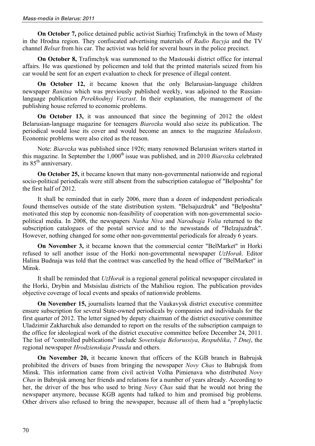**On October 7,** police detained public activist Siarhiej Trafimchyk in the town of Masty in the Hrodna region. They confiscated advertising materials of *Radio Racyja* and the TV channel *Belsat* from his car. The activist was held for several hours in the police precinct.

**On October 8,** Trafimchyk was summoned to the Mastouski district office for internal affairs. He was questioned by policemen and told that the printed materials seized from his car would be sent for an expert evaluation to check for presence of illegal content.

**On October 12,** it became known that the only Belarusian-language children newspaper *Ranitsa* which was previously published weekly, was adjoined to the Russianlanguage publication *Perekhodnyj Vozrast*. In their explanation, the management of the publishing house referred to economic problems.

**On October 13,** it was announced that since the beginning of 2012 the oldest Belarusian-language magazine for teenagers *Biarozka* would also seize its publication. The periodical would lose its cover and would become an annex to the magazine *Maladosts*. Economic problems were also cited as the reason.

Note: *Biarozka* was published since 1926; many renowned Belarusian writers started in this magazine. In September the 1,000<sup>th</sup> issue was published, and in 2010 *Biarozka* celebrated its 85<sup>th</sup> anniversary.

**On October 25,** it became known that many non-governmental nationwide and regional socio-political periodicals were still absent from the subscription catalogue of "Belposhta" for the first half of 2012.

It shall be reminded that in early 2006, more than a dozen of independent periodicals found themselves outside of the state distribution system. "Belsajuzdruk" and "Belposhta" motivated this step by economic non-feasibility of cooperation with non-governmental sociopolitical media. In 2008, the newspapers *Nasha Niva* and *Narodnaja Volia* returned to the subscription catalogues of the postal service and to the newsstands of "Belzajuzdruk". However, nothing changed for some other non-governmental periodicals for already 6 years.

**On November 3,** it became known that the commercial center "BelMarket" in Horki refused to sell another issue of the Horki non-governmental newspaper *UzHorak*. Editor Halina Budnaja was told that the contract was cancelled by the head office of "BelMarket" in Minsk.

It shall be reminded that *UzHorak* is a regional general political newspaper circulated in the Horki, Drybin and Mstsislau districts of the Mahiliou region. The publication provides objective coverage of local events and speaks of nationwide problems.

**On November 15,** journalists learned that the Vaukavysk district executive committee ensure subscription for several State-owned periodicals by companies and individuals for the first quarter of 2012. The letter signed by deputy chairman of the district executive committee Uladzimir Zakharchuk also demanded to report on the results of the subscription campaign to the office for ideological work of the district executive committee before December 24, 2011. The list of "controlled publications" include *Sovetskaja Belorussiya*, *Respublika*, *7 Dnej*, the regional newspaper *Hrodzienskaja Prauda* and others.

**On November 20,** it became known that officers of the KGB branch in Babrujsk prohibited the drivers of buses from bringing the newspaper *Novy Chas* to Babrujsk from Minsk. This information came from civil activist Volha Pimienava who distributed *Novy Chas* in Babrujsk among her friends and relations for a number of years already. According to her, the driver of the bus who used to bring *Novy Chas* said that he would not bring the newspaper anymore, because KGB agents had talked to him and promised big problems. Other drivers also refused to bring the newspaper, because all of them had a "prophylactic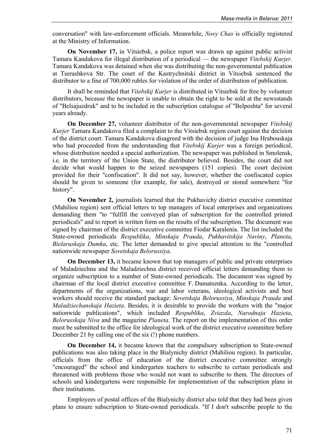conversation" with law-enforcement officials. Meanwhile, *Novy Chas* is officially registered at the Ministry of Information.

**On November 17,** in Vitsiebsk, a police report was drawn up against public activist Tamara Kandakova for illegal distribution of a periodical — the newspaper *Vitebskij Kurjer*. Tamara Kandakova was detained when she was distributing the non-governmental publication at Tserashkova Str. The court of the Kastrychnitski district in Vitsiebsk sentenced the distributor to a fine of 700,000 rubles for violation of the order of distribution of publication.

It shall be reminded that *Vitebskij Kurjer* is distributed in Vitsiebsk for free by volunteer distributors, because the newspaper is unable to obtain the right to be sold at the newsstands of "Belsajuzdruk" and to be included in the subscription catalogue of "Belposhta" for several years already.

**On December 27,** volunteer distributor of the non-governmental newspaper *Vitebskij Kurjer* Tamara Kandakova filed a complaint to the Vitsiebsk region court against the decision of the district court. Tamara Kandakova disagreed with the decision of judge Ina Hrabouskaja who had proceeded from the understanding that *Vitebskij Kurjer* was a foreign periodical, whose distribution needed a special authorization. The newspaper was published in Smolensk, i.e. in the territory of the Union State, the distributor believed. Besides, the court did not decide what would happen to the seized newspapers (151 copies). The court decision provided for their "confiscation". It did not say, however, whether the confiscated copies should be given to someone (for example, for sale), destroyed or stored somewhere "for history".

**On November 2,** journalists learned that the Pukhavichy district executive committee (Mahiliou region) sent official letters to top managers of local enterprises and organizations demanding them "to "fulfill the conveyed plan of subscription for the controlled printed periodicals" and to report in written form on the results of the subscription. The document was signed by chairman of the district executive committee Fiodar Karalenia. The list included the State-owned periodicals *Respublika*, *Minskaja Prauda*, *Pukhavitskija Naviny*, *Planeta*, *Bielaruskaja Dumka*, etc. The letter demanded to give special attention to the "controlled nationwide newspaper *Sovetskaja Belorussiya*.

**On December 13,** it became known that top managers of public and private enterprises of Maladziechna and the Maladziechna district received official letters demanding them to organize subscription to a number of State-owned periodicals. The document was signed by chairman of the local district executive committee F. Damatsenka. According to the letter, departments of the organizations, war and labor veterans, ideological activists and best workers should receive the standard package: *Sovetskaja Belorussiya*, *Minskaja Prauda* and *Maladziechanskaja Hazieta*. Besides, it is desirable to provide the workers with the "major nationwide publications", which included *Respublika*, *Zviazda*, *Narodnaja Hazieta*, *Belorusskaja Niva* and the magazine *Planeta*. The report on the implementation of this order must be submitted to the office for ideological work of the district executive committee before December 21 by calling one of the six (!) phone numbers.

**On December 14,** it became known that the compulsory subscription to State-owned publications was also taking place in the Bialynichy district (Mahiliou region). In particular, officials from the office of education of the district executive committee strongly "encouraged" the school and kindergarten teachers to subscribe to certain periodicals and threatened with problems those who would not want to subscribe to them. The directors of schools and kindergartens were responsible for implementation of the subscription plans in their institutions.

Employees of postal offices of the Bialynichy district also told that they had been given plans to ensure subscription to State-owned periodicals. "If I don't subscribe people to the